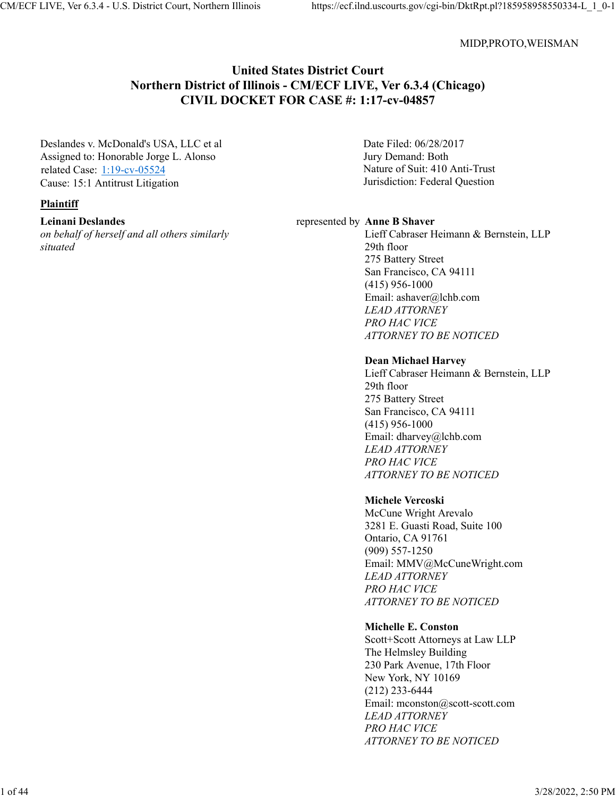#### MIDP,PROTO,WEISMAN

### **United States District Court Northern District of Illinois - CM/ECF LIVE, Ver 6.3.4 (Chicago) CIVIL DOCKET FOR CASE #: 1:17-cv-04857**

Deslandes v. McDonald's USA, LLC et al Assigned to: Honorable Jorge L. Alonso related Case: 1:19-cv-05524 Cause: 15:1 Antitrust Litigation

#### **Plaintiff**

**Leinani Deslandes**

*on behalf of herself and all others similarly situated*

Date Filed: 06/28/2017 Jury Demand: Both Nature of Suit: 410 Anti-Trust Jurisdiction: Federal Question

#### represented by **Anne B Shaver**

Lieff Cabraser Heimann & Bernstein, LLP 29th floor 275 Battery Street San Francisco, CA 94111 (415) 956-1000 Email: ashaver@lchb.com *LEAD ATTORNEY PRO HAC VICE ATTORNEY TO BE NOTICED*

#### **Dean Michael Harvey**

Lieff Cabraser Heimann & Bernstein, LLP 29th floor 275 Battery Street San Francisco, CA 94111 (415) 956-1000 Email: dharvey@lchb.com *LEAD ATTORNEY PRO HAC VICE ATTORNEY TO BE NOTICED*

#### **Michele Vercoski**

McCune Wright Arevalo 3281 E. Guasti Road, Suite 100 Ontario, CA 91761 (909) 557-1250 Email: MMV@McCuneWright.com *LEAD ATTORNEY PRO HAC VICE ATTORNEY TO BE NOTICED*

#### **Michelle E. Conston**

Scott+Scott Attorneys at Law LLP The Helmsley Building 230 Park Avenue, 17th Floor New York, NY 10169 (212) 233-6444 Email: mconston@scott-scott.com *LEAD ATTORNEY PRO HAC VICE ATTORNEY TO BE NOTICED*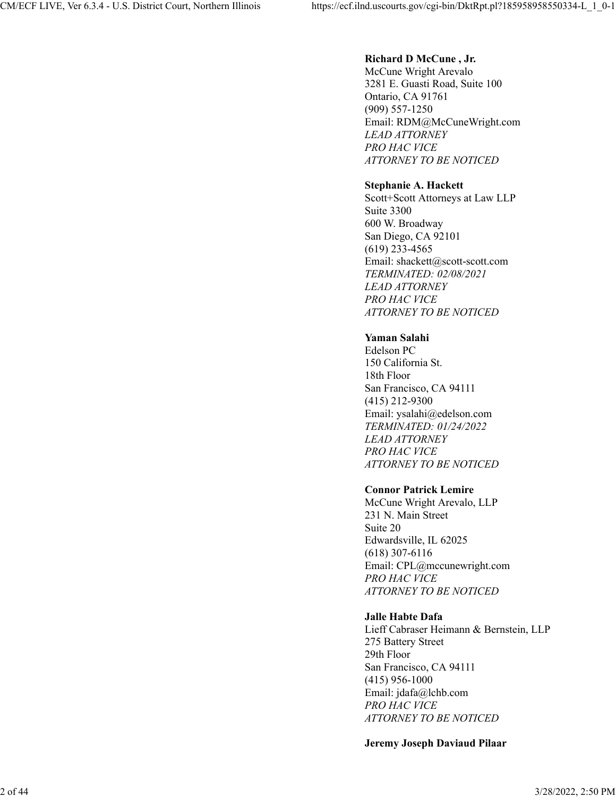### **Richard D McCune , Jr.**

McCune Wright Arevalo 3281 E. Guasti Road, Suite 100 Ontario, CA 91761 (909) 557-1250 Email: RDM@McCuneWright.com *LEAD ATTORNEY PRO HAC VICE ATTORNEY TO BE NOTICED*

### **Stephanie A. Hackett**

Scott+Scott Attorneys at Law LLP Suite 3300 600 W. Broadway San Diego, CA 92101 (619) 233-4565 Email: shackett@scott-scott.com *TERMINATED: 02/08/2021 LEAD ATTORNEY PRO HAC VICE ATTORNEY TO BE NOTICED*

### **Yaman Salahi**

Edelson PC 150 California St. 18th Floor San Francisco, CA 94111 (415) 212-9300 Email: ysalahi@edelson.com *TERMINATED: 01/24/2022 LEAD ATTORNEY PRO HAC VICE ATTORNEY TO BE NOTICED*

### **Connor Patrick Lemire**

McCune Wright Arevalo, LLP 231 N. Main Street Suite 20 Edwardsville, IL 62025 (618) 307-6116 Email: CPL@mccunewright.com *PRO HAC VICE ATTORNEY TO BE NOTICED*

### **Jalle Habte Dafa**

Lieff Cabraser Heimann & Bernstein, LLP 275 Battery Street 29th Floor San Francisco, CA 94111 (415) 956-1000 Email: jdafa@lchb.com *PRO HAC VICE ATTORNEY TO BE NOTICED*

#### **Jeremy Joseph Daviaud Pilaar**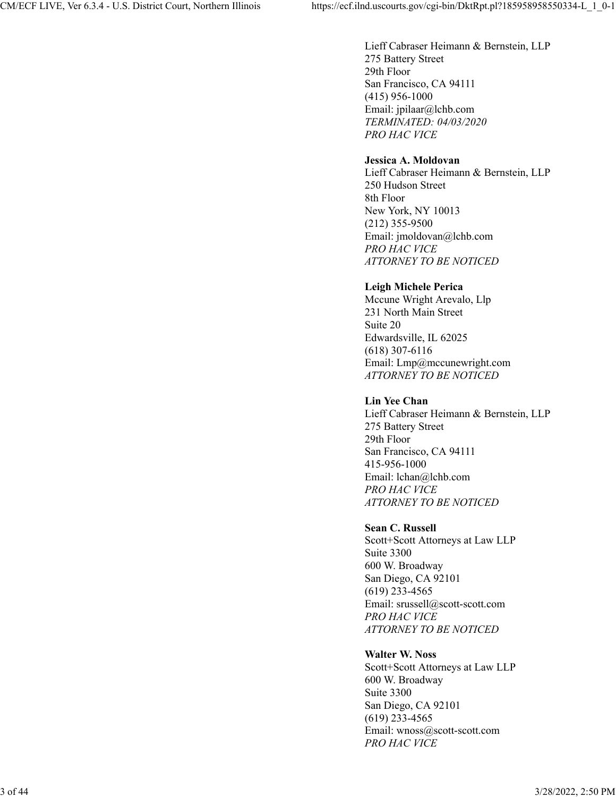Lieff Cabraser Heimann & Bernstein, LLP 275 Battery Street 29th Floor San Francisco, CA 94111 (415) 956-1000 Email: jpilaar@lchb.com *TERMINATED: 04/03/2020 PRO HAC VICE*

### **Jessica A. Moldovan**

Lieff Cabraser Heimann & Bernstein, LLP 250 Hudson Street 8th Floor New York, NY 10013 (212) 355-9500 Email: jmoldovan@lchb.com *PRO HAC VICE ATTORNEY TO BE NOTICED*

### **Leigh Michele Perica**

Mccune Wright Arevalo, Llp 231 North Main Street Suite 20 Edwardsville, IL 62025 (618) 307-6116 Email: Lmp@mccunewright.com *ATTORNEY TO BE NOTICED*

### **Lin Yee Chan**

Lieff Cabraser Heimann & Bernstein, LLP 275 Battery Street 29th Floor San Francisco, CA 94111 415-956-1000 Email: lchan@lchb.com *PRO HAC VICE ATTORNEY TO BE NOTICED*

### **Sean C. Russell**

Scott+Scott Attorneys at Law LLP Suite 3300 600 W. Broadway San Diego, CA 92101 (619) 233-4565 Email: srussell@scott-scott.com *PRO HAC VICE ATTORNEY TO BE NOTICED*

### **Walter W. Noss**

Scott+Scott Attorneys at Law LLP 600 W. Broadway Suite 3300 San Diego, CA 92101 (619) 233-4565 Email: wnoss@scott-scott.com *PRO HAC VICE*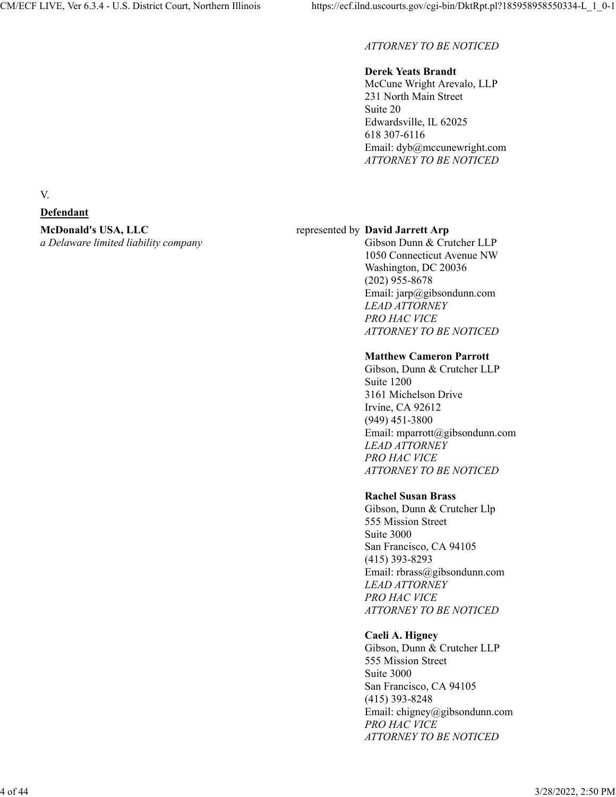### *ATTORNEY TO BE NOTICED*

### **Derek Yeats Brandt**

McCune Wright Arevalo, LLP 231 North Main Street Suite 20 Edwardsville, IL 62025 618 307-6116 Email: dyb@mccunewright.com *ATTORNEY TO BE NOTICED*

### represented by **David Jarrett Arp**

Gibson Dunn & Crutcher LLP 1050 Connecticut Avenue NW Washington, DC 20036 (202) 955-8678 Email: jarp@gibsondunn.com *LEAD ATTORNEY PRO HAC VICE ATTORNEY TO BE NOTICED*

### **Matthew Cameron Parrott**

Gibson, Dunn & Crutcher LLP Suite 1200 3161 Michelson Drive Irvine, CA 92612 (949) 451-3800 Email: mparrott@gibsondunn.com *LEAD ATTORNEY PRO HAC VICE ATTORNEY TO BE NOTICED*

### **Rachel Susan Brass**

Gibson, Dunn & Crutcher Llp 555 Mission Street Suite 3000 San Francisco, CA 94105 (415) 393-8293 Email: rbrass@gibsondunn.com *LEAD ATTORNEY PRO HAC VICE ATTORNEY TO BE NOTICED*

### **Caeli A. Higney**

Gibson, Dunn & Crutcher LLP 555 Mission Street Suite 3000 San Francisco, CA 94105 (415) 393-8248 Email: chigney@gibsondunn.com *PRO HAC VICE ATTORNEY TO BE NOTICED*

#### V.

### **Defendant**

## **McDonald's USA, LLC**

*a Delaware limited liability company*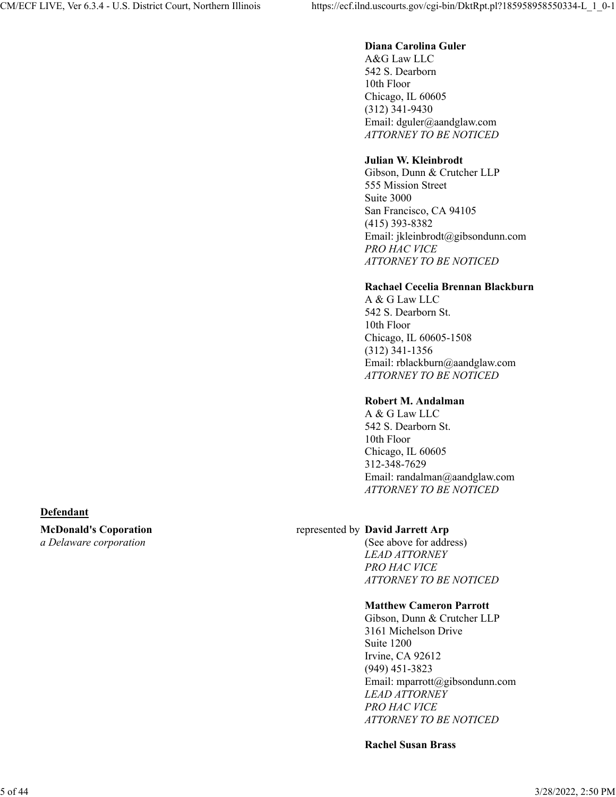### **Diana Carolina Guler**

A&G Law LLC 542 S. Dearborn 10th Floor Chicago, IL 60605 (312) 341-9430 Email: dguler@aandglaw.com *ATTORNEY TO BE NOTICED*

### **Julian W. Kleinbrodt**

Gibson, Dunn & Crutcher LLP 555 Mission Street Suite 3000 San Francisco, CA 94105 (415) 393-8382 Email: jkleinbrodt@gibsondunn.com *PRO HAC VICE ATTORNEY TO BE NOTICED*

### **Rachael Cecelia Brennan Blackburn**

A & G Law LLC 542 S. Dearborn St. 10th Floor Chicago, IL 60605-1508 (312) 341-1356 Email: rblackburn@aandglaw.com *ATTORNEY TO BE NOTICED*

### **Robert M. Andalman**

A & G Law LLC 542 S. Dearborn St. 10th Floor Chicago, IL 60605 312-348-7629 Email: randalman@aandglaw.com *ATTORNEY TO BE NOTICED*

### **Defendant**

**McDonald's Coporation** *a Delaware corporation*

### represented by **David Jarrett Arp**

(See above for address) *LEAD ATTORNEY PRO HAC VICE ATTORNEY TO BE NOTICED*

### **Matthew Cameron Parrott**

Gibson, Dunn & Crutcher LLP 3161 Michelson Drive Suite 1200 Irvine, CA 92612 (949) 451-3823 Email: mparrott@gibsondunn.com *LEAD ATTORNEY PRO HAC VICE ATTORNEY TO BE NOTICED*

**Rachel Susan Brass**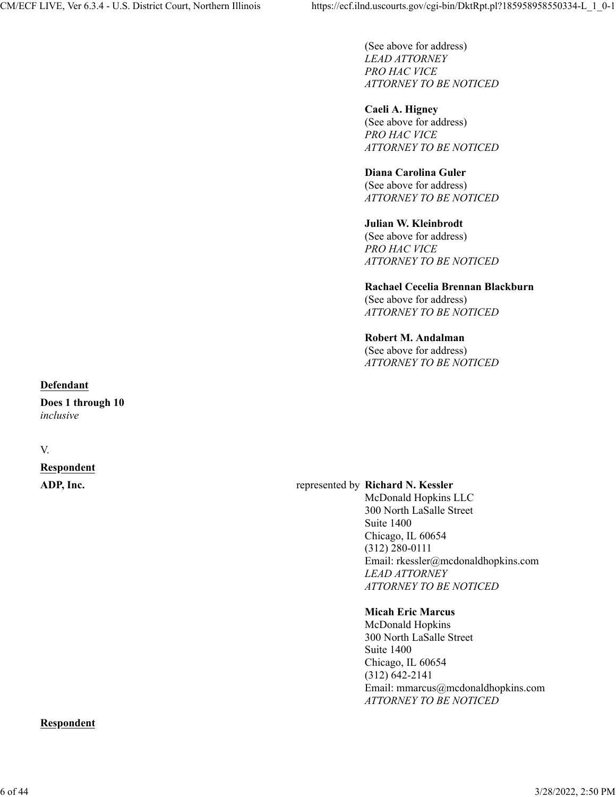(See above for address) *LEAD ATTORNEY PRO HAC VICE ATTORNEY TO BE NOTICED*

**Caeli A. Higney** (See above for address) *PRO HAC VICE ATTORNEY TO BE NOTICED*

#### **Diana Carolina Guler**

(See above for address) *ATTORNEY TO BE NOTICED*

#### **Julian W. Kleinbrodt**

(See above for address) *PRO HAC VICE ATTORNEY TO BE NOTICED*

### **Rachael Cecelia Brennan Blackburn**

(See above for address) *ATTORNEY TO BE NOTICED*

#### **Robert M. Andalman**

(See above for address) *ATTORNEY TO BE NOTICED*

#### **Defendant**

**Does 1 through 10** *inclusive*

#### V.

# **Respondent**

#### **ADP, Inc.** represented by **Richard N. Kessler**

McDonald Hopkins LLC 300 North LaSalle Street Suite 1400 Chicago, IL 60654 (312) 280-0111 Email: rkessler@mcdonaldhopkins.com *LEAD ATTORNEY ATTORNEY TO BE NOTICED*

#### **Micah Eric Marcus**

McDonald Hopkins 300 North LaSalle Street Suite 1400 Chicago, IL 60654 (312) 642-2141 Email: mmarcus@mcdonaldhopkins.com *ATTORNEY TO BE NOTICED*

#### **Respondent**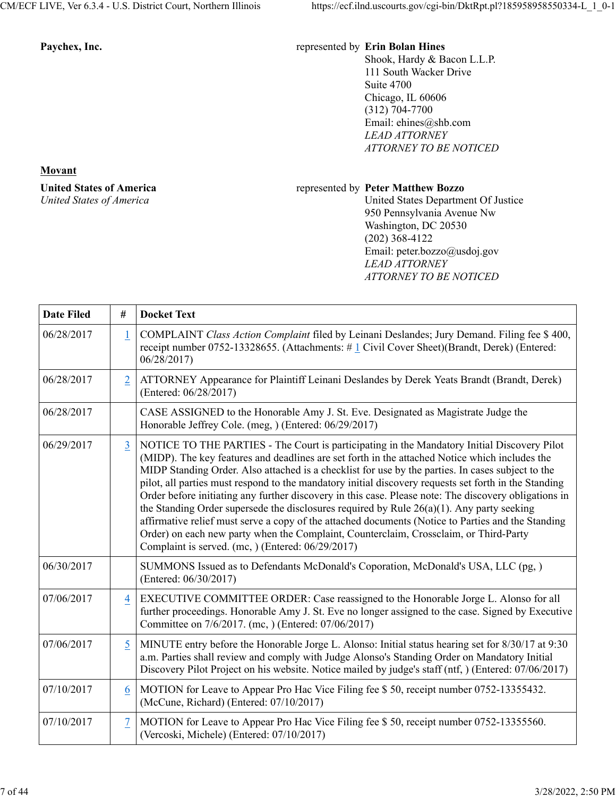#### Paychex, Inc. **Paychex, Inc.** *Paychex, Inc. Paychex, Inc.**Paychex, Inc.**represented by <b>Erin Bolan Hines*

Shook, Hardy & Bacon L.L.P. 111 South Wacker Drive Suite 4700 Chicago, IL 60606 (312) 704-7700 Email: ehines@shb.com *LEAD ATTORNEY ATTORNEY TO BE NOTICED*

#### **Movant**

**United States of America** *United States of America*

#### represented by **Peter Matthew Bozzo**

United States Department Of Justice 950 Pennsylvania Avenue Nw Washington, DC 20530 (202) 368-4122 Email: peter.bozzo@usdoj.gov *LEAD ATTORNEY ATTORNEY TO BE NOTICED*

| <b>Date Filed</b> | #               | <b>Docket Text</b>                                                                                                                                                                                                                                                                                                                                                                                                                                                                                                                                                                                                                                                                                                                                                                                                                                                       |
|-------------------|-----------------|--------------------------------------------------------------------------------------------------------------------------------------------------------------------------------------------------------------------------------------------------------------------------------------------------------------------------------------------------------------------------------------------------------------------------------------------------------------------------------------------------------------------------------------------------------------------------------------------------------------------------------------------------------------------------------------------------------------------------------------------------------------------------------------------------------------------------------------------------------------------------|
| 06/28/2017        | $\mathbf{1}$    | COMPLAINT Class Action Complaint filed by Leinani Deslandes; Jury Demand. Filing fee \$400,<br>receipt number 0752-13328655. (Attachments: #1 Civil Cover Sheet)(Brandt, Derek) (Entered:<br>06/28/2017)                                                                                                                                                                                                                                                                                                                                                                                                                                                                                                                                                                                                                                                                 |
| 06/28/2017        | $\overline{2}$  | ATTORNEY Appearance for Plaintiff Leinani Deslandes by Derek Yeats Brandt (Brandt, Derek)<br>(Entered: 06/28/2017)                                                                                                                                                                                                                                                                                                                                                                                                                                                                                                                                                                                                                                                                                                                                                       |
| 06/28/2017        |                 | CASE ASSIGNED to the Honorable Amy J. St. Eve. Designated as Magistrate Judge the<br>Honorable Jeffrey Cole. (meg, ) (Entered: 06/29/2017)                                                                                                                                                                                                                                                                                                                                                                                                                                                                                                                                                                                                                                                                                                                               |
| 06/29/2017        | $\overline{3}$  | NOTICE TO THE PARTIES - The Court is participating in the Mandatory Initial Discovery Pilot<br>(MIDP). The key features and deadlines are set forth in the attached Notice which includes the<br>MIDP Standing Order. Also attached is a checklist for use by the parties. In cases subject to the<br>pilot, all parties must respond to the mandatory initial discovery requests set forth in the Standing<br>Order before initiating any further discovery in this case. Please note: The discovery obligations in<br>the Standing Order supersede the disclosures required by Rule $26(a)(1)$ . Any party seeking<br>affirmative relief must serve a copy of the attached documents (Notice to Parties and the Standing<br>Order) on each new party when the Complaint, Counterclaim, Crossclaim, or Third-Party<br>Complaint is served. (mc, ) (Entered: 06/29/2017) |
| 06/30/2017        |                 | SUMMONS Issued as to Defendants McDonald's Coporation, McDonald's USA, LLC (pg, )<br>(Entered: 06/30/2017)                                                                                                                                                                                                                                                                                                                                                                                                                                                                                                                                                                                                                                                                                                                                                               |
| 07/06/2017        | $\overline{4}$  | EXECUTIVE COMMITTEE ORDER: Case reassigned to the Honorable Jorge L. Alonso for all<br>further proceedings. Honorable Amy J. St. Eve no longer assigned to the case. Signed by Executive<br>Committee on 7/6/2017. (mc, ) (Entered: 07/06/2017)                                                                                                                                                                                                                                                                                                                                                                                                                                                                                                                                                                                                                          |
| 07/06/2017        | $5\overline{)}$ | MINUTE entry before the Honorable Jorge L. Alonso: Initial status hearing set for 8/30/17 at 9:30<br>a.m. Parties shall review and comply with Judge Alonso's Standing Order on Mandatory Initial<br>Discovery Pilot Project on his website. Notice mailed by judge's staff (ntf, ) (Entered: 07/06/2017)                                                                                                                                                                                                                                                                                                                                                                                                                                                                                                                                                                |
| 07/10/2017        | 6               | MOTION for Leave to Appear Pro Hac Vice Filing fee \$ 50, receipt number 0752-13355432.<br>(McCune, Richard) (Entered: 07/10/2017)                                                                                                                                                                                                                                                                                                                                                                                                                                                                                                                                                                                                                                                                                                                                       |
| 07/10/2017        | 7               | MOTION for Leave to Appear Pro Hac Vice Filing fee \$50, receipt number 0752-13355560.<br>(Vercoski, Michele) (Entered: 07/10/2017)                                                                                                                                                                                                                                                                                                                                                                                                                                                                                                                                                                                                                                                                                                                                      |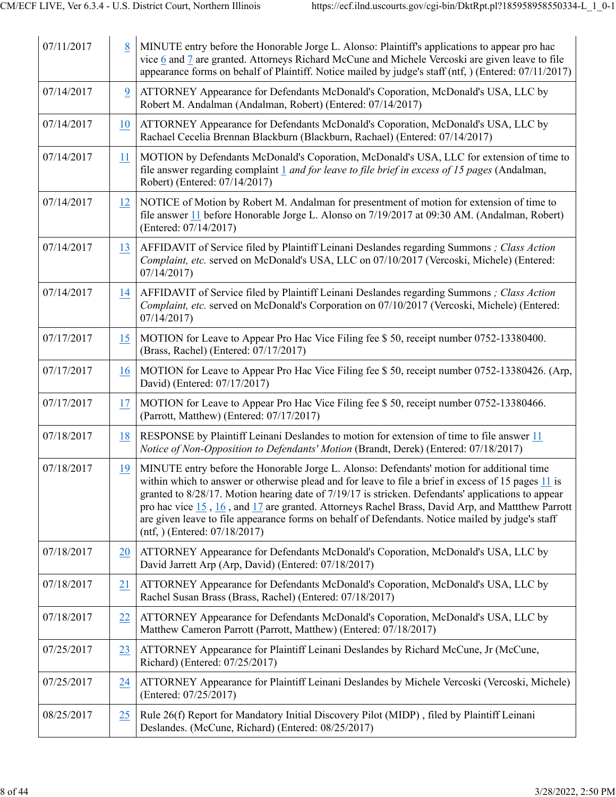| 07/11/2017 | 8         | MINUTE entry before the Honorable Jorge L. Alonso: Plaintiff's applications to appear pro hac<br>vice 6 and 7 are granted. Attorneys Richard McCune and Michele Vercoski are given leave to file<br>appearance forms on behalf of Plaintiff. Notice mailed by judge's staff (ntf, ) (Entered: 07/11/2017)                                                                                                                                                                                                                                           |
|------------|-----------|-----------------------------------------------------------------------------------------------------------------------------------------------------------------------------------------------------------------------------------------------------------------------------------------------------------------------------------------------------------------------------------------------------------------------------------------------------------------------------------------------------------------------------------------------------|
| 07/14/2017 | 9         | ATTORNEY Appearance for Defendants McDonald's Coporation, McDonald's USA, LLC by<br>Robert M. Andalman (Andalman, Robert) (Entered: 07/14/2017)                                                                                                                                                                                                                                                                                                                                                                                                     |
| 07/14/2017 | 10        | ATTORNEY Appearance for Defendants McDonald's Coporation, McDonald's USA, LLC by<br>Rachael Cecelia Brennan Blackburn (Blackburn, Rachael) (Entered: 07/14/2017)                                                                                                                                                                                                                                                                                                                                                                                    |
| 07/14/2017 | 11        | MOTION by Defendants McDonald's Coporation, McDonald's USA, LLC for extension of time to<br>file answer regarding complaint 1 <i>and for leave to file brief in excess of 15 pages</i> (Andalman,<br>Robert) (Entered: 07/14/2017)                                                                                                                                                                                                                                                                                                                  |
| 07/14/2017 | 12        | NOTICE of Motion by Robert M. Andalman for presentment of motion for extension of time to<br>file answer 11 before Honorable Jorge L. Alonso on 7/19/2017 at 09:30 AM. (Andalman, Robert)<br>(Entered: 07/14/2017)                                                                                                                                                                                                                                                                                                                                  |
| 07/14/2017 | 13        | AFFIDAVIT of Service filed by Plaintiff Leinani Deslandes regarding Summons; Class Action<br>Complaint, etc. served on McDonald's USA, LLC on 07/10/2017 (Vercoski, Michele) (Entered:<br>07/14/2017                                                                                                                                                                                                                                                                                                                                                |
| 07/14/2017 | 14        | AFFIDAVIT of Service filed by Plaintiff Leinani Deslandes regarding Summons ; Class Action<br>Complaint, etc. served on McDonald's Corporation on 07/10/2017 (Vercoski, Michele) (Entered:<br>07/14/2017                                                                                                                                                                                                                                                                                                                                            |
| 07/17/2017 | 15        | MOTION for Leave to Appear Pro Hac Vice Filing fee \$ 50, receipt number 0752-13380400.<br>(Brass, Rachel) (Entered: 07/17/2017)                                                                                                                                                                                                                                                                                                                                                                                                                    |
| 07/17/2017 | 16        | MOTION for Leave to Appear Pro Hac Vice Filing fee \$ 50, receipt number 0752-13380426. (Arp,<br>David) (Entered: 07/17/2017)                                                                                                                                                                                                                                                                                                                                                                                                                       |
| 07/17/2017 | 17        | MOTION for Leave to Appear Pro Hac Vice Filing fee \$ 50, receipt number 0752-13380466.<br>(Parrott, Matthew) (Entered: 07/17/2017)                                                                                                                                                                                                                                                                                                                                                                                                                 |
| 07/18/2017 | 18        | RESPONSE by Plaintiff Leinani Deslandes to motion for extension of time to file answer 11<br>Notice of Non-Opposition to Defendants' Motion (Brandt, Derek) (Entered: 07/18/2017)                                                                                                                                                                                                                                                                                                                                                                   |
| 07/18/2017 | 19        | MINUTE entry before the Honorable Jorge L. Alonso: Defendants' motion for additional time<br>within which to answer or otherwise plead and for leave to file a brief in excess of 15 pages 11 is<br>granted to 8/28/17. Motion hearing date of 7/19/17 is stricken. Defendants' applications to appear<br>pro hac vice 15, 16, and 17 are granted. Attorneys Rachel Brass, David Arp, and Mattthew Parrott<br>are given leave to file appearance forms on behalf of Defendants. Notice mailed by judge's staff<br>$(nt, )$ (Entered: $07/18/2017$ ) |
| 07/18/2017 | 20        | ATTORNEY Appearance for Defendants McDonald's Coporation, McDonald's USA, LLC by<br>David Jarrett Arp (Arp, David) (Entered: 07/18/2017)                                                                                                                                                                                                                                                                                                                                                                                                            |
| 07/18/2017 | 21        | ATTORNEY Appearance for Defendants McDonald's Coporation, McDonald's USA, LLC by<br>Rachel Susan Brass (Brass, Rachel) (Entered: 07/18/2017)                                                                                                                                                                                                                                                                                                                                                                                                        |
| 07/18/2017 | <u>22</u> | ATTORNEY Appearance for Defendants McDonald's Coporation, McDonald's USA, LLC by<br>Matthew Cameron Parrott (Parrott, Matthew) (Entered: 07/18/2017)                                                                                                                                                                                                                                                                                                                                                                                                |
| 07/25/2017 | 23        | ATTORNEY Appearance for Plaintiff Leinani Deslandes by Richard McCune, Jr (McCune,<br>Richard) (Entered: 07/25/2017)                                                                                                                                                                                                                                                                                                                                                                                                                                |
| 07/25/2017 | 24        | ATTORNEY Appearance for Plaintiff Leinani Deslandes by Michele Vercoski (Vercoski, Michele)<br>(Entered: 07/25/2017)                                                                                                                                                                                                                                                                                                                                                                                                                                |
| 08/25/2017 | 25        | Rule 26(f) Report for Mandatory Initial Discovery Pilot (MIDP), filed by Plaintiff Leinani<br>Deslandes. (McCune, Richard) (Entered: 08/25/2017)                                                                                                                                                                                                                                                                                                                                                                                                    |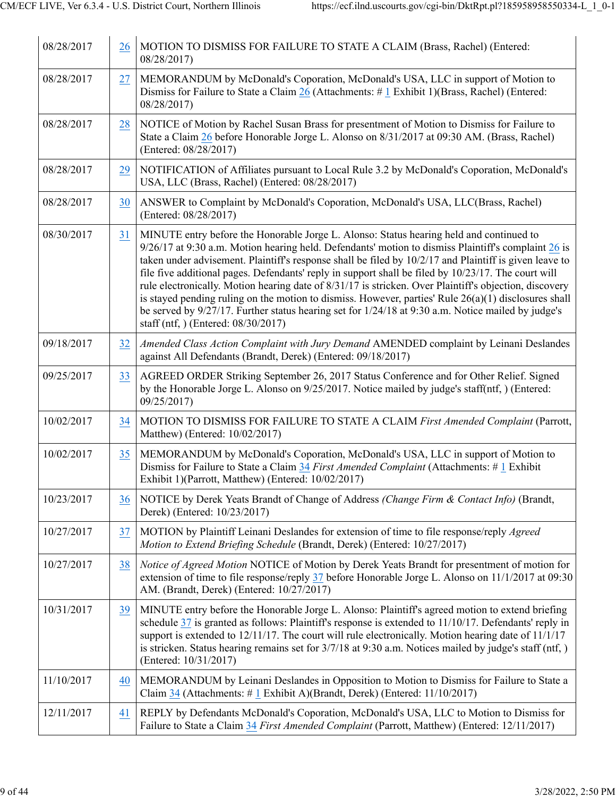| 08/28/2017 | 26 | MOTION TO DISMISS FOR FAILURE TO STATE A CLAIM (Brass, Rachel) (Entered:<br>08/28/2017)                                                                                                                                                                                                                                                                                                                                                                                                                                                                                                                                                                                                                                                                                            |
|------------|----|------------------------------------------------------------------------------------------------------------------------------------------------------------------------------------------------------------------------------------------------------------------------------------------------------------------------------------------------------------------------------------------------------------------------------------------------------------------------------------------------------------------------------------------------------------------------------------------------------------------------------------------------------------------------------------------------------------------------------------------------------------------------------------|
| 08/28/2017 | 27 | MEMORANDUM by McDonald's Coporation, McDonald's USA, LLC in support of Motion to<br>Dismiss for Failure to State a Claim 26 (Attachments: #1 Exhibit 1)(Brass, Rachel) (Entered:<br>08/28/2017)                                                                                                                                                                                                                                                                                                                                                                                                                                                                                                                                                                                    |
| 08/28/2017 | 28 | NOTICE of Motion by Rachel Susan Brass for presentment of Motion to Dismiss for Failure to<br>State a Claim 26 before Honorable Jorge L. Alonso on 8/31/2017 at 09:30 AM. (Brass, Rachel)<br>(Entered: 08/28/2017)                                                                                                                                                                                                                                                                                                                                                                                                                                                                                                                                                                 |
| 08/28/2017 | 29 | NOTIFICATION of Affiliates pursuant to Local Rule 3.2 by McDonald's Coporation, McDonald's<br>USA, LLC (Brass, Rachel) (Entered: 08/28/2017)                                                                                                                                                                                                                                                                                                                                                                                                                                                                                                                                                                                                                                       |
| 08/28/2017 | 30 | ANSWER to Complaint by McDonald's Coporation, McDonald's USA, LLC(Brass, Rachel)<br>(Entered: 08/28/2017)                                                                                                                                                                                                                                                                                                                                                                                                                                                                                                                                                                                                                                                                          |
| 08/30/2017 | 31 | MINUTE entry before the Honorable Jorge L. Alonso: Status hearing held and continued to<br>$9/26/17$ at 9:30 a.m. Motion hearing held. Defendants' motion to dismiss Plaintiff's complaint 26 is<br>taken under advisement. Plaintiff's response shall be filed by 10/2/17 and Plaintiff is given leave to<br>file five additional pages. Defendants' reply in support shall be filed by 10/23/17. The court will<br>rule electronically. Motion hearing date of 8/31/17 is stricken. Over Plaintiff's objection, discovery<br>is stayed pending ruling on the motion to dismiss. However, parties' Rule $26(a)(1)$ disclosures shall<br>be served by 9/27/17. Further status hearing set for 1/24/18 at 9:30 a.m. Notice mailed by judge's<br>staff (ntf, ) (Entered: 08/30/2017) |
| 09/18/2017 | 32 | Amended Class Action Complaint with Jury Demand AMENDED complaint by Leinani Deslandes<br>against All Defendants (Brandt, Derek) (Entered: 09/18/2017)                                                                                                                                                                                                                                                                                                                                                                                                                                                                                                                                                                                                                             |
| 09/25/2017 | 33 | AGREED ORDER Striking September 26, 2017 Status Conference and for Other Relief. Signed<br>by the Honorable Jorge L. Alonso on 9/25/2017. Notice mailed by judge's staff(ntf, ) (Entered:<br>09/25/2017)                                                                                                                                                                                                                                                                                                                                                                                                                                                                                                                                                                           |
| 10/02/2017 | 34 | MOTION TO DISMISS FOR FAILURE TO STATE A CLAIM First Amended Complaint (Parrott,<br>Matthew) (Entered: 10/02/2017)                                                                                                                                                                                                                                                                                                                                                                                                                                                                                                                                                                                                                                                                 |
| 10/02/2017 | 35 | MEMORANDUM by McDonald's Coporation, McDonald's USA, LLC in support of Motion to<br>Dismiss for Failure to State a Claim 34 First Amended Complaint (Attachments: #1 Exhibit<br>Exhibit 1)(Parrott, Matthew) (Entered: 10/02/2017)                                                                                                                                                                                                                                                                                                                                                                                                                                                                                                                                                 |
| 10/23/2017 | 36 | NOTICE by Derek Yeats Brandt of Change of Address (Change Firm & Contact Info) (Brandt,<br>Derek) (Entered: 10/23/2017)                                                                                                                                                                                                                                                                                                                                                                                                                                                                                                                                                                                                                                                            |
| 10/27/2017 | 37 | MOTION by Plaintiff Leinani Deslandes for extension of time to file response/reply Agreed<br>Motion to Extend Briefing Schedule (Brandt, Derek) (Entered: 10/27/2017)                                                                                                                                                                                                                                                                                                                                                                                                                                                                                                                                                                                                              |
| 10/27/2017 | 38 | Notice of Agreed Motion NOTICE of Motion by Derek Yeats Brandt for presentment of motion for<br>extension of time to file response/reply 37 before Honorable Jorge L. Alonso on 11/1/2017 at 09:30<br>AM. (Brandt, Derek) (Entered: 10/27/2017)                                                                                                                                                                                                                                                                                                                                                                                                                                                                                                                                    |
| 10/31/2017 | 39 | MINUTE entry before the Honorable Jorge L. Alonso: Plaintiff's agreed motion to extend briefing<br>schedule $37$ is granted as follows: Plaintiff's response is extended to $11/10/17$ . Defendants' reply in<br>support is extended to 12/11/17. The court will rule electronically. Motion hearing date of 11/1/17<br>is stricken. Status hearing remains set for 3/7/18 at 9:30 a.m. Notices mailed by judge's staff (ntf, )<br>(Entered: 10/31/2017)                                                                                                                                                                                                                                                                                                                           |
| 11/10/2017 | 40 | MEMORANDUM by Leinani Deslandes in Opposition to Motion to Dismiss for Failure to State a<br>Claim 34 (Attachments: #1 Exhibit A)(Brandt, Derek) (Entered: 11/10/2017)                                                                                                                                                                                                                                                                                                                                                                                                                                                                                                                                                                                                             |
| 12/11/2017 | 41 | REPLY by Defendants McDonald's Coporation, McDonald's USA, LLC to Motion to Dismiss for<br>Failure to State a Claim 34 First Amended Complaint (Parrott, Matthew) (Entered: 12/11/2017)                                                                                                                                                                                                                                                                                                                                                                                                                                                                                                                                                                                            |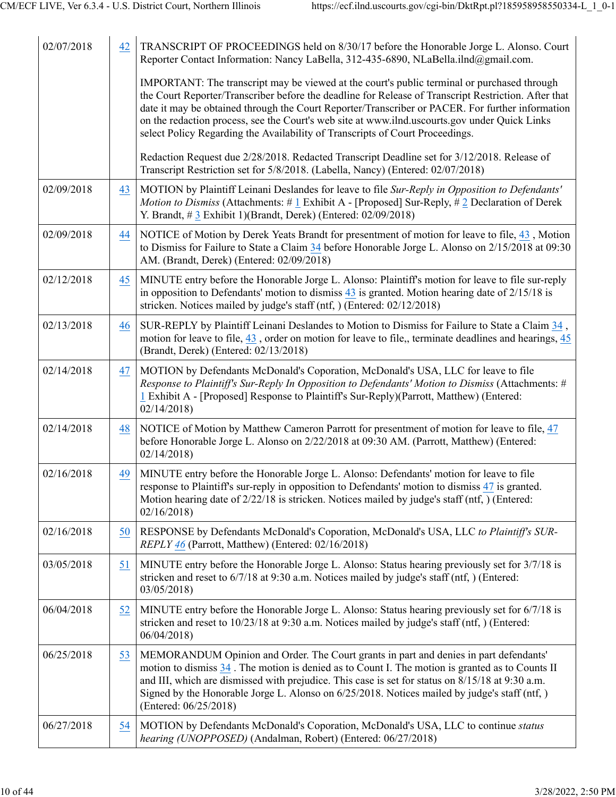| 02/07/2018 | 42 | TRANSCRIPT OF PROCEEDINGS held on 8/30/17 before the Honorable Jorge L. Alonso. Court<br>Reporter Contact Information: Nancy LaBella, 312-435-6890, NLaBella.ilnd@gmail.com.                                                                                                                                                                                                                                                                                                              |
|------------|----|-------------------------------------------------------------------------------------------------------------------------------------------------------------------------------------------------------------------------------------------------------------------------------------------------------------------------------------------------------------------------------------------------------------------------------------------------------------------------------------------|
|            |    | IMPORTANT: The transcript may be viewed at the court's public terminal or purchased through<br>the Court Reporter/Transcriber before the deadline for Release of Transcript Restriction. After that<br>date it may be obtained through the Court Reporter/Transcriber or PACER. For further information<br>on the redaction process, see the Court's web site at www.ilnd.uscourts.gov under Quick Links<br>select Policy Regarding the Availability of Transcripts of Court Proceedings. |
|            |    | Redaction Request due 2/28/2018. Redacted Transcript Deadline set for 3/12/2018. Release of<br>Transcript Restriction set for 5/8/2018. (Labella, Nancy) (Entered: 02/07/2018)                                                                                                                                                                                                                                                                                                            |
| 02/09/2018 | 43 | MOTION by Plaintiff Leinani Deslandes for leave to file Sur-Reply in Opposition to Defendants'<br>Motion to Dismiss (Attachments: #1 Exhibit A - [Proposed] Sur-Reply, #2 Declaration of Derek<br>Y. Brandt, #3 Exhibit 1)(Brandt, Derek) (Entered: 02/09/2018)                                                                                                                                                                                                                           |
| 02/09/2018 | 44 | NOTICE of Motion by Derek Yeats Brandt for presentment of motion for leave to file, 43, Motion<br>to Dismiss for Failure to State a Claim 34 before Honorable Jorge L. Alonso on 2/15/2018 at 09:30<br>AM. (Brandt, Derek) (Entered: 02/09/2018)                                                                                                                                                                                                                                          |
| 02/12/2018 | 45 | MINUTE entry before the Honorable Jorge L. Alonso: Plaintiff's motion for leave to file sur-reply<br>in opposition to Defendants' motion to dismiss $43$ is granted. Motion hearing date of $2/15/18$ is<br>stricken. Notices mailed by judge's staff (ntf, ) (Entered: 02/12/2018)                                                                                                                                                                                                       |
| 02/13/2018 | 46 | SUR-REPLY by Plaintiff Leinani Deslandes to Motion to Dismiss for Failure to State a Claim 34,<br>motion for leave to file, 43, order on motion for leave to file,, terminate deadlines and hearings, 45<br>(Brandt, Derek) (Entered: 02/13/2018)                                                                                                                                                                                                                                         |
| 02/14/2018 | 47 | MOTION by Defendants McDonald's Coporation, McDonald's USA, LLC for leave to file<br>Response to Plaintiff's Sur-Reply In Opposition to Defendants' Motion to Dismiss (Attachments: #<br>1 Exhibit A - [Proposed] Response to Plaintiff's Sur-Reply)(Parrott, Matthew) (Entered:<br>02/14/2018                                                                                                                                                                                            |
| 02/14/2018 | 48 | NOTICE of Motion by Matthew Cameron Parrott for presentment of motion for leave to file, 47<br>before Honorable Jorge L. Alonso on 2/22/2018 at 09:30 AM. (Parrott, Matthew) (Entered:<br>02/14/2018                                                                                                                                                                                                                                                                                      |
| 02/16/2018 | 49 | MINUTE entry before the Honorable Jorge L. Alonso: Defendants' motion for leave to file<br>response to Plaintiff's sur-reply in opposition to Defendants' motion to dismiss $\frac{47}{15}$ is granted.<br>Motion hearing date of $2/22/18$ is stricken. Notices mailed by judge's staff (ntf, ) (Entered:<br>02/16/2018                                                                                                                                                                  |
| 02/16/2018 | 50 | RESPONSE by Defendants McDonald's Coporation, McDonald's USA, LLC to Plaintiff's SUR-<br>REPLY 46 (Parrott, Matthew) (Entered: 02/16/2018)                                                                                                                                                                                                                                                                                                                                                |
| 03/05/2018 | 51 | MINUTE entry before the Honorable Jorge L. Alonso: Status hearing previously set for 3/7/18 is<br>stricken and reset to $6/7/18$ at 9:30 a.m. Notices mailed by judge's staff (ntf, ) (Entered:<br>03/05/2018                                                                                                                                                                                                                                                                             |
| 06/04/2018 | 52 | MINUTE entry before the Honorable Jorge L. Alonso: Status hearing previously set for 6/7/18 is<br>stricken and reset to 10/23/18 at 9:30 a.m. Notices mailed by judge's staff (ntf, ) (Entered:<br>06/04/2018                                                                                                                                                                                                                                                                             |
| 06/25/2018 | 53 | MEMORANDUM Opinion and Order. The Court grants in part and denies in part defendants'<br>motion to dismiss 34. The motion is denied as to Count I. The motion is granted as to Counts II<br>and III, which are dismissed with prejudice. This case is set for status on 8/15/18 at 9:30 a.m.<br>Signed by the Honorable Jorge L. Alonso on 6/25/2018. Notices mailed by judge's staff (ntf, )<br>(Entered: 06/25/2018)                                                                    |
| 06/27/2018 | 54 | MOTION by Defendants McDonald's Coporation, McDonald's USA, LLC to continue status<br>hearing (UNOPPOSED) (Andalman, Robert) (Entered: 06/27/2018)                                                                                                                                                                                                                                                                                                                                        |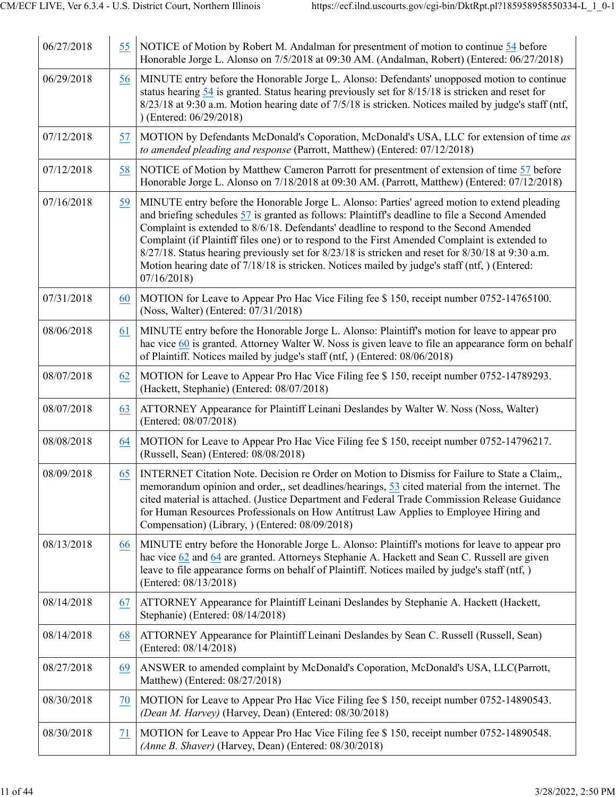| 06/27/2018 | 55 | NOTICE of Motion by Robert M. Andalman for presentment of motion to continue 54 before<br>Honorable Jorge L. Alonso on 7/5/2018 at 09:30 AM. (Andalman, Robert) (Entered: 06/27/2018)                                                                                                                                                                                                                                                                                                                                                                                                                          |
|------------|----|----------------------------------------------------------------------------------------------------------------------------------------------------------------------------------------------------------------------------------------------------------------------------------------------------------------------------------------------------------------------------------------------------------------------------------------------------------------------------------------------------------------------------------------------------------------------------------------------------------------|
| 06/29/2018 | 56 | MINUTE entry before the Honorable Jorge L. Alonso: Defendants' unopposed motion to continue<br>status hearing $54$ is granted. Status hearing previously set for $8/15/18$ is stricken and reset for<br>8/23/18 at 9:30 a.m. Motion hearing date of 7/5/18 is stricken. Notices mailed by judge's staff (ntf,<br>$)$ (Entered: 06/29/2018)                                                                                                                                                                                                                                                                     |
| 07/12/2018 | 57 | MOTION by Defendants McDonald's Coporation, McDonald's USA, LLC for extension of time as<br>to amended pleading and response (Parrott, Matthew) (Entered: 07/12/2018)                                                                                                                                                                                                                                                                                                                                                                                                                                          |
| 07/12/2018 | 58 | NOTICE of Motion by Matthew Cameron Parrott for presentment of extension of time 57 before<br>Honorable Jorge L. Alonso on 7/18/2018 at 09:30 AM. (Parrott, Matthew) (Entered: 07/12/2018)                                                                                                                                                                                                                                                                                                                                                                                                                     |
| 07/16/2018 | 59 | MINUTE entry before the Honorable Jorge L. Alonso: Parties' agreed motion to extend pleading<br>and briefing schedules 57 is granted as follows: Plaintiff's deadline to file a Second Amended<br>Complaint is extended to 8/6/18. Defendants' deadline to respond to the Second Amended<br>Complaint (if Plaintiff files one) or to respond to the First Amended Complaint is extended to<br>8/27/18. Status hearing previously set for 8/23/18 is stricken and reset for 8/30/18 at 9:30 a.m.<br>Motion hearing date of 7/18/18 is stricken. Notices mailed by judge's staff (ntf, ) (Entered:<br>07/16/2018 |
| 07/31/2018 | 60 | MOTION for Leave to Appear Pro Hac Vice Filing fee \$150, receipt number 0752-14765100.<br>(Noss, Walter) (Entered: 07/31/2018)                                                                                                                                                                                                                                                                                                                                                                                                                                                                                |
| 08/06/2018 | 61 | MINUTE entry before the Honorable Jorge L. Alonso: Plaintiff's motion for leave to appear pro<br>hac vice 60 is granted. Attorney Walter W. Noss is given leave to file an appearance form on behalf<br>of Plaintiff. Notices mailed by judge's staff (ntf, ) (Entered: 08/06/2018)                                                                                                                                                                                                                                                                                                                            |
| 08/07/2018 | 62 | MOTION for Leave to Appear Pro Hac Vice Filing fee \$150, receipt number 0752-14789293.<br>(Hackett, Stephanie) (Entered: 08/07/2018)                                                                                                                                                                                                                                                                                                                                                                                                                                                                          |
| 08/07/2018 | 63 | ATTORNEY Appearance for Plaintiff Leinani Deslandes by Walter W. Noss (Noss, Walter)<br>(Entered: 08/07/2018)                                                                                                                                                                                                                                                                                                                                                                                                                                                                                                  |
| 08/08/2018 | 64 | MOTION for Leave to Appear Pro Hac Vice Filing fee \$150, receipt number 0752-14796217.<br>(Russell, Sean) (Entered: 08/08/2018)                                                                                                                                                                                                                                                                                                                                                                                                                                                                               |
| 08/09/2018 | 65 | INTERNET Citation Note. Decision re Order on Motion to Dismiss for Failure to State a Claim,<br>memorandum opinion and order,, set deadlines/hearings, 53 cited material from the internet. The<br>cited material is attached. (Justice Department and Federal Trade Commission Release Guidance<br>for Human Resources Professionals on How Antitrust Law Applies to Employee Hiring and<br>Compensation) (Library, ) (Entered: 08/09/2018)                                                                                                                                                                   |
| 08/13/2018 | 66 | MINUTE entry before the Honorable Jorge L. Alonso: Plaintiff's motions for leave to appear pro<br>hac vice 62 and 64 are granted. Attorneys Stephanie A. Hackett and Sean C. Russell are given<br>leave to file appearance forms on behalf of Plaintiff. Notices mailed by judge's staff (ntf, )<br>(Entered: 08/13/2018)                                                                                                                                                                                                                                                                                      |
| 08/14/2018 | 67 | ATTORNEY Appearance for Plaintiff Leinani Deslandes by Stephanie A. Hackett (Hackett,<br>Stephanie) (Entered: 08/14/2018)                                                                                                                                                                                                                                                                                                                                                                                                                                                                                      |
| 08/14/2018 | 68 | ATTORNEY Appearance for Plaintiff Leinani Deslandes by Sean C. Russell (Russell, Sean)<br>(Entered: 08/14/2018)                                                                                                                                                                                                                                                                                                                                                                                                                                                                                                |
| 08/27/2018 | 69 | ANSWER to amended complaint by McDonald's Coporation, McDonald's USA, LLC(Parrott,<br>Matthew) (Entered: 08/27/2018)                                                                                                                                                                                                                                                                                                                                                                                                                                                                                           |
| 08/30/2018 | 70 | MOTION for Leave to Appear Pro Hac Vice Filing fee \$ 150, receipt number 0752-14890543.<br>(Dean M. Harvey) (Harvey, Dean) (Entered: 08/30/2018)                                                                                                                                                                                                                                                                                                                                                                                                                                                              |
| 08/30/2018 | 71 | MOTION for Leave to Appear Pro Hac Vice Filing fee \$150, receipt number 0752-14890548.<br>(Anne B. Shaver) (Harvey, Dean) (Entered: 08/30/2018)                                                                                                                                                                                                                                                                                                                                                                                                                                                               |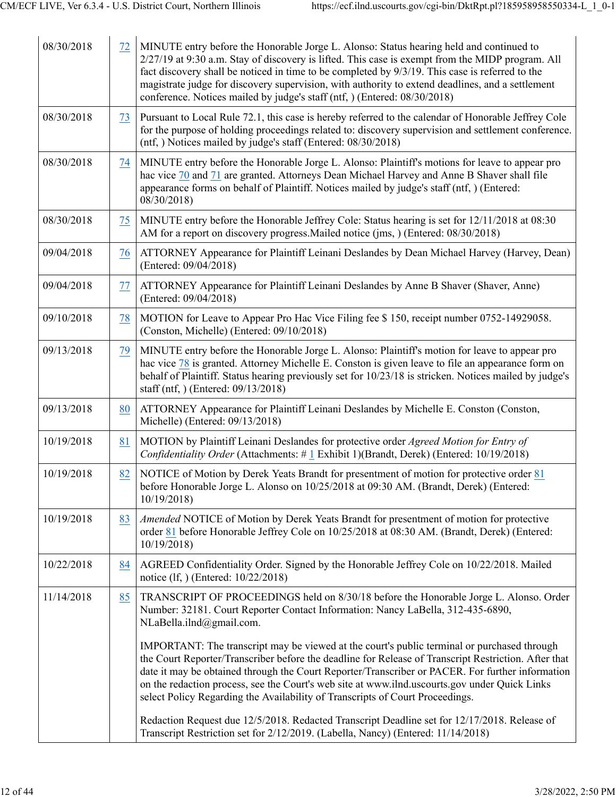| 08/30/2018 | 72 | MINUTE entry before the Honorable Jorge L. Alonso: Status hearing held and continued to<br>2/27/19 at 9:30 a.m. Stay of discovery is lifted. This case is exempt from the MIDP program. All<br>fact discovery shall be noticed in time to be completed by 9/3/19. This case is referred to the<br>magistrate judge for discovery supervision, with authority to extend deadlines, and a settlement<br>conference. Notices mailed by judge's staff (ntf, ) (Entered: 08/30/2018)           |
|------------|----|-------------------------------------------------------------------------------------------------------------------------------------------------------------------------------------------------------------------------------------------------------------------------------------------------------------------------------------------------------------------------------------------------------------------------------------------------------------------------------------------|
| 08/30/2018 | 73 | Pursuant to Local Rule 72.1, this case is hereby referred to the calendar of Honorable Jeffrey Cole<br>for the purpose of holding proceedings related to: discovery supervision and settlement conference.<br>(ntf, ) Notices mailed by judge's staff (Entered: 08/30/2018)                                                                                                                                                                                                               |
| 08/30/2018 | 74 | MINUTE entry before the Honorable Jorge L. Alonso: Plaintiff's motions for leave to appear pro<br>hac vice 70 and 71 are granted. Attorneys Dean Michael Harvey and Anne B Shaver shall file<br>appearance forms on behalf of Plaintiff. Notices mailed by judge's staff (ntf, ) (Entered:<br>08/30/2018)                                                                                                                                                                                 |
| 08/30/2018 | 75 | MINUTE entry before the Honorable Jeffrey Cole: Status hearing is set for 12/11/2018 at 08:30<br>AM for a report on discovery progress. Mailed notice (jms, ) (Entered: 08/30/2018)                                                                                                                                                                                                                                                                                                       |
| 09/04/2018 | 76 | ATTORNEY Appearance for Plaintiff Leinani Deslandes by Dean Michael Harvey (Harvey, Dean)<br>(Entered: 09/04/2018)                                                                                                                                                                                                                                                                                                                                                                        |
| 09/04/2018 | 77 | ATTORNEY Appearance for Plaintiff Leinani Deslandes by Anne B Shaver (Shaver, Anne)<br>(Entered: 09/04/2018)                                                                                                                                                                                                                                                                                                                                                                              |
| 09/10/2018 | 78 | MOTION for Leave to Appear Pro Hac Vice Filing fee \$150, receipt number 0752-14929058.<br>(Conston, Michelle) (Entered: 09/10/2018)                                                                                                                                                                                                                                                                                                                                                      |
| 09/13/2018 | 79 | MINUTE entry before the Honorable Jorge L. Alonso: Plaintiff's motion for leave to appear pro<br>hac vice 78 is granted. Attorney Michelle E. Conston is given leave to file an appearance form on<br>behalf of Plaintiff. Status hearing previously set for 10/23/18 is stricken. Notices mailed by judge's<br>staff (ntf, ) (Entered: 09/13/2018)                                                                                                                                       |
| 09/13/2018 | 80 | ATTORNEY Appearance for Plaintiff Leinani Deslandes by Michelle E. Conston (Conston,<br>Michelle) (Entered: 09/13/2018)                                                                                                                                                                                                                                                                                                                                                                   |
| 10/19/2018 | 81 | MOTION by Plaintiff Leinani Deslandes for protective order <i>Agreed Motion for Entry of</i><br>Confidentiality Order (Attachments: $\#$ 1 Exhibit 1)(Brandt, Derek) (Entered: 10/19/2018)                                                                                                                                                                                                                                                                                                |
| 10/19/2018 | 82 | NOTICE of Motion by Derek Yeats Brandt for presentment of motion for protective order 81<br>before Honorable Jorge L. Alonso on 10/25/2018 at 09:30 AM. (Brandt, Derek) (Entered:<br>10/19/2018                                                                                                                                                                                                                                                                                           |
| 10/19/2018 | 83 | Amended NOTICE of Motion by Derek Yeats Brandt for presentment of motion for protective<br>order 81 before Honorable Jeffrey Cole on 10/25/2018 at 08:30 AM. (Brandt, Derek) (Entered:<br>10/19/2018                                                                                                                                                                                                                                                                                      |
| 10/22/2018 | 84 | AGREED Confidentiality Order. Signed by the Honorable Jeffrey Cole on 10/22/2018. Mailed<br>notice (lf, ) (Entered: 10/22/2018)                                                                                                                                                                                                                                                                                                                                                           |
| 11/14/2018 | 85 | TRANSCRIPT OF PROCEEDINGS held on 8/30/18 before the Honorable Jorge L. Alonso. Order<br>Number: 32181. Court Reporter Contact Information: Nancy LaBella, 312-435-6890,<br>NLaBella.ilnd@gmail.com.                                                                                                                                                                                                                                                                                      |
|            |    | IMPORTANT: The transcript may be viewed at the court's public terminal or purchased through<br>the Court Reporter/Transcriber before the deadline for Release of Transcript Restriction. After that<br>date it may be obtained through the Court Reporter/Transcriber or PACER. For further information<br>on the redaction process, see the Court's web site at www.ilnd.uscourts.gov under Quick Links<br>select Policy Regarding the Availability of Transcripts of Court Proceedings. |
|            |    | Redaction Request due 12/5/2018. Redacted Transcript Deadline set for 12/17/2018. Release of<br>Transcript Restriction set for 2/12/2019. (Labella, Nancy) (Entered: 11/14/2018)                                                                                                                                                                                                                                                                                                          |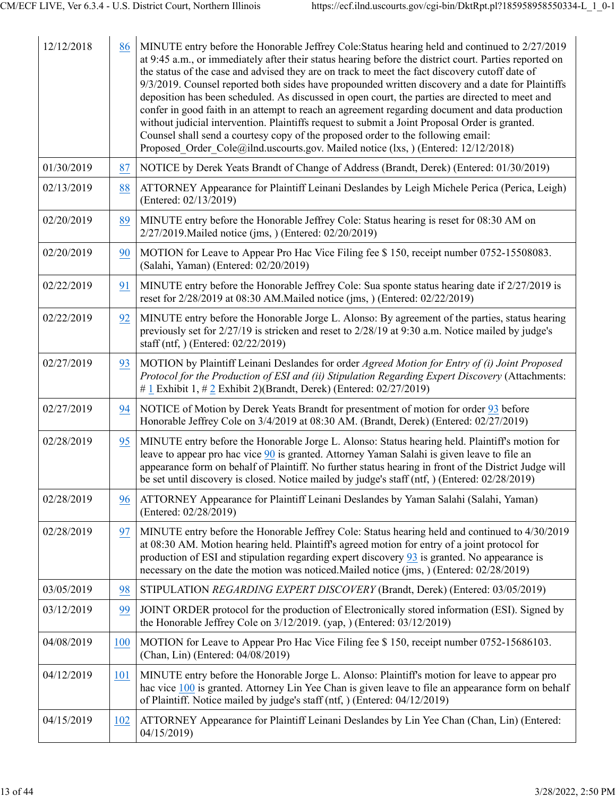| 12/12/2018 | 86  | MINUTE entry before the Honorable Jeffrey Cole: Status hearing held and continued to 2/27/2019<br>at 9:45 a.m., or immediately after their status hearing before the district court. Parties reported on<br>the status of the case and advised they are on track to meet the fact discovery cutoff date of<br>9/3/2019. Counsel reported both sides have propounded written discovery and a date for Plaintiffs<br>deposition has been scheduled. As discussed in open court, the parties are directed to meet and<br>confer in good faith in an attempt to reach an agreement regarding document and data production<br>without judicial intervention. Plaintiffs request to submit a Joint Proposal Order is granted.<br>Counsel shall send a courtesy copy of the proposed order to the following email:<br>Proposed Order Cole@ilnd.uscourts.gov. Mailed notice (lxs, ) (Entered: 12/12/2018) |
|------------|-----|---------------------------------------------------------------------------------------------------------------------------------------------------------------------------------------------------------------------------------------------------------------------------------------------------------------------------------------------------------------------------------------------------------------------------------------------------------------------------------------------------------------------------------------------------------------------------------------------------------------------------------------------------------------------------------------------------------------------------------------------------------------------------------------------------------------------------------------------------------------------------------------------------|
| 01/30/2019 | 87  | NOTICE by Derek Yeats Brandt of Change of Address (Brandt, Derek) (Entered: 01/30/2019)                                                                                                                                                                                                                                                                                                                                                                                                                                                                                                                                                                                                                                                                                                                                                                                                           |
| 02/13/2019 | 88  | ATTORNEY Appearance for Plaintiff Leinani Deslandes by Leigh Michele Perica (Perica, Leigh)<br>(Entered: 02/13/2019)                                                                                                                                                                                                                                                                                                                                                                                                                                                                                                                                                                                                                                                                                                                                                                              |
| 02/20/2019 | 89  | MINUTE entry before the Honorable Jeffrey Cole: Status hearing is reset for 08:30 AM on<br>2/27/2019. Mailed notice (jms, ) (Entered: 02/20/2019)                                                                                                                                                                                                                                                                                                                                                                                                                                                                                                                                                                                                                                                                                                                                                 |
| 02/20/2019 | 90  | MOTION for Leave to Appear Pro Hac Vice Filing fee \$150, receipt number 0752-15508083.<br>(Salahi, Yaman) (Entered: 02/20/2019)                                                                                                                                                                                                                                                                                                                                                                                                                                                                                                                                                                                                                                                                                                                                                                  |
| 02/22/2019 | 91  | MINUTE entry before the Honorable Jeffrey Cole: Sua sponte status hearing date if 2/27/2019 is<br>reset for 2/28/2019 at 08:30 AM. Mailed notice (jms.) (Entered: 02/22/2019)                                                                                                                                                                                                                                                                                                                                                                                                                                                                                                                                                                                                                                                                                                                     |
| 02/22/2019 | 92  | MINUTE entry before the Honorable Jorge L. Alonso: By agreement of the parties, status hearing<br>previously set for 2/27/19 is stricken and reset to 2/28/19 at 9:30 a.m. Notice mailed by judge's<br>staff (ntf, ) (Entered: 02/22/2019)                                                                                                                                                                                                                                                                                                                                                                                                                                                                                                                                                                                                                                                        |
| 02/27/2019 | 93  | MOTION by Plaintiff Leinani Deslandes for order Agreed Motion for Entry of (i) Joint Proposed<br>Protocol for the Production of ESI and (ii) Stipulation Regarding Expert Discovery (Attachments:<br># 1 Exhibit 1, # 2 Exhibit 2)(Brandt, Derek) (Entered: $02/27/2019$ )                                                                                                                                                                                                                                                                                                                                                                                                                                                                                                                                                                                                                        |
| 02/27/2019 | 94  | NOTICE of Motion by Derek Yeats Brandt for presentment of motion for order 93 before<br>Honorable Jeffrey Cole on 3/4/2019 at 08:30 AM. (Brandt, Derek) (Entered: 02/27/2019)                                                                                                                                                                                                                                                                                                                                                                                                                                                                                                                                                                                                                                                                                                                     |
| 02/28/2019 | 95  | MINUTE entry before the Honorable Jorge L. Alonso: Status hearing held. Plaintiff's motion for<br>leave to appear pro hac vice 90 is granted. Attorney Yaman Salahi is given leave to file an<br>appearance form on behalf of Plaintiff. No further status hearing in front of the District Judge will<br>be set until discovery is closed. Notice mailed by judge's staff (ntf, ) (Entered: 02/28/2019)                                                                                                                                                                                                                                                                                                                                                                                                                                                                                          |
| 02/28/2019 | 96  | ATTORNEY Appearance for Plaintiff Leinani Deslandes by Yaman Salahi (Salahi, Yaman)<br>(Entered: 02/28/2019)                                                                                                                                                                                                                                                                                                                                                                                                                                                                                                                                                                                                                                                                                                                                                                                      |
| 02/28/2019 | 97  | MINUTE entry before the Honorable Jeffrey Cole: Status hearing held and continued to 4/30/2019<br>at 08:30 AM. Motion hearing held. Plaintiff's agreed motion for entry of a joint protocol for<br>production of ESI and stipulation regarding expert discovery $93$ is granted. No appearance is<br>necessary on the date the motion was noticed. Mailed notice (jms, ) (Entered: 02/28/2019)                                                                                                                                                                                                                                                                                                                                                                                                                                                                                                    |
| 03/05/2019 | 98  | STIPULATION REGARDING EXPERT DISCOVERY (Brandt, Derek) (Entered: 03/05/2019)                                                                                                                                                                                                                                                                                                                                                                                                                                                                                                                                                                                                                                                                                                                                                                                                                      |
| 03/12/2019 | 99  | JOINT ORDER protocol for the production of Electronically stored information (ESI). Signed by<br>the Honorable Jeffrey Cole on $3/12/2019$ . (yap, ) (Entered: $03/12/2019$ )                                                                                                                                                                                                                                                                                                                                                                                                                                                                                                                                                                                                                                                                                                                     |
| 04/08/2019 | 100 | MOTION for Leave to Appear Pro Hac Vice Filing fee \$150, receipt number 0752-15686103.<br>(Chan, Lin) (Entered: 04/08/2019)                                                                                                                                                                                                                                                                                                                                                                                                                                                                                                                                                                                                                                                                                                                                                                      |
| 04/12/2019 | 101 | MINUTE entry before the Honorable Jorge L. Alonso: Plaintiff's motion for leave to appear pro<br>hac vice 100 is granted. Attorney Lin Yee Chan is given leave to file an appearance form on behalf<br>of Plaintiff. Notice mailed by judge's staff (ntf, ) (Entered: 04/12/2019)                                                                                                                                                                                                                                                                                                                                                                                                                                                                                                                                                                                                                 |
| 04/15/2019 | 102 | ATTORNEY Appearance for Plaintiff Leinani Deslandes by Lin Yee Chan (Chan, Lin) (Entered:<br>04/15/2019)                                                                                                                                                                                                                                                                                                                                                                                                                                                                                                                                                                                                                                                                                                                                                                                          |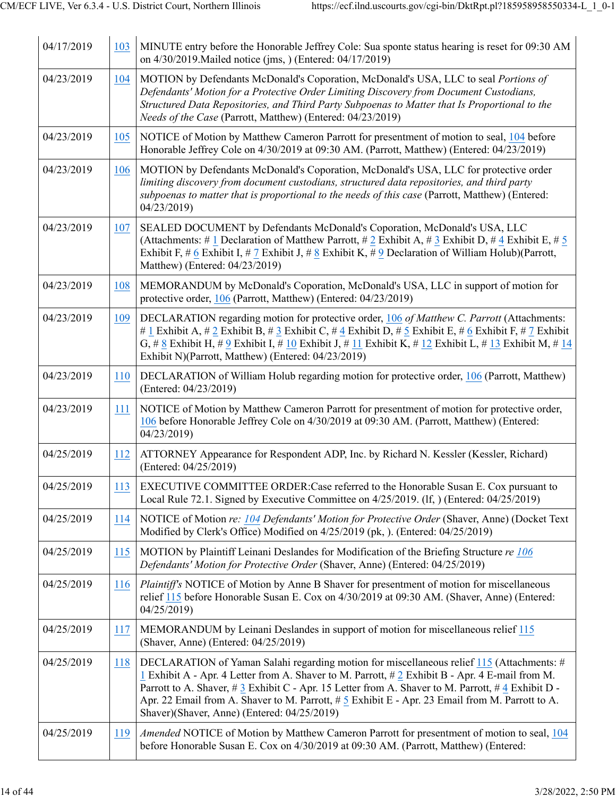| 04/17/2019 | 103 | MINUTE entry before the Honorable Jeffrey Cole: Sua sponte status hearing is reset for 09:30 AM<br>on 4/30/2019. Mailed notice (jms, ) (Entered: 04/17/2019)                                                                                                                                                                                                                                                                                             |
|------------|-----|----------------------------------------------------------------------------------------------------------------------------------------------------------------------------------------------------------------------------------------------------------------------------------------------------------------------------------------------------------------------------------------------------------------------------------------------------------|
| 04/23/2019 | 104 | MOTION by Defendants McDonald's Coporation, McDonald's USA, LLC to seal Portions of<br>Defendants' Motion for a Protective Order Limiting Discovery from Document Custodians,<br>Structured Data Repositories, and Third Party Subpoenas to Matter that Is Proportional to the<br>Needs of the Case (Parrott, Matthew) (Entered: 04/23/2019)                                                                                                             |
| 04/23/2019 | 105 | NOTICE of Motion by Matthew Cameron Parrott for presentment of motion to seal, 104 before<br>Honorable Jeffrey Cole on 4/30/2019 at 09:30 AM. (Parrott, Matthew) (Entered: 04/23/2019)                                                                                                                                                                                                                                                                   |
| 04/23/2019 | 106 | MOTION by Defendants McDonald's Coporation, McDonald's USA, LLC for protective order<br>limiting discovery from document custodians, structured data repositories, and third party<br>subpoenas to matter that is proportional to the needs of this case (Parrott, Matthew) (Entered:<br>04/23/2019)                                                                                                                                                     |
| 04/23/2019 | 107 | SEALED DOCUMENT by Defendants McDonald's Coporation, McDonald's USA, LLC<br>(Attachments: # 1 Declaration of Matthew Parrott, # 2 Exhibit A, # 3 Exhibit D, # 4 Exhibit E, # 5<br>Exhibit F, # 6 Exhibit I, # 7 Exhibit J, # 8 Exhibit K, # 9 Declaration of William Holub)(Parrott,<br>Matthew) (Entered: 04/23/2019)                                                                                                                                   |
| 04/23/2019 | 108 | MEMORANDUM by McDonald's Coporation, McDonald's USA, LLC in support of motion for<br>protective order, 106 (Parrott, Matthew) (Entered: 04/23/2019)                                                                                                                                                                                                                                                                                                      |
| 04/23/2019 | 109 | DECLARATION regarding motion for protective order, 106 of Matthew C. Parrott (Attachments:<br># 1 Exhibit A, # 2 Exhibit B, # 3 Exhibit C, # 4 Exhibit D, # 5 Exhibit E, # 6 Exhibit F, # 7 Exhibit<br>G, # 8 Exhibit H, # 9 Exhibit I, # 10 Exhibit J, # 11 Exhibit K, # 12 Exhibit L, # 13 Exhibit M, # 14<br>Exhibit N)(Parrott, Matthew) (Entered: 04/23/2019)                                                                                       |
| 04/23/2019 | 110 | DECLARATION of William Holub regarding motion for protective order, 106 (Parrott, Matthew)<br>(Entered: 04/23/2019)                                                                                                                                                                                                                                                                                                                                      |
| 04/23/2019 | 111 | NOTICE of Motion by Matthew Cameron Parrott for presentment of motion for protective order,<br>106 before Honorable Jeffrey Cole on 4/30/2019 at 09:30 AM. (Parrott, Matthew) (Entered:<br>04/23/2019                                                                                                                                                                                                                                                    |
| 04/25/2019 | 112 | ATTORNEY Appearance for Respondent ADP, Inc. by Richard N. Kessler (Kessler, Richard)<br>(Entered: 04/25/2019)                                                                                                                                                                                                                                                                                                                                           |
| 04/25/2019 |     | 113 EXECUTIVE COMMITTEE ORDER: Case referred to the Honorable Susan E. Cox pursuant to<br>Local Rule 72.1. Signed by Executive Committee on 4/25/2019. (If, ) (Entered: 04/25/2019)                                                                                                                                                                                                                                                                      |
| 04/25/2019 | 114 | NOTICE of Motion re: 104 Defendants' Motion for Protective Order (Shaver, Anne) (Docket Text<br>Modified by Clerk's Office) Modified on 4/25/2019 (pk, ). (Entered: 04/25/2019)                                                                                                                                                                                                                                                                          |
| 04/25/2019 | 115 | MOTION by Plaintiff Leinani Deslandes for Modification of the Briefing Structure re 106<br>Defendants' Motion for Protective Order (Shaver, Anne) (Entered: 04/25/2019)                                                                                                                                                                                                                                                                                  |
| 04/25/2019 | 116 | Plaintiff's NOTICE of Motion by Anne B Shaver for presentment of motion for miscellaneous<br>relief 115 before Honorable Susan E. Cox on 4/30/2019 at 09:30 AM. (Shaver, Anne) (Entered:<br>04/25/2019)                                                                                                                                                                                                                                                  |
| 04/25/2019 | 117 | MEMORANDUM by Leinani Deslandes in support of motion for miscellaneous relief 115<br>(Shaver, Anne) (Entered: 04/25/2019)                                                                                                                                                                                                                                                                                                                                |
| 04/25/2019 | 118 | DECLARATION of Yaman Salahi regarding motion for miscellaneous relief 115 (Attachments: #<br>1 Exhibit A - Apr. 4 Letter from A. Shaver to M. Parrott, $\# 2$ Exhibit B - Apr. 4 E-mail from M.<br>Parrott to A. Shaver, #3 Exhibit C - Apr. 15 Letter from A. Shaver to M. Parrott, #4 Exhibit D -<br>Apr. 22 Email from A. Shaver to M. Parrott, $\# 5$ Exhibit E - Apr. 23 Email from M. Parrott to A.<br>Shaver)(Shaver, Anne) (Entered: 04/25/2019) |
| 04/25/2019 | 119 | Amended NOTICE of Motion by Matthew Cameron Parrott for presentment of motion to seal, 104<br>before Honorable Susan E. Cox on 4/30/2019 at 09:30 AM. (Parrott, Matthew) (Entered:                                                                                                                                                                                                                                                                       |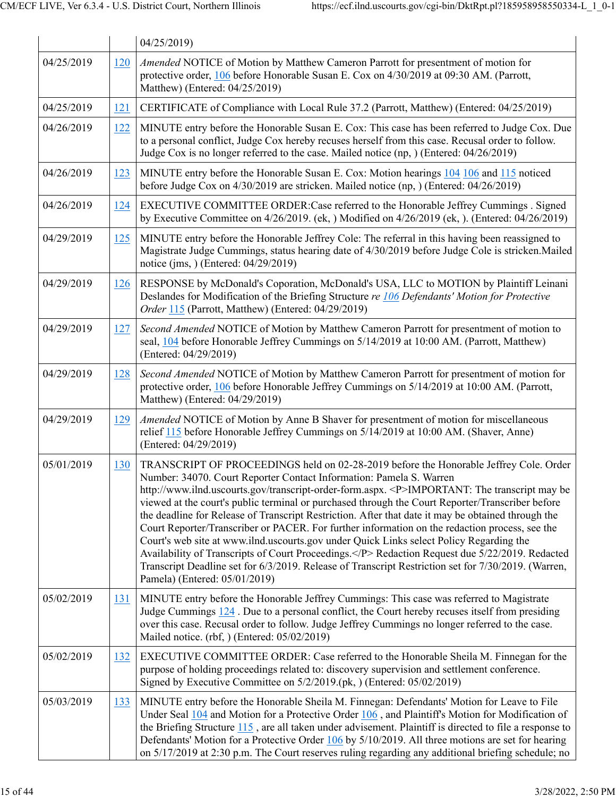|            |            | 04/25/2019)                                                                                                                                                                                                                                                                                                                                                                                                                                                                                                                                                                                                                                                                                                                                                                                                                                                                                                         |
|------------|------------|---------------------------------------------------------------------------------------------------------------------------------------------------------------------------------------------------------------------------------------------------------------------------------------------------------------------------------------------------------------------------------------------------------------------------------------------------------------------------------------------------------------------------------------------------------------------------------------------------------------------------------------------------------------------------------------------------------------------------------------------------------------------------------------------------------------------------------------------------------------------------------------------------------------------|
| 04/25/2019 | 120        | Amended NOTICE of Motion by Matthew Cameron Parrott for presentment of motion for<br>protective order, 106 before Honorable Susan E. Cox on 4/30/2019 at 09:30 AM. (Parrott,<br>Matthew) (Entered: 04/25/2019)                                                                                                                                                                                                                                                                                                                                                                                                                                                                                                                                                                                                                                                                                                      |
| 04/25/2019 | 121        | CERTIFICATE of Compliance with Local Rule 37.2 (Parrott, Matthew) (Entered: 04/25/2019)                                                                                                                                                                                                                                                                                                                                                                                                                                                                                                                                                                                                                                                                                                                                                                                                                             |
| 04/26/2019 | 122        | MINUTE entry before the Honorable Susan E. Cox: This case has been referred to Judge Cox. Due<br>to a personal conflict, Judge Cox hereby recuses herself from this case. Recusal order to follow.<br>Judge Cox is no longer referred to the case. Mailed notice (np, ) (Entered: 04/26/2019)                                                                                                                                                                                                                                                                                                                                                                                                                                                                                                                                                                                                                       |
| 04/26/2019 | 123        | MINUTE entry before the Honorable Susan E. Cox: Motion hearings 104 106 and 115 noticed<br>before Judge Cox on 4/30/2019 are stricken. Mailed notice (np, ) (Entered: 04/26/2019)                                                                                                                                                                                                                                                                                                                                                                                                                                                                                                                                                                                                                                                                                                                                   |
| 04/26/2019 | 124        | EXECUTIVE COMMITTEE ORDER: Case referred to the Honorable Jeffrey Cummings . Signed<br>by Executive Committee on $4/26/2019$ . (ek, ) Modified on $4/26/2019$ (ek, ). (Entered: 04/26/2019)                                                                                                                                                                                                                                                                                                                                                                                                                                                                                                                                                                                                                                                                                                                         |
| 04/29/2019 | 125        | MINUTE entry before the Honorable Jeffrey Cole: The referral in this having been reassigned to<br>Magistrate Judge Cummings, status hearing date of 4/30/2019 before Judge Cole is stricken. Mailed<br>notice (jms, ) (Entered: 04/29/2019)                                                                                                                                                                                                                                                                                                                                                                                                                                                                                                                                                                                                                                                                         |
| 04/29/2019 | 126        | RESPONSE by McDonald's Coporation, McDonald's USA, LLC to MOTION by Plaintiff Leinani<br>Deslandes for Modification of the Briefing Structure re 106 Defendants' Motion for Protective<br>Order 115 (Parrott, Matthew) (Entered: 04/29/2019)                                                                                                                                                                                                                                                                                                                                                                                                                                                                                                                                                                                                                                                                        |
| 04/29/2019 | 127        | Second Amended NOTICE of Motion by Matthew Cameron Parrott for presentment of motion to<br>seal, 104 before Honorable Jeffrey Cummings on 5/14/2019 at 10:00 AM. (Parrott, Matthew)<br>(Entered: 04/29/2019)                                                                                                                                                                                                                                                                                                                                                                                                                                                                                                                                                                                                                                                                                                        |
| 04/29/2019 | 128        | Second Amended NOTICE of Motion by Matthew Cameron Parrott for presentment of motion for<br>protective order, 106 before Honorable Jeffrey Cummings on 5/14/2019 at 10:00 AM. (Parrott,<br>Matthew) (Entered: 04/29/2019)                                                                                                                                                                                                                                                                                                                                                                                                                                                                                                                                                                                                                                                                                           |
| 04/29/2019 | 129        | Amended NOTICE of Motion by Anne B Shaver for presentment of motion for miscellaneous<br>relief 115 before Honorable Jeffrey Cummings on 5/14/2019 at 10:00 AM. (Shaver, Anne)<br>(Entered: 04/29/2019)                                                                                                                                                                                                                                                                                                                                                                                                                                                                                                                                                                                                                                                                                                             |
| 05/01/2019 | 130        | TRANSCRIPT OF PROCEEDINGS held on 02-28-2019 before the Honorable Jeffrey Cole. Order<br>Number: 34070. Court Reporter Contact Information: Pamela S. Warren<br>http://www.ilnd.uscourts.gov/transcript-order-form.aspx. <p>IMPORTANT: The transcript may be<br/>viewed at the court's public terminal or purchased through the Court Reporter/Transcriber before<br/>the deadline for Release of Transcript Restriction. After that date it may be obtained through the<br/>Court Reporter/Transcriber or PACER. For further information on the redaction process, see the<br/>Court's web site at www.ilnd.uscourts.gov under Quick Links select Policy Regarding the<br/>Availability of Transcripts of Court Proceedings.</p> Redaction Request due 5/22/2019. Redacted<br>Transcript Deadline set for 6/3/2019. Release of Transcript Restriction set for 7/30/2019. (Warren,<br>Pamela) (Entered: 05/01/2019) |
| 05/02/2019 | 131        | MINUTE entry before the Honorable Jeffrey Cummings: This case was referred to Magistrate<br>Judge Cummings $124$ . Due to a personal conflict, the Court hereby recuses itself from presiding<br>over this case. Recusal order to follow. Judge Jeffrey Cummings no longer referred to the case.<br>Mailed notice. (rbf, ) (Entered: 05/02/2019)                                                                                                                                                                                                                                                                                                                                                                                                                                                                                                                                                                    |
| 05/02/2019 | <u>132</u> | EXECUTIVE COMMITTEE ORDER: Case referred to the Honorable Sheila M. Finnegan for the<br>purpose of holding proceedings related to: discovery supervision and settlement conference.<br>Signed by Executive Committee on 5/2/2019.(pk, ) (Entered: 05/02/2019)                                                                                                                                                                                                                                                                                                                                                                                                                                                                                                                                                                                                                                                       |
| 05/03/2019 | 133        | MINUTE entry before the Honorable Sheila M. Finnegan: Defendants' Motion for Leave to File<br>Under Seal 104 and Motion for a Protective Order 106, and Plaintiff's Motion for Modification of<br>the Briefing Structure $115$ , are all taken under advisement. Plaintiff is directed to file a response to<br>Defendants' Motion for a Protective Order $106$ by $5/10/2019$ . All three motions are set for hearing<br>on 5/17/2019 at 2:30 p.m. The Court reserves ruling regarding any additional briefing schedule; no                                                                                                                                                                                                                                                                                                                                                                                        |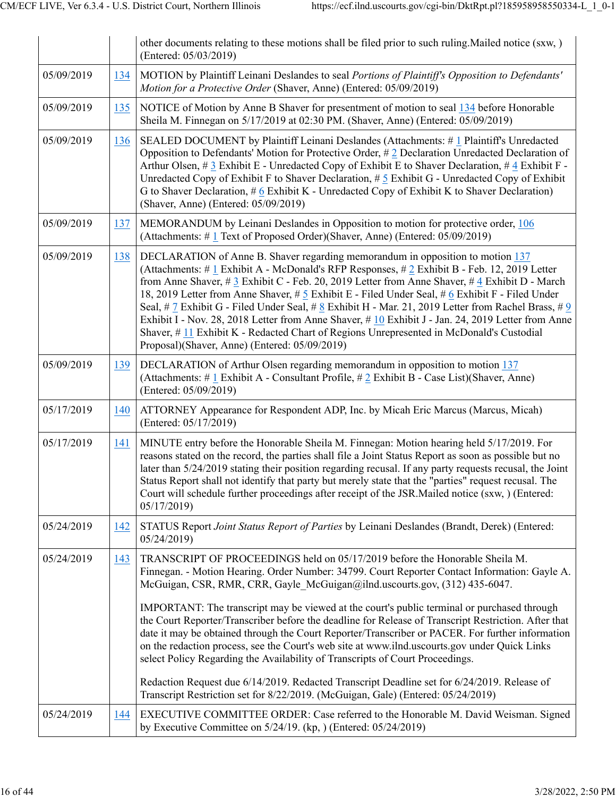|            |     | other documents relating to these motions shall be filed prior to such ruling. Mailed notice (sxw, )<br>(Entered: 05/03/2019)                                                                                                                                                                                                                                                                                                                                                                                                                                                                                                                                                                                                                                                                                                                                                                                                              |
|------------|-----|--------------------------------------------------------------------------------------------------------------------------------------------------------------------------------------------------------------------------------------------------------------------------------------------------------------------------------------------------------------------------------------------------------------------------------------------------------------------------------------------------------------------------------------------------------------------------------------------------------------------------------------------------------------------------------------------------------------------------------------------------------------------------------------------------------------------------------------------------------------------------------------------------------------------------------------------|
| 05/09/2019 | 134 | MOTION by Plaintiff Leinani Deslandes to seal Portions of Plaintiff's Opposition to Defendants'<br>Motion for a Protective Order (Shaver, Anne) (Entered: 05/09/2019)                                                                                                                                                                                                                                                                                                                                                                                                                                                                                                                                                                                                                                                                                                                                                                      |
| 05/09/2019 | 135 | NOTICE of Motion by Anne B Shaver for presentment of motion to seal 134 before Honorable<br>Sheila M. Finnegan on 5/17/2019 at 02:30 PM. (Shaver, Anne) (Entered: 05/09/2019)                                                                                                                                                                                                                                                                                                                                                                                                                                                                                                                                                                                                                                                                                                                                                              |
| 05/09/2019 | 136 | SEALED DOCUMENT by Plaintiff Leinani Deslandes (Attachments: #1 Plaintiff's Unredacted<br>Opposition to Defendants' Motion for Protective Order, #2 Declaration Unredacted Declaration of<br>Arthur Olsen, # 3 Exhibit E - Unredacted Copy of Exhibit E to Shaver Declaration, # 4 Exhibit F -<br>Unredacted Copy of Exhibit F to Shaver Declaration, $\#$ 5 Exhibit G - Unredacted Copy of Exhibit<br>G to Shaver Declaration, $\#$ 6 Exhibit K - Unredacted Copy of Exhibit K to Shaver Declaration)<br>(Shaver, Anne) (Entered: 05/09/2019)                                                                                                                                                                                                                                                                                                                                                                                             |
| 05/09/2019 | 137 | MEMORANDUM by Leinani Deslandes in Opposition to motion for protective order, 106<br>(Attachments: #1 Text of Proposed Order)(Shaver, Anne) (Entered: 05/09/2019)                                                                                                                                                                                                                                                                                                                                                                                                                                                                                                                                                                                                                                                                                                                                                                          |
| 05/09/2019 | 138 | DECLARATION of Anne B. Shaver regarding memorandum in opposition to motion 137<br>(Attachments: # 1 Exhibit A - McDonald's RFP Responses, # 2 Exhibit B - Feb. 12, 2019 Letter<br>from Anne Shaver, # $3$ Exhibit C - Feb. 20, 2019 Letter from Anne Shaver, # $4$ Exhibit D - March<br>18, 2019 Letter from Anne Shaver, # 5 Exhibit E - Filed Under Seal, # 6 Exhibit F - Filed Under<br>Seal, # 7 Exhibit G - Filed Under Seal, # 8 Exhibit H - Mar. 21, 2019 Letter from Rachel Brass, # 9<br>Exhibit I - Nov. 28, 2018 Letter from Anne Shaver, #10 Exhibit J - Jan. 24, 2019 Letter from Anne<br>Shaver, $\#$ 11 Exhibit K - Redacted Chart of Regions Unrepresented in McDonald's Custodial<br>Proposal)(Shaver, Anne) (Entered: 05/09/2019)                                                                                                                                                                                        |
| 05/09/2019 | 139 | DECLARATION of Arthur Olsen regarding memorandum in opposition to motion 137<br>(Attachments: # $1$ Exhibit A - Consultant Profile, # $2$ Exhibit B - Case List)(Shaver, Anne)<br>(Entered: 05/09/2019)                                                                                                                                                                                                                                                                                                                                                                                                                                                                                                                                                                                                                                                                                                                                    |
| 05/17/2019 | 140 | ATTORNEY Appearance for Respondent ADP, Inc. by Micah Eric Marcus (Marcus, Micah)<br>(Entered: 05/17/2019)                                                                                                                                                                                                                                                                                                                                                                                                                                                                                                                                                                                                                                                                                                                                                                                                                                 |
| 05/17/2019 | 141 | MINUTE entry before the Honorable Sheila M. Finnegan: Motion hearing held 5/17/2019. For<br>reasons stated on the record, the parties shall file a Joint Status Report as soon as possible but no<br>later than 5/24/2019 stating their position regarding recusal. If any party requests recusal, the Joint<br>Status Report shall not identify that party but merely state that the "parties" request recusal. The<br>Court will schedule further proceedings after receipt of the JSR. Mailed notice (sxw, ) (Entered:<br>05/17/2019)                                                                                                                                                                                                                                                                                                                                                                                                   |
| 05/24/2019 | 142 | STATUS Report Joint Status Report of Parties by Leinani Deslandes (Brandt, Derek) (Entered:<br>05/24/2019                                                                                                                                                                                                                                                                                                                                                                                                                                                                                                                                                                                                                                                                                                                                                                                                                                  |
| 05/24/2019 | 143 | TRANSCRIPT OF PROCEEDINGS held on 05/17/2019 before the Honorable Sheila M.<br>Finnegan. - Motion Hearing. Order Number: 34799. Court Reporter Contact Information: Gayle A.<br>McGuigan, CSR, RMR, CRR, Gayle McGuigan@ilnd.uscourts.gov, (312) 435-6047.<br>IMPORTANT: The transcript may be viewed at the court's public terminal or purchased through<br>the Court Reporter/Transcriber before the deadline for Release of Transcript Restriction. After that<br>date it may be obtained through the Court Reporter/Transcriber or PACER. For further information<br>on the redaction process, see the Court's web site at www.ilnd.uscourts.gov under Quick Links<br>select Policy Regarding the Availability of Transcripts of Court Proceedings.<br>Redaction Request due 6/14/2019. Redacted Transcript Deadline set for 6/24/2019. Release of<br>Transcript Restriction set for 8/22/2019. (McGuigan, Gale) (Entered: 05/24/2019) |
| 05/24/2019 | 144 | EXECUTIVE COMMITTEE ORDER: Case referred to the Honorable M. David Weisman. Signed<br>by Executive Committee on $5/24/19$ . (kp, ) (Entered: $05/24/2019$ )                                                                                                                                                                                                                                                                                                                                                                                                                                                                                                                                                                                                                                                                                                                                                                                |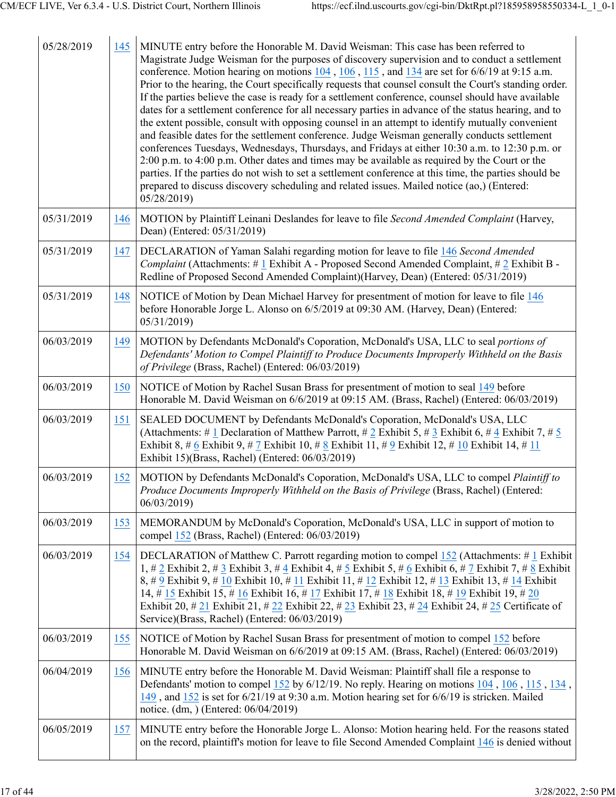| 05/28/2019 | 145 | MINUTE entry before the Honorable M. David Weisman: This case has been referred to<br>Magistrate Judge Weisman for the purposes of discovery supervision and to conduct a settlement<br>conference. Motion hearing on motions 104, 106, 115, and 134 are set for 6/6/19 at 9:15 a.m.<br>Prior to the hearing, the Court specifically requests that counsel consult the Court's standing order.<br>If the parties believe the case is ready for a settlement conference, counsel should have available<br>dates for a settlement conference for all necessary parties in advance of the status hearing, and to<br>the extent possible, consult with opposing counsel in an attempt to identify mutually convenient<br>and feasible dates for the settlement conference. Judge Weisman generally conducts settlement<br>conferences Tuesdays, Wednesdays, Thursdays, and Fridays at either 10:30 a.m. to 12:30 p.m. or<br>2:00 p.m. to 4:00 p.m. Other dates and times may be available as required by the Court or the<br>parties. If the parties do not wish to set a settlement conference at this time, the parties should be<br>prepared to discuss discovery scheduling and related issues. Mailed notice (ao,) (Entered:<br>05/28/2019 |
|------------|-----|---------------------------------------------------------------------------------------------------------------------------------------------------------------------------------------------------------------------------------------------------------------------------------------------------------------------------------------------------------------------------------------------------------------------------------------------------------------------------------------------------------------------------------------------------------------------------------------------------------------------------------------------------------------------------------------------------------------------------------------------------------------------------------------------------------------------------------------------------------------------------------------------------------------------------------------------------------------------------------------------------------------------------------------------------------------------------------------------------------------------------------------------------------------------------------------------------------------------------------------------|
| 05/31/2019 | 146 | MOTION by Plaintiff Leinani Deslandes for leave to file Second Amended Complaint (Harvey,<br>Dean) (Entered: 05/31/2019)                                                                                                                                                                                                                                                                                                                                                                                                                                                                                                                                                                                                                                                                                                                                                                                                                                                                                                                                                                                                                                                                                                                    |
| 05/31/2019 | 147 | DECLARATION of Yaman Salahi regarding motion for leave to file 146 Second Amended<br><i>Complaint</i> (Attachments: # 1 Exhibit A - Proposed Second Amended Complaint, # 2 Exhibit B -<br>Redline of Proposed Second Amended Complaint)(Harvey, Dean) (Entered: 05/31/2019)                                                                                                                                                                                                                                                                                                                                                                                                                                                                                                                                                                                                                                                                                                                                                                                                                                                                                                                                                                 |
| 05/31/2019 | 148 | NOTICE of Motion by Dean Michael Harvey for presentment of motion for leave to file 146<br>before Honorable Jorge L. Alonso on 6/5/2019 at 09:30 AM. (Harvey, Dean) (Entered:<br>05/31/2019                                                                                                                                                                                                                                                                                                                                                                                                                                                                                                                                                                                                                                                                                                                                                                                                                                                                                                                                                                                                                                                 |
| 06/03/2019 | 149 | MOTION by Defendants McDonald's Coporation, McDonald's USA, LLC to seal portions of<br>Defendants' Motion to Compel Plaintiff to Produce Documents Improperly Withheld on the Basis<br>of Privilege (Brass, Rachel) (Entered: 06/03/2019)                                                                                                                                                                                                                                                                                                                                                                                                                                                                                                                                                                                                                                                                                                                                                                                                                                                                                                                                                                                                   |
| 06/03/2019 | 150 | NOTICE of Motion by Rachel Susan Brass for presentment of motion to seal 149 before<br>Honorable M. David Weisman on 6/6/2019 at 09:15 AM. (Brass, Rachel) (Entered: 06/03/2019)                                                                                                                                                                                                                                                                                                                                                                                                                                                                                                                                                                                                                                                                                                                                                                                                                                                                                                                                                                                                                                                            |
| 06/03/2019 | 151 | SEALED DOCUMENT by Defendants McDonald's Coporation, McDonald's USA, LLC<br>(Attachments: # 1 Declaration of Matthew Parrott, # 2 Exhibit 5, # 3 Exhibit 6, # 4 Exhibit 7, # 5<br>Exhibit 8, # 6 Exhibit 9, # 7 Exhibit 10, # 8 Exhibit 11, # 9 Exhibit 12, # $10$ Exhibit 14, # $11$<br>Exhibit 15)(Brass, Rachel) (Entered: 06/03/2019)                                                                                                                                                                                                                                                                                                                                                                                                                                                                                                                                                                                                                                                                                                                                                                                                                                                                                                   |
| 06/03/2019 | 152 | MOTION by Defendants McDonald's Coporation, McDonald's USA, LLC to compel Plaintiff to<br>Produce Documents Improperly Withheld on the Basis of Privilege (Brass, Rachel) (Entered:<br>06/03/2019)                                                                                                                                                                                                                                                                                                                                                                                                                                                                                                                                                                                                                                                                                                                                                                                                                                                                                                                                                                                                                                          |
| 06/03/2019 | 153 | MEMORANDUM by McDonald's Coporation, McDonald's USA, LLC in support of motion to<br>compel 152 (Brass, Rachel) (Entered: 06/03/2019)                                                                                                                                                                                                                                                                                                                                                                                                                                                                                                                                                                                                                                                                                                                                                                                                                                                                                                                                                                                                                                                                                                        |
| 06/03/2019 | 154 | DECLARATION of Matthew C. Parrott regarding motion to compel 152 (Attachments: #1 Exhibit<br>1, # 2 Exhibit 2, # 3 Exhibit 3, # 4 Exhibit 4, # 5 Exhibit 5, # 6 Exhibit 6, # 7 Exhibit 7, # 8 Exhibit<br>8, # 9 Exhibit 9, # 10 Exhibit 10, # 11 Exhibit 11, # 12 Exhibit 12, # 13 Exhibit 13, # 14 Exhibit<br>14, # 15 Exhibit 15, # 16 Exhibit 16, # 17 Exhibit 17, # 18 Exhibit 18, # 19 Exhibit 19, # 20<br>Exhibit 20, # 21 Exhibit 21, # 22 Exhibit 22, # 23 Exhibit 23, # 24 Exhibit 24, # 25 Certificate of<br>Service)(Brass, Rachel) (Entered: 06/03/2019)                                                                                                                                                                                                                                                                                                                                                                                                                                                                                                                                                                                                                                                                        |
| 06/03/2019 | 155 | NOTICE of Motion by Rachel Susan Brass for presentment of motion to compel 152 before<br>Honorable M. David Weisman on 6/6/2019 at 09:15 AM. (Brass, Rachel) (Entered: 06/03/2019)                                                                                                                                                                                                                                                                                                                                                                                                                                                                                                                                                                                                                                                                                                                                                                                                                                                                                                                                                                                                                                                          |
| 06/04/2019 | 156 | MINUTE entry before the Honorable M. David Weisman: Plaintiff shall file a response to<br>Defendants' motion to compel 152 by 6/12/19. No reply. Hearing on motions 104, 106, 115, 134,<br>149, and 152 is set for 6/21/19 at 9:30 a.m. Motion hearing set for 6/6/19 is stricken. Mailed<br>notice. (dm, ) (Entered: 06/04/2019)                                                                                                                                                                                                                                                                                                                                                                                                                                                                                                                                                                                                                                                                                                                                                                                                                                                                                                           |
| 06/05/2019 | 157 | MINUTE entry before the Honorable Jorge L. Alonso: Motion hearing held. For the reasons stated<br>on the record, plaintiff's motion for leave to file Second Amended Complaint 146 is denied without                                                                                                                                                                                                                                                                                                                                                                                                                                                                                                                                                                                                                                                                                                                                                                                                                                                                                                                                                                                                                                        |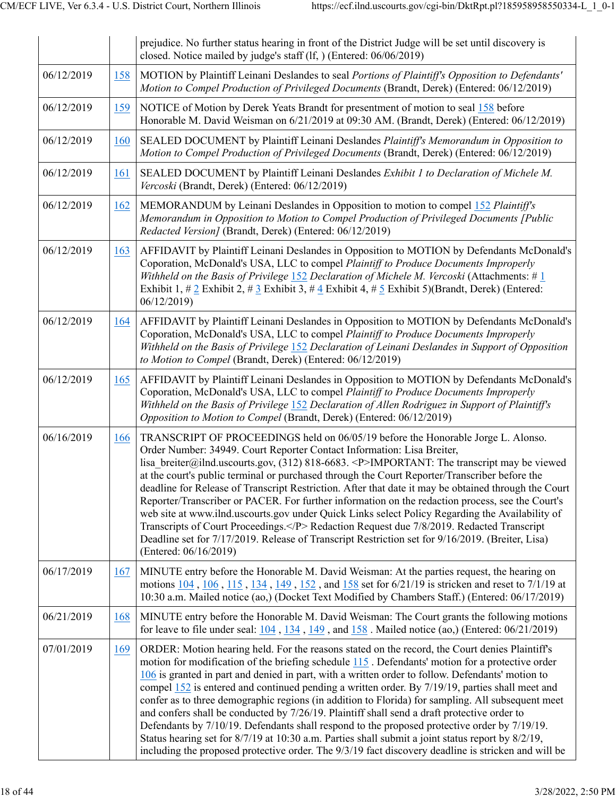|            |     | prejudice. No further status hearing in front of the District Judge will be set until discovery is<br>closed. Notice mailed by judge's staff (lf, ) (Entered: 06/06/2019)                                                                                                                                                                                                                                                                                                                                                                                                                                                                                                                                                                                                                                                                                                                                                |
|------------|-----|--------------------------------------------------------------------------------------------------------------------------------------------------------------------------------------------------------------------------------------------------------------------------------------------------------------------------------------------------------------------------------------------------------------------------------------------------------------------------------------------------------------------------------------------------------------------------------------------------------------------------------------------------------------------------------------------------------------------------------------------------------------------------------------------------------------------------------------------------------------------------------------------------------------------------|
| 06/12/2019 | 158 | MOTION by Plaintiff Leinani Deslandes to seal Portions of Plaintiff's Opposition to Defendants'<br>Motion to Compel Production of Privileged Documents (Brandt, Derek) (Entered: 06/12/2019)                                                                                                                                                                                                                                                                                                                                                                                                                                                                                                                                                                                                                                                                                                                             |
| 06/12/2019 | 159 | NOTICE of Motion by Derek Yeats Brandt for presentment of motion to seal 158 before<br>Honorable M. David Weisman on 6/21/2019 at 09:30 AM. (Brandt, Derek) (Entered: 06/12/2019)                                                                                                                                                                                                                                                                                                                                                                                                                                                                                                                                                                                                                                                                                                                                        |
| 06/12/2019 | 160 | SEALED DOCUMENT by Plaintiff Leinani Deslandes Plaintiff's Memorandum in Opposition to<br>Motion to Compel Production of Privileged Documents (Brandt, Derek) (Entered: 06/12/2019)                                                                                                                                                                                                                                                                                                                                                                                                                                                                                                                                                                                                                                                                                                                                      |
| 06/12/2019 | 161 | SEALED DOCUMENT by Plaintiff Leinani Deslandes Exhibit 1 to Declaration of Michele M.<br>Vercoski (Brandt, Derek) (Entered: 06/12/2019)                                                                                                                                                                                                                                                                                                                                                                                                                                                                                                                                                                                                                                                                                                                                                                                  |
| 06/12/2019 | 162 | MEMORANDUM by Leinani Deslandes in Opposition to motion to compel 152 Plaintiff's<br>Memorandum in Opposition to Motion to Compel Production of Privileged Documents [Public<br>Redacted Version] (Brandt, Derek) (Entered: 06/12/2019)                                                                                                                                                                                                                                                                                                                                                                                                                                                                                                                                                                                                                                                                                  |
| 06/12/2019 | 163 | AFFIDAVIT by Plaintiff Leinani Deslandes in Opposition to MOTION by Defendants McDonald's<br>Coporation, McDonald's USA, LLC to compel Plaintiff to Produce Documents Improperly<br>Withheld on the Basis of Privilege 152 Declaration of Michele M. Vercoski (Attachments: #1)<br>Exhibit 1, # 2 Exhibit 2, # 3 Exhibit 3, # 4 Exhibit 4, # 5 Exhibit 5)(Brandt, Derek) (Entered:<br>06/12/2019)                                                                                                                                                                                                                                                                                                                                                                                                                                                                                                                        |
| 06/12/2019 | 164 | AFFIDAVIT by Plaintiff Leinani Deslandes in Opposition to MOTION by Defendants McDonald's<br>Coporation, McDonald's USA, LLC to compel Plaintiff to Produce Documents Improperly<br>Withheld on the Basis of Privilege 152 Declaration of Leinani Deslandes in Support of Opposition<br>to Motion to Compel (Brandt, Derek) (Entered: 06/12/2019)                                                                                                                                                                                                                                                                                                                                                                                                                                                                                                                                                                        |
| 06/12/2019 | 165 | AFFIDAVIT by Plaintiff Leinani Deslandes in Opposition to MOTION by Defendants McDonald's<br>Coporation, McDonald's USA, LLC to compel Plaintiff to Produce Documents Improperly<br>Withheld on the Basis of Privilege 152 Declaration of Allen Rodriguez in Support of Plaintiff's<br>Opposition to Motion to Compel (Brandt, Derek) (Entered: 06/12/2019)                                                                                                                                                                                                                                                                                                                                                                                                                                                                                                                                                              |
| 06/16/2019 | 166 | TRANSCRIPT OF PROCEEDINGS held on 06/05/19 before the Honorable Jorge L. Alonso.<br>Order Number: 34949. Court Reporter Contact Information: Lisa Breiter,<br>lisa breiter@ilnd.uscourts.gov, $(312)$ 818-6683. <p>IMPORTANT: The transcript may be viewed<br/>at the court's public terminal or purchased through the Court Reporter/Transcriber before the<br/>deadline for Release of Transcript Restriction. After that date it may be obtained through the Court<br/>Reporter/Transcriber or PACER. For further information on the redaction process, see the Court's<br/>web site at www.ilnd.uscourts.gov under Quick Links select Policy Regarding the Availability of<br/>Transcripts of Court Proceedings.</p> Redaction Request due 7/8/2019. Redacted Transcript<br>Deadline set for 7/17/2019. Release of Transcript Restriction set for 9/16/2019. (Breiter, Lisa)<br>(Entered: 06/16/2019)                |
| 06/17/2019 | 167 | MINUTE entry before the Honorable M. David Weisman: At the parties request, the hearing on<br>motions 104, 106, 115, 134, 149, 152, and 158 set for 6/21/19 is stricken and reset to 7/1/19 at<br>10:30 a.m. Mailed notice (ao,) (Docket Text Modified by Chambers Staff.) (Entered: 06/17/2019)                                                                                                                                                                                                                                                                                                                                                                                                                                                                                                                                                                                                                         |
| 06/21/2019 | 168 | MINUTE entry before the Honorable M. David Weisman: The Court grants the following motions<br>for leave to file under seal: $\underline{104}$ , $\underline{134}$ , $\underline{149}$ , and $\underline{158}$ . Mailed notice (ao,) (Entered: 06/21/2019)                                                                                                                                                                                                                                                                                                                                                                                                                                                                                                                                                                                                                                                                |
| 07/01/2019 | 169 | ORDER: Motion hearing held. For the reasons stated on the record, the Court denies Plaintiff's<br>motion for modification of the briefing schedule 115. Defendants' motion for a protective order<br>106 is granted in part and denied in part, with a written order to follow. Defendants' motion to<br>compel 152 is entered and continued pending a written order. By 7/19/19, parties shall meet and<br>confer as to three demographic regions (in addition to Florida) for sampling. All subsequent meet<br>and confers shall be conducted by 7/26/19. Plaintiff shall send a draft protective order to<br>Defendants by 7/10/19. Defendants shall respond to the proposed protective order by 7/19/19.<br>Status hearing set for 8/7/19 at 10:30 a.m. Parties shall submit a joint status report by 8/2/19,<br>including the proposed protective order. The 9/3/19 fact discovery deadline is stricken and will be |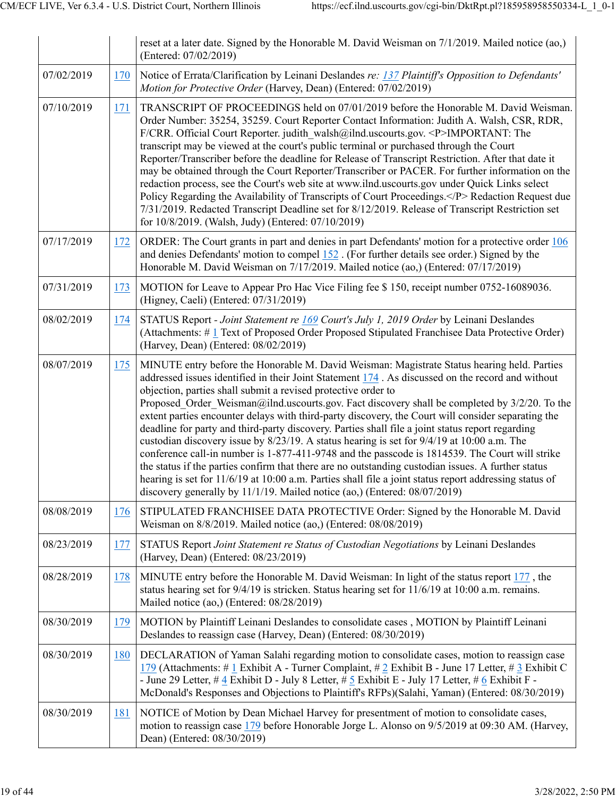|            |            | reset at a later date. Signed by the Honorable M. David Weisman on $7/1/2019$ . Mailed notice (ao,)<br>(Entered: 07/02/2019)                                                                                                                                                                                                                                                                                                                                                                                                                                                                                                                                                                                                                                                                                                                                                                                                                                                                                                                                             |
|------------|------------|--------------------------------------------------------------------------------------------------------------------------------------------------------------------------------------------------------------------------------------------------------------------------------------------------------------------------------------------------------------------------------------------------------------------------------------------------------------------------------------------------------------------------------------------------------------------------------------------------------------------------------------------------------------------------------------------------------------------------------------------------------------------------------------------------------------------------------------------------------------------------------------------------------------------------------------------------------------------------------------------------------------------------------------------------------------------------|
| 07/02/2019 | 170        | Notice of Errata/Clarification by Leinani Deslandes re: 137 Plaintiff's Opposition to Defendants'<br>Motion for Protective Order (Harvey, Dean) (Entered: 07/02/2019)                                                                                                                                                                                                                                                                                                                                                                                                                                                                                                                                                                                                                                                                                                                                                                                                                                                                                                    |
| 07/10/2019 | 171        | TRANSCRIPT OF PROCEEDINGS held on 07/01/2019 before the Honorable M. David Weisman.<br>Order Number: 35254, 35259. Court Reporter Contact Information: Judith A. Walsh, CSR, RDR,<br>F/CRR. Official Court Reporter. judith walsh@ilnd.uscourts.gov. <p>IMPORTANT: The<br/>transcript may be viewed at the court's public terminal or purchased through the Court<br/>Reporter/Transcriber before the deadline for Release of Transcript Restriction. After that date it<br/>may be obtained through the Court Reporter/Transcriber or PACER. For further information on the<br/>redaction process, see the Court's web site at www.ilnd.uscourts.gov under Quick Links select<br/>Policy Regarding the Availability of Transcripts of Court Proceedings.</p> Redaction Request due<br>7/31/2019. Redacted Transcript Deadline set for 8/12/2019. Release of Transcript Restriction set<br>for 10/8/2019. (Walsh, Judy) (Entered: 07/10/2019)                                                                                                                            |
| 07/17/2019 | 172        | ORDER: The Court grants in part and denies in part Defendants' motion for a protective order 106<br>and denies Defendants' motion to compel $152$ . (For further details see order.) Signed by the<br>Honorable M. David Weisman on 7/17/2019. Mailed notice (ao,) (Entered: 07/17/2019)                                                                                                                                                                                                                                                                                                                                                                                                                                                                                                                                                                                                                                                                                                                                                                                 |
| 07/31/2019 | 173        | MOTION for Leave to Appear Pro Hac Vice Filing fee \$150, receipt number 0752-16089036.<br>(Higney, Caeli) (Entered: 07/31/2019)                                                                                                                                                                                                                                                                                                                                                                                                                                                                                                                                                                                                                                                                                                                                                                                                                                                                                                                                         |
| 08/02/2019 | 174        | STATUS Report - Joint Statement re 169 Court's July 1, 2019 Order by Leinani Deslandes<br>(Attachments: #1 Text of Proposed Order Proposed Stipulated Franchisee Data Protective Order)<br>(Harvey, Dean) (Entered: 08/02/2019)                                                                                                                                                                                                                                                                                                                                                                                                                                                                                                                                                                                                                                                                                                                                                                                                                                          |
| 08/07/2019 | <u>175</u> | MINUTE entry before the Honorable M. David Weisman: Magistrate Status hearing held. Parties<br>addressed issues identified in their Joint Statement 174. As discussed on the record and without<br>objection, parties shall submit a revised protective order to<br>Proposed Order Weisman@ilnd.uscourts.gov. Fact discovery shall be completed by 3/2/20. To the<br>extent parties encounter delays with third-party discovery, the Court will consider separating the<br>deadline for party and third-party discovery. Parties shall file a joint status report regarding<br>custodian discovery issue by 8/23/19. A status hearing is set for 9/4/19 at 10:00 a.m. The<br>conference call-in number is 1-877-411-9748 and the passcode is 1814539. The Court will strike<br>the status if the parties confirm that there are no outstanding custodian issues. A further status<br>hearing is set for 11/6/19 at 10:00 a.m. Parties shall file a joint status report addressing status of<br>discovery generally by 11/1/19. Mailed notice (ao,) (Entered: 08/07/2019) |
| 08/08/2019 | 176        | STIPULATED FRANCHISEE DATA PROTECTIVE Order: Signed by the Honorable M. David<br>Weisman on 8/8/2019. Mailed notice (ao,) (Entered: 08/08/2019)                                                                                                                                                                                                                                                                                                                                                                                                                                                                                                                                                                                                                                                                                                                                                                                                                                                                                                                          |
| 08/23/2019 | 177        | STATUS Report Joint Statement re Status of Custodian Negotiations by Leinani Deslandes<br>(Harvey, Dean) (Entered: 08/23/2019)                                                                                                                                                                                                                                                                                                                                                                                                                                                                                                                                                                                                                                                                                                                                                                                                                                                                                                                                           |
| 08/28/2019 | 178        | MINUTE entry before the Honorable M. David Weisman: In light of the status report 177, the<br>status hearing set for $9/4/19$ is stricken. Status hearing set for $11/6/19$ at 10:00 a.m. remains.<br>Mailed notice (ao,) (Entered: 08/28/2019)                                                                                                                                                                                                                                                                                                                                                                                                                                                                                                                                                                                                                                                                                                                                                                                                                          |
| 08/30/2019 | 179        | MOTION by Plaintiff Leinani Deslandes to consolidate cases, MOTION by Plaintiff Leinani<br>Deslandes to reassign case (Harvey, Dean) (Entered: 08/30/2019)                                                                                                                                                                                                                                                                                                                                                                                                                                                                                                                                                                                                                                                                                                                                                                                                                                                                                                               |
| 08/30/2019 | 180        | DECLARATION of Yaman Salahi regarding motion to consolidate cases, motion to reassign case<br>179 (Attachments: # 1 Exhibit A - Turner Complaint, # 2 Exhibit B - June 17 Letter, # 3 Exhibit C<br>- June 29 Letter, # 4 Exhibit D - July 8 Letter, # 5 Exhibit E - July 17 Letter, # 6 Exhibit F -<br>McDonald's Responses and Objections to Plaintiff's RFPs)(Salahi, Yaman) (Entered: 08/30/2019)                                                                                                                                                                                                                                                                                                                                                                                                                                                                                                                                                                                                                                                                     |
| 08/30/2019 | 181        | NOTICE of Motion by Dean Michael Harvey for presentment of motion to consolidate cases,<br>motion to reassign case 179 before Honorable Jorge L. Alonso on 9/5/2019 at 09:30 AM. (Harvey,<br>Dean) (Entered: 08/30/2019)                                                                                                                                                                                                                                                                                                                                                                                                                                                                                                                                                                                                                                                                                                                                                                                                                                                 |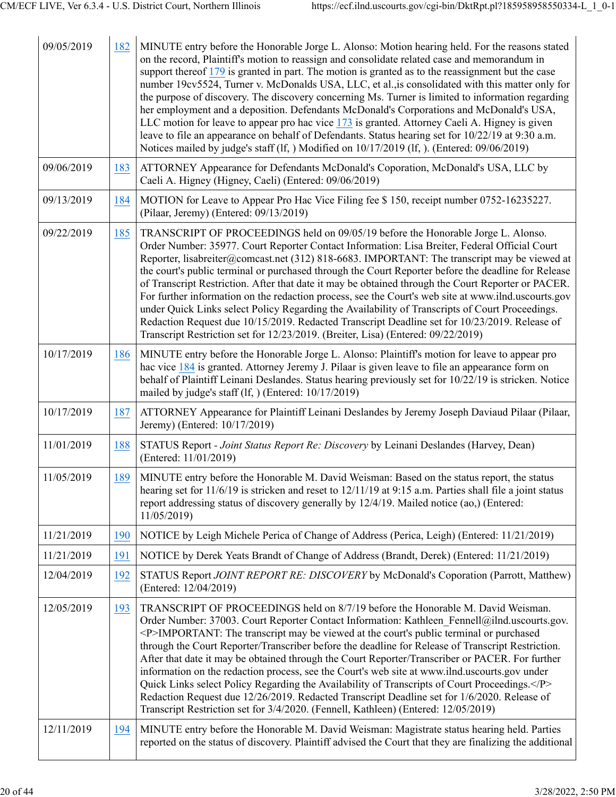| 09/05/2019 | 182 | MINUTE entry before the Honorable Jorge L. Alonso: Motion hearing held. For the reasons stated<br>on the record, Plaintiff's motion to reassign and consolidate related case and memorandum in<br>support thereof 179 is granted in part. The motion is granted as to the reassignment but the case<br>number 19cv5524, Turner v. McDonalds USA, LLC, et al., is consolidated with this matter only for<br>the purpose of discovery. The discovery concerning Ms. Turner is limited to information regarding<br>her employment and a deposition. Defendants McDonald's Corporations and McDonald's USA,<br>LLC motion for leave to appear pro hac vice 173 is granted. Attorney Caeli A. Higney is given<br>leave to file an appearance on behalf of Defendants. Status hearing set for 10/22/19 at 9:30 a.m.<br>Notices mailed by judge's staff (If, ) Modified on 10/17/2019 (If, ). (Entered: 09/06/2019) |
|------------|-----|--------------------------------------------------------------------------------------------------------------------------------------------------------------------------------------------------------------------------------------------------------------------------------------------------------------------------------------------------------------------------------------------------------------------------------------------------------------------------------------------------------------------------------------------------------------------------------------------------------------------------------------------------------------------------------------------------------------------------------------------------------------------------------------------------------------------------------------------------------------------------------------------------------------|
| 09/06/2019 | 183 | ATTORNEY Appearance for Defendants McDonald's Coporation, McDonald's USA, LLC by<br>Caeli A. Higney (Higney, Caeli) (Entered: 09/06/2019)                                                                                                                                                                                                                                                                                                                                                                                                                                                                                                                                                                                                                                                                                                                                                                    |
| 09/13/2019 | 184 | MOTION for Leave to Appear Pro Hac Vice Filing fee \$150, receipt number 0752-16235227.<br>(Pilaar, Jeremy) (Entered: 09/13/2019)                                                                                                                                                                                                                                                                                                                                                                                                                                                                                                                                                                                                                                                                                                                                                                            |
| 09/22/2019 | 185 | TRANSCRIPT OF PROCEEDINGS held on 09/05/19 before the Honorable Jorge L. Alonso.<br>Order Number: 35977. Court Reporter Contact Information: Lisa Breiter, Federal Official Court<br>Reporter, lisabreiter@comcast.net (312) 818-6683. IMPORTANT: The transcript may be viewed at<br>the court's public terminal or purchased through the Court Reporter before the deadline for Release<br>of Transcript Restriction. After that date it may be obtained through the Court Reporter or PACER.<br>For further information on the redaction process, see the Court's web site at www.ilnd.uscourts.gov<br>under Quick Links select Policy Regarding the Availability of Transcripts of Court Proceedings.<br>Redaction Request due 10/15/2019. Redacted Transcript Deadline set for 10/23/2019. Release of<br>Transcript Restriction set for 12/23/2019. (Breiter, Lisa) (Entered: 09/22/2019)                |
| 10/17/2019 | 186 | MINUTE entry before the Honorable Jorge L. Alonso: Plaintiff's motion for leave to appear pro<br>hac vice 184 is granted. Attorney Jeremy J. Pilaar is given leave to file an appearance form on<br>behalf of Plaintiff Leinani Deslandes. Status hearing previously set for 10/22/19 is stricken. Notice<br>mailed by judge's staff (lf, ) (Entered: 10/17/2019)                                                                                                                                                                                                                                                                                                                                                                                                                                                                                                                                            |
| 10/17/2019 | 187 | ATTORNEY Appearance for Plaintiff Leinani Deslandes by Jeremy Joseph Daviaud Pilaar (Pilaar,<br>Jeremy) (Entered: 10/17/2019)                                                                                                                                                                                                                                                                                                                                                                                                                                                                                                                                                                                                                                                                                                                                                                                |
| 11/01/2019 | 188 | STATUS Report - Joint Status Report Re: Discovery by Leinani Deslandes (Harvey, Dean)<br>(Entered: 11/01/2019)                                                                                                                                                                                                                                                                                                                                                                                                                                                                                                                                                                                                                                                                                                                                                                                               |
| 11/05/2019 | 189 | MINUTE entry before the Honorable M. David Weisman: Based on the status report, the status<br>hearing set for 11/6/19 is stricken and reset to 12/11/19 at 9:15 a.m. Parties shall file a joint status<br>report addressing status of discovery generally by 12/4/19. Mailed notice (ao,) (Entered:<br>11/05/2019)                                                                                                                                                                                                                                                                                                                                                                                                                                                                                                                                                                                           |
| 11/21/2019 | 190 | NOTICE by Leigh Michele Perica of Change of Address (Perica, Leigh) (Entered: 11/21/2019)                                                                                                                                                                                                                                                                                                                                                                                                                                                                                                                                                                                                                                                                                                                                                                                                                    |
| 11/21/2019 | 191 | NOTICE by Derek Yeats Brandt of Change of Address (Brandt, Derek) (Entered: 11/21/2019)                                                                                                                                                                                                                                                                                                                                                                                                                                                                                                                                                                                                                                                                                                                                                                                                                      |
| 12/04/2019 | 192 | STATUS Report JOINT REPORT RE: DISCOVERY by McDonald's Coporation (Parrott, Matthew)<br>(Entered: 12/04/2019)                                                                                                                                                                                                                                                                                                                                                                                                                                                                                                                                                                                                                                                                                                                                                                                                |
| 12/05/2019 | 193 | TRANSCRIPT OF PROCEEDINGS held on 8/7/19 before the Honorable M. David Weisman.<br>Order Number: 37003. Court Reporter Contact Information: Kathleen Fennell@ilnd.uscourts.gov.<br><p>IMPORTANT: The transcript may be viewed at the court's public terminal or purchased<br/>through the Court Reporter/Transcriber before the deadline for Release of Transcript Restriction.<br/>After that date it may be obtained through the Court Reporter/Transcriber or PACER. For further<br/>information on the redaction process, see the Court's web site at www.ilnd.uscourts.gov under<br/>Quick Links select Policy Regarding the Availability of Transcripts of Court Proceedings.</p><br>Redaction Request due 12/26/2019. Redacted Transcript Deadline set for 1/6/2020. Release of<br>Transcript Restriction set for 3/4/2020. (Fennell, Kathleen) (Entered: 12/05/2019)                                 |
| 12/11/2019 | 194 | MINUTE entry before the Honorable M. David Weisman: Magistrate status hearing held. Parties<br>reported on the status of discovery. Plaintiff advised the Court that they are finalizing the additional                                                                                                                                                                                                                                                                                                                                                                                                                                                                                                                                                                                                                                                                                                      |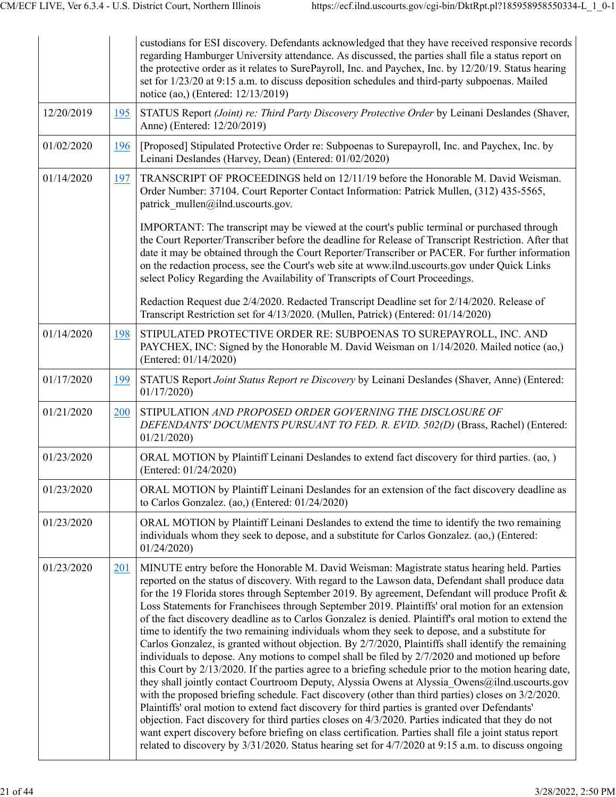|            |     | custodians for ESI discovery. Defendants acknowledged that they have received responsive records<br>regarding Hamburger University attendance. As discussed, the parties shall file a status report on<br>the protective order as it relates to SurePayroll, Inc. and Paychex, Inc. by 12/20/19. Status hearing<br>set for 1/23/20 at 9:15 a.m. to discuss deposition schedules and third-party subpoenas. Mailed<br>notice (ao,) (Entered: 12/13/2019)                                                                                                                                                                                                                                                                                                                                                                                                                                                                                                                                                                                                                                                                                                                                                                                                                                                                                                                                                                                                                                                                                                             |
|------------|-----|---------------------------------------------------------------------------------------------------------------------------------------------------------------------------------------------------------------------------------------------------------------------------------------------------------------------------------------------------------------------------------------------------------------------------------------------------------------------------------------------------------------------------------------------------------------------------------------------------------------------------------------------------------------------------------------------------------------------------------------------------------------------------------------------------------------------------------------------------------------------------------------------------------------------------------------------------------------------------------------------------------------------------------------------------------------------------------------------------------------------------------------------------------------------------------------------------------------------------------------------------------------------------------------------------------------------------------------------------------------------------------------------------------------------------------------------------------------------------------------------------------------------------------------------------------------------|
| 12/20/2019 | 195 | STATUS Report (Joint) re: Third Party Discovery Protective Order by Leinani Deslandes (Shaver,<br>Anne) (Entered: 12/20/2019)                                                                                                                                                                                                                                                                                                                                                                                                                                                                                                                                                                                                                                                                                                                                                                                                                                                                                                                                                                                                                                                                                                                                                                                                                                                                                                                                                                                                                                       |
| 01/02/2020 | 196 | [Proposed] Stipulated Protective Order re: Subpoenas to Surepayroll, Inc. and Paychex, Inc. by<br>Leinani Deslandes (Harvey, Dean) (Entered: 01/02/2020)                                                                                                                                                                                                                                                                                                                                                                                                                                                                                                                                                                                                                                                                                                                                                                                                                                                                                                                                                                                                                                                                                                                                                                                                                                                                                                                                                                                                            |
| 01/14/2020 | 197 | TRANSCRIPT OF PROCEEDINGS held on 12/11/19 before the Honorable M. David Weisman.<br>Order Number: 37104. Court Reporter Contact Information: Patrick Mullen, (312) 435-5565,<br>patrick mullen@ilnd.uscourts.gov.                                                                                                                                                                                                                                                                                                                                                                                                                                                                                                                                                                                                                                                                                                                                                                                                                                                                                                                                                                                                                                                                                                                                                                                                                                                                                                                                                  |
|            |     | IMPORTANT: The transcript may be viewed at the court's public terminal or purchased through<br>the Court Reporter/Transcriber before the deadline for Release of Transcript Restriction. After that<br>date it may be obtained through the Court Reporter/Transcriber or PACER. For further information<br>on the redaction process, see the Court's web site at www.ilnd.uscourts.gov under Quick Links<br>select Policy Regarding the Availability of Transcripts of Court Proceedings.                                                                                                                                                                                                                                                                                                                                                                                                                                                                                                                                                                                                                                                                                                                                                                                                                                                                                                                                                                                                                                                                           |
|            |     | Redaction Request due 2/4/2020. Redacted Transcript Deadline set for 2/14/2020. Release of<br>Transcript Restriction set for 4/13/2020. (Mullen, Patrick) (Entered: 01/14/2020)                                                                                                                                                                                                                                                                                                                                                                                                                                                                                                                                                                                                                                                                                                                                                                                                                                                                                                                                                                                                                                                                                                                                                                                                                                                                                                                                                                                     |
| 01/14/2020 | 198 | STIPULATED PROTECTIVE ORDER RE: SUBPOENAS TO SUREPAYROLL, INC. AND<br>PAYCHEX, INC: Signed by the Honorable M. David Weisman on 1/14/2020. Mailed notice (ao,)<br>(Entered: 01/14/2020)                                                                                                                                                                                                                                                                                                                                                                                                                                                                                                                                                                                                                                                                                                                                                                                                                                                                                                                                                                                                                                                                                                                                                                                                                                                                                                                                                                             |
| 01/17/2020 | 199 | STATUS Report Joint Status Report re Discovery by Leinani Deslandes (Shaver, Anne) (Entered:<br>01/17/2020                                                                                                                                                                                                                                                                                                                                                                                                                                                                                                                                                                                                                                                                                                                                                                                                                                                                                                                                                                                                                                                                                                                                                                                                                                                                                                                                                                                                                                                          |
| 01/21/2020 | 200 | STIPULATION AND PROPOSED ORDER GOVERNING THE DISCLOSURE OF<br>DEFENDANTS' DOCUMENTS PURSUANT TO FED. R. EVID. 502(D) (Brass, Rachel) (Entered:<br>01/21/2020                                                                                                                                                                                                                                                                                                                                                                                                                                                                                                                                                                                                                                                                                                                                                                                                                                                                                                                                                                                                                                                                                                                                                                                                                                                                                                                                                                                                        |
| 01/23/2020 |     | ORAL MOTION by Plaintiff Leinani Deslandes to extend fact discovery for third parties. (ao, )<br>(Entered: 01/24/2020)                                                                                                                                                                                                                                                                                                                                                                                                                                                                                                                                                                                                                                                                                                                                                                                                                                                                                                                                                                                                                                                                                                                                                                                                                                                                                                                                                                                                                                              |
| 01/23/2020 |     | ORAL MOTION by Plaintiff Leinani Deslandes for an extension of the fact discovery deadline as<br>to Carlos Gonzalez. (ao,) (Entered: 01/24/2020)                                                                                                                                                                                                                                                                                                                                                                                                                                                                                                                                                                                                                                                                                                                                                                                                                                                                                                                                                                                                                                                                                                                                                                                                                                                                                                                                                                                                                    |
| 01/23/2020 |     | ORAL MOTION by Plaintiff Leinani Deslandes to extend the time to identify the two remaining<br>individuals whom they seek to depose, and a substitute for Carlos Gonzalez. (ao,) (Entered:<br>01/24/2020                                                                                                                                                                                                                                                                                                                                                                                                                                                                                                                                                                                                                                                                                                                                                                                                                                                                                                                                                                                                                                                                                                                                                                                                                                                                                                                                                            |
| 01/23/2020 | 201 | MINUTE entry before the Honorable M. David Weisman: Magistrate status hearing held. Parties<br>reported on the status of discovery. With regard to the Lawson data, Defendant shall produce data<br>for the 19 Florida stores through September 2019. By agreement, Defendant will produce Profit &<br>Loss Statements for Franchisees through September 2019. Plaintiffs' oral motion for an extension<br>of the fact discovery deadline as to Carlos Gonzalez is denied. Plaintiff's oral motion to extend the<br>time to identify the two remaining individuals whom they seek to depose, and a substitute for<br>Carlos Gonzalez, is granted without objection. By 2/7/2020, Plaintiffs shall identify the remaining<br>individuals to depose. Any motions to compel shall be filed by 2/7/2020 and motioned up before<br>this Court by 2/13/2020. If the parties agree to a briefing schedule prior to the motion hearing date,<br>they shall jointly contact Courtroom Deputy, Alyssia Owens at Alyssia Owens@ilnd.uscourts.gov<br>with the proposed briefing schedule. Fact discovery (other than third parties) closes on 3/2/2020.<br>Plaintiffs' oral motion to extend fact discovery for third parties is granted over Defendants'<br>objection. Fact discovery for third parties closes on 4/3/2020. Parties indicated that they do not<br>want expert discovery before briefing on class certification. Parties shall file a joint status report<br>related to discovery by 3/31/2020. Status hearing set for 4/7/2020 at 9:15 a.m. to discuss ongoing |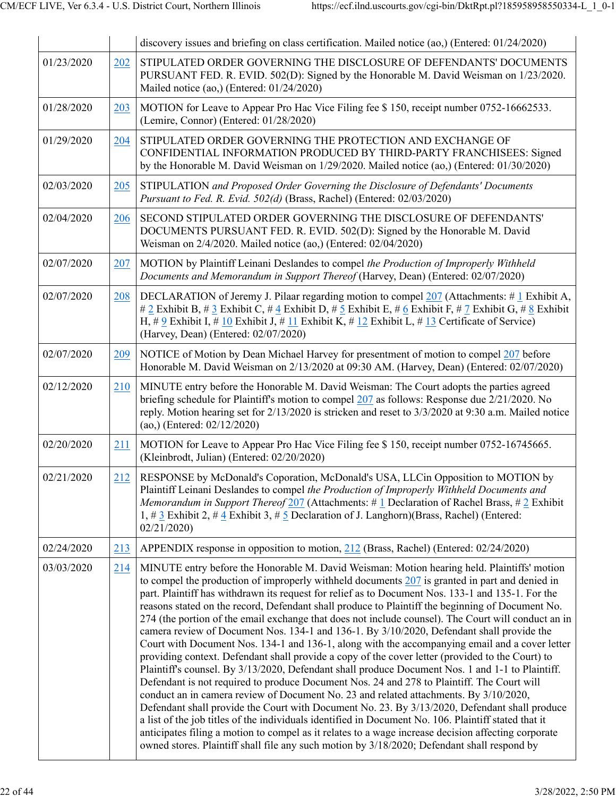|            |     | discovery issues and briefing on class certification. Mailed notice (ao,) (Entered: 01/24/2020)                                                                                                                                                                                                                                                                                                                                                                                                                                                                                                                                                                                                                                                                                                                                                                                                                                                                                                                                                                                                                                                                                                                                                                                                                                                                                                                                                                                                                              |
|------------|-----|------------------------------------------------------------------------------------------------------------------------------------------------------------------------------------------------------------------------------------------------------------------------------------------------------------------------------------------------------------------------------------------------------------------------------------------------------------------------------------------------------------------------------------------------------------------------------------------------------------------------------------------------------------------------------------------------------------------------------------------------------------------------------------------------------------------------------------------------------------------------------------------------------------------------------------------------------------------------------------------------------------------------------------------------------------------------------------------------------------------------------------------------------------------------------------------------------------------------------------------------------------------------------------------------------------------------------------------------------------------------------------------------------------------------------------------------------------------------------------------------------------------------------|
| 01/23/2020 | 202 | STIPULATED ORDER GOVERNING THE DISCLOSURE OF DEFENDANTS' DOCUMENTS<br>PURSUANT FED. R. EVID. 502(D): Signed by the Honorable M. David Weisman on 1/23/2020.<br>Mailed notice (ao,) (Entered: 01/24/2020)                                                                                                                                                                                                                                                                                                                                                                                                                                                                                                                                                                                                                                                                                                                                                                                                                                                                                                                                                                                                                                                                                                                                                                                                                                                                                                                     |
| 01/28/2020 | 203 | MOTION for Leave to Appear Pro Hac Vice Filing fee \$150, receipt number 0752-16662533.<br>(Lemire, Connor) (Entered: 01/28/2020)                                                                                                                                                                                                                                                                                                                                                                                                                                                                                                                                                                                                                                                                                                                                                                                                                                                                                                                                                                                                                                                                                                                                                                                                                                                                                                                                                                                            |
| 01/29/2020 | 204 | STIPULATED ORDER GOVERNING THE PROTECTION AND EXCHANGE OF<br>CONFIDENTIAL INFORMATION PRODUCED BY THIRD-PARTY FRANCHISEES: Signed<br>by the Honorable M. David Weisman on 1/29/2020. Mailed notice (ao,) (Entered: 01/30/2020)                                                                                                                                                                                                                                                                                                                                                                                                                                                                                                                                                                                                                                                                                                                                                                                                                                                                                                                                                                                                                                                                                                                                                                                                                                                                                               |
| 02/03/2020 | 205 | STIPULATION and Proposed Order Governing the Disclosure of Defendants' Documents<br>Pursuant to Fed. R. Evid. 502(d) (Brass, Rachel) (Entered: 02/03/2020)                                                                                                                                                                                                                                                                                                                                                                                                                                                                                                                                                                                                                                                                                                                                                                                                                                                                                                                                                                                                                                                                                                                                                                                                                                                                                                                                                                   |
| 02/04/2020 | 206 | SECOND STIPULATED ORDER GOVERNING THE DISCLOSURE OF DEFENDANTS'<br>DOCUMENTS PURSUANT FED. R. EVID. 502(D): Signed by the Honorable M. David<br>Weisman on 2/4/2020. Mailed notice (ao,) (Entered: 02/04/2020)                                                                                                                                                                                                                                                                                                                                                                                                                                                                                                                                                                                                                                                                                                                                                                                                                                                                                                                                                                                                                                                                                                                                                                                                                                                                                                               |
| 02/07/2020 | 207 | MOTION by Plaintiff Leinani Deslandes to compel the Production of Improperly Withheld<br>Documents and Memorandum in Support Thereof (Harvey, Dean) (Entered: 02/07/2020)                                                                                                                                                                                                                                                                                                                                                                                                                                                                                                                                                                                                                                                                                                                                                                                                                                                                                                                                                                                                                                                                                                                                                                                                                                                                                                                                                    |
| 02/07/2020 | 208 | DECLARATION of Jeremy J. Pilaar regarding motion to compel 207 (Attachments: #1 Exhibit A,<br># 2 Exhibit B, # 3 Exhibit C, # 4 Exhibit D, # 5 Exhibit E, # 6 Exhibit F, # 7 Exhibit G, # 8 Exhibit<br>H, # 9 Exhibit I, # 10 Exhibit J, # 11 Exhibit K, # 12 Exhibit L, # 13 Certificate of Service)<br>(Harvey, Dean) (Entered: 02/07/2020)                                                                                                                                                                                                                                                                                                                                                                                                                                                                                                                                                                                                                                                                                                                                                                                                                                                                                                                                                                                                                                                                                                                                                                                |
| 02/07/2020 | 209 | NOTICE of Motion by Dean Michael Harvey for presentment of motion to compel 207 before<br>Honorable M. David Weisman on 2/13/2020 at 09:30 AM. (Harvey, Dean) (Entered: 02/07/2020)                                                                                                                                                                                                                                                                                                                                                                                                                                                                                                                                                                                                                                                                                                                                                                                                                                                                                                                                                                                                                                                                                                                                                                                                                                                                                                                                          |
| 02/12/2020 | 210 | MINUTE entry before the Honorable M. David Weisman: The Court adopts the parties agreed<br>briefing schedule for Plaintiff's motion to compel 207 as follows: Response due 2/21/2020. No<br>reply. Motion hearing set for 2/13/2020 is stricken and reset to 3/3/2020 at 9:30 a.m. Mailed notice<br>$(ao)$ (Entered: $02/12/2020$ )                                                                                                                                                                                                                                                                                                                                                                                                                                                                                                                                                                                                                                                                                                                                                                                                                                                                                                                                                                                                                                                                                                                                                                                          |
| 02/20/2020 | 211 | MOTION for Leave to Appear Pro Hac Vice Filing fee \$150, receipt number 0752-16745665.<br>(Kleinbrodt, Julian) (Entered: 02/20/2020)                                                                                                                                                                                                                                                                                                                                                                                                                                                                                                                                                                                                                                                                                                                                                                                                                                                                                                                                                                                                                                                                                                                                                                                                                                                                                                                                                                                        |
| 02/21/2020 | 212 | RESPONSE by McDonald's Coporation, McDonald's USA, LLCin Opposition to MOTION by<br>Plaintiff Leinani Deslandes to compel the Production of Improperly Withheld Documents and<br>Memorandum in Support Thereof $\frac{207}{207}$ (Attachments: # 1 Declaration of Rachel Brass, # 2 Exhibit<br>1, # $\frac{3}{2}$ Exhibit 2, # $\frac{4}{3}$ Exhibit 3, # $\frac{5}{2}$ Declaration of J. Langhorn)(Brass, Rachel) (Entered:<br>02/21/2020                                                                                                                                                                                                                                                                                                                                                                                                                                                                                                                                                                                                                                                                                                                                                                                                                                                                                                                                                                                                                                                                                   |
| 02/24/2020 | 213 | APPENDIX response in opposition to motion, 212 (Brass, Rachel) (Entered: 02/24/2020)                                                                                                                                                                                                                                                                                                                                                                                                                                                                                                                                                                                                                                                                                                                                                                                                                                                                                                                                                                                                                                                                                                                                                                                                                                                                                                                                                                                                                                         |
| 03/03/2020 | 214 | MINUTE entry before the Honorable M. David Weisman: Motion hearing held. Plaintiffs' motion<br>to compel the production of improperly withheld documents $207$ is granted in part and denied in<br>part. Plaintiff has withdrawn its request for relief as to Document Nos. 133-1 and 135-1. For the<br>reasons stated on the record, Defendant shall produce to Plaintiff the beginning of Document No.<br>274 (the portion of the email exchange that does not include counsel). The Court will conduct an in<br>camera review of Document Nos. 134-1 and 136-1. By 3/10/2020, Defendant shall provide the<br>Court with Document Nos. 134-1 and 136-1, along with the accompanying email and a cover letter<br>providing context. Defendant shall provide a copy of the cover letter (provided to the Court) to<br>Plaintiff's counsel. By 3/13/2020, Defendant shall produce Document Nos. 1 and 1-1 to Plaintiff.<br>Defendant is not required to produce Document Nos. 24 and 278 to Plaintiff. The Court will<br>conduct an in camera review of Document No. 23 and related attachments. By 3/10/2020,<br>Defendant shall provide the Court with Document No. 23. By 3/13/2020, Defendant shall produce<br>a list of the job titles of the individuals identified in Document No. 106. Plaintiff stated that it<br>anticipates filing a motion to compel as it relates to a wage increase decision affecting corporate<br>owned stores. Plaintiff shall file any such motion by 3/18/2020; Defendant shall respond by |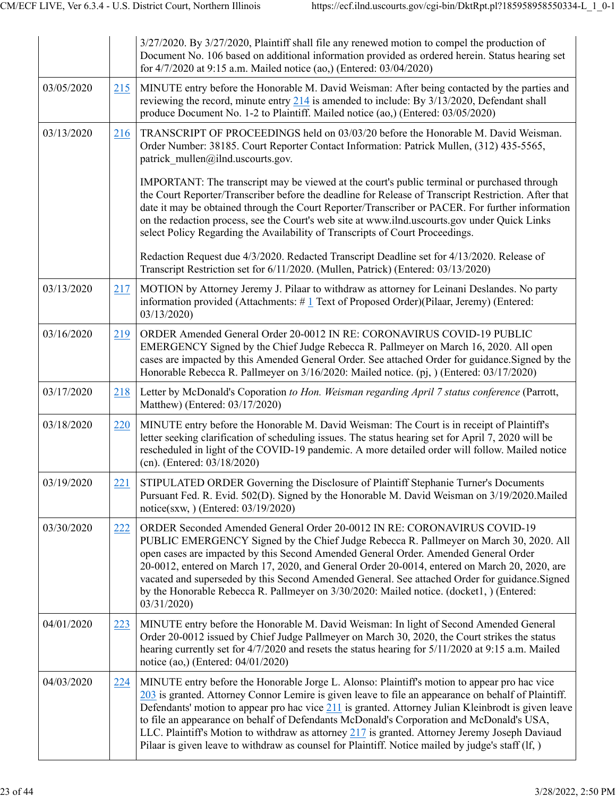|            |     | $3/27/2020$ . By $3/27/2020$ , Plaintiff shall file any renewed motion to compel the production of<br>Document No. 106 based on additional information provided as ordered herein. Status hearing set<br>for 4/7/2020 at 9:15 a.m. Mailed notice (ao,) (Entered: 03/04/2020)                                                                                                                                                                                                                                                                                                                                  |
|------------|-----|---------------------------------------------------------------------------------------------------------------------------------------------------------------------------------------------------------------------------------------------------------------------------------------------------------------------------------------------------------------------------------------------------------------------------------------------------------------------------------------------------------------------------------------------------------------------------------------------------------------|
| 03/05/2020 | 215 | MINUTE entry before the Honorable M. David Weisman: After being contacted by the parties and<br>reviewing the record, minute entry $214$ is amended to include: By $3/13/2020$ , Defendant shall<br>produce Document No. 1-2 to Plaintiff. Mailed notice (ao,) (Entered: 03/05/2020)                                                                                                                                                                                                                                                                                                                          |
| 03/13/2020 | 216 | TRANSCRIPT OF PROCEEDINGS held on 03/03/20 before the Honorable M. David Weisman.<br>Order Number: 38185. Court Reporter Contact Information: Patrick Mullen, (312) 435-5565,<br>patrick mullen@ilnd.uscourts.gov.                                                                                                                                                                                                                                                                                                                                                                                            |
|            |     | IMPORTANT: The transcript may be viewed at the court's public terminal or purchased through<br>the Court Reporter/Transcriber before the deadline for Release of Transcript Restriction. After that<br>date it may be obtained through the Court Reporter/Transcriber or PACER. For further information<br>on the redaction process, see the Court's web site at www.ilnd.uscourts.gov under Quick Links<br>select Policy Regarding the Availability of Transcripts of Court Proceedings.                                                                                                                     |
|            |     | Redaction Request due 4/3/2020. Redacted Transcript Deadline set for 4/13/2020. Release of<br>Transcript Restriction set for 6/11/2020. (Mullen, Patrick) (Entered: 03/13/2020)                                                                                                                                                                                                                                                                                                                                                                                                                               |
| 03/13/2020 | 217 | MOTION by Attorney Jeremy J. Pilaar to withdraw as attorney for Leinani Deslandes. No party<br>information provided (Attachments: $\#$ 1 Text of Proposed Order)(Pilaar, Jeremy) (Entered:<br>03/13/2020)                                                                                                                                                                                                                                                                                                                                                                                                     |
| 03/16/2020 | 219 | ORDER Amended General Order 20-0012 IN RE: CORONAVIRUS COVID-19 PUBLIC<br>EMERGENCY Signed by the Chief Judge Rebecca R. Pallmeyer on March 16, 2020. All open<br>cases are impacted by this Amended General Order. See attached Order for guidance. Signed by the<br>Honorable Rebecca R. Pallmeyer on 3/16/2020: Mailed notice. (pj, ) (Entered: 03/17/2020)                                                                                                                                                                                                                                                |
| 03/17/2020 | 218 | Letter by McDonald's Coporation to Hon. Weisman regarding April 7 status conference (Parrott,<br>Matthew) (Entered: 03/17/2020)                                                                                                                                                                                                                                                                                                                                                                                                                                                                               |
| 03/18/2020 | 220 | MINUTE entry before the Honorable M. David Weisman: The Court is in receipt of Plaintiff's<br>letter seeking clarification of scheduling issues. The status hearing set for April 7, 2020 will be<br>rescheduled in light of the COVID-19 pandemic. A more detailed order will follow. Mailed notice<br>(cn). (Entered: 03/18/2020)                                                                                                                                                                                                                                                                           |
| 03/19/2020 | 221 | STIPULATED ORDER Governing the Disclosure of Plaintiff Stephanie Turner's Documents<br>Pursuant Fed. R. Evid. 502(D). Signed by the Honorable M. David Weisman on 3/19/2020. Mailed<br>notice(sxw,) (Entered: 03/19/2020)                                                                                                                                                                                                                                                                                                                                                                                     |
| 03/30/2020 | 222 | ORDER Seconded Amended General Order 20-0012 IN RE: CORONAVIRUS COVID-19<br>PUBLIC EMERGENCY Signed by the Chief Judge Rebecca R. Pallmeyer on March 30, 2020. All<br>open cases are impacted by this Second Amended General Order. Amended General Order<br>20-0012, entered on March 17, 2020, and General Order 20-0014, entered on March 20, 2020, are<br>vacated and superseded by this Second Amended General. See attached Order for guidance. Signed<br>by the Honorable Rebecca R. Pallmeyer on 3/30/2020: Mailed notice. (docket1, ) (Entered:<br>03/31/2020                                        |
| 04/01/2020 | 223 | MINUTE entry before the Honorable M. David Weisman: In light of Second Amended General<br>Order 20-0012 issued by Chief Judge Pallmeyer on March 30, 2020, the Court strikes the status<br>hearing currently set for 4/7/2020 and resets the status hearing for 5/11/2020 at 9:15 a.m. Mailed<br>notice (ao,) (Entered: 04/01/2020)                                                                                                                                                                                                                                                                           |
| 04/03/2020 | 224 | MINUTE entry before the Honorable Jorge L. Alonso: Plaintiff's motion to appear pro hac vice<br>203 is granted. Attorney Connor Lemire is given leave to file an appearance on behalf of Plaintiff.<br>Defendants' motion to appear pro hac vice 211 is granted. Attorney Julian Kleinbrodt is given leave<br>to file an appearance on behalf of Defendants McDonald's Corporation and McDonald's USA,<br>LLC. Plaintiff's Motion to withdraw as attorney 217 is granted. Attorney Jeremy Joseph Daviaud<br>Pilaar is given leave to withdraw as counsel for Plaintiff. Notice mailed by judge's staff (If, ) |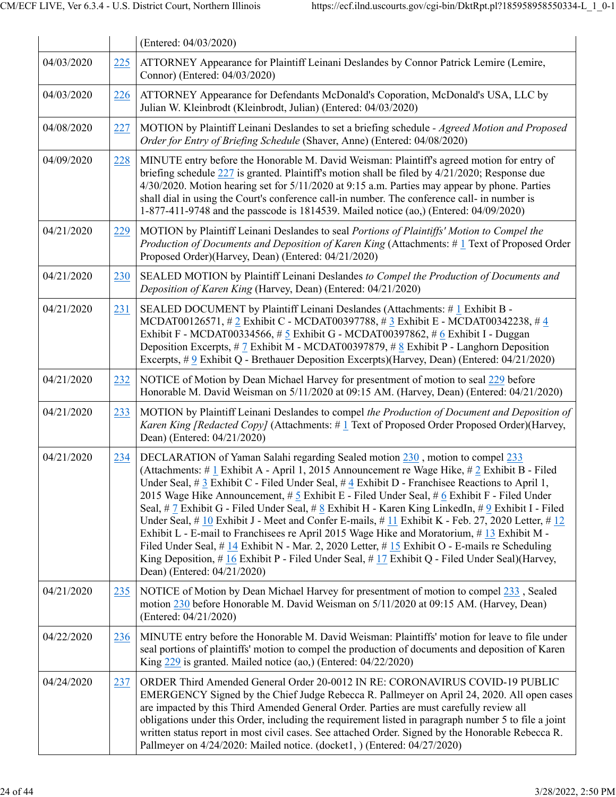|            |     | (Entered: 04/03/2020)                                                                                                                                                                                                                                                                                                                                                                                                                                                                                                                                                                                                                                                                                                                                                                                                                                                                                                            |
|------------|-----|----------------------------------------------------------------------------------------------------------------------------------------------------------------------------------------------------------------------------------------------------------------------------------------------------------------------------------------------------------------------------------------------------------------------------------------------------------------------------------------------------------------------------------------------------------------------------------------------------------------------------------------------------------------------------------------------------------------------------------------------------------------------------------------------------------------------------------------------------------------------------------------------------------------------------------|
| 04/03/2020 | 225 | ATTORNEY Appearance for Plaintiff Leinani Deslandes by Connor Patrick Lemire (Lemire,<br>Connor) (Entered: 04/03/2020)                                                                                                                                                                                                                                                                                                                                                                                                                                                                                                                                                                                                                                                                                                                                                                                                           |
| 04/03/2020 | 226 | ATTORNEY Appearance for Defendants McDonald's Coporation, McDonald's USA, LLC by<br>Julian W. Kleinbrodt (Kleinbrodt, Julian) (Entered: 04/03/2020)                                                                                                                                                                                                                                                                                                                                                                                                                                                                                                                                                                                                                                                                                                                                                                              |
| 04/08/2020 | 227 | MOTION by Plaintiff Leinani Deslandes to set a briefing schedule - Agreed Motion and Proposed<br>Order for Entry of Briefing Schedule (Shaver, Anne) (Entered: 04/08/2020)                                                                                                                                                                                                                                                                                                                                                                                                                                                                                                                                                                                                                                                                                                                                                       |
| 04/09/2020 | 228 | MINUTE entry before the Honorable M. David Weisman: Plaintiff's agreed motion for entry of<br>briefing schedule $227$ is granted. Plaintiff's motion shall be filed by $4/21/2020$ ; Response due<br>4/30/2020. Motion hearing set for 5/11/2020 at 9:15 a.m. Parties may appear by phone. Parties<br>shall dial in using the Court's conference call-in number. The conference call- in number is<br>1-877-411-9748 and the passcode is 1814539. Mailed notice (ao,) (Entered: 04/09/2020)                                                                                                                                                                                                                                                                                                                                                                                                                                      |
| 04/21/2020 | 229 | MOTION by Plaintiff Leinani Deslandes to seal Portions of Plaintiffs' Motion to Compel the<br>Production of Documents and Deposition of Karen King (Attachments: #1 Text of Proposed Order<br>Proposed Order)(Harvey, Dean) (Entered: 04/21/2020)                                                                                                                                                                                                                                                                                                                                                                                                                                                                                                                                                                                                                                                                                |
| 04/21/2020 | 230 | SEALED MOTION by Plaintiff Leinani Deslandes to Compel the Production of Documents and<br>Deposition of Karen King (Harvey, Dean) (Entered: 04/21/2020)                                                                                                                                                                                                                                                                                                                                                                                                                                                                                                                                                                                                                                                                                                                                                                          |
| 04/21/2020 | 231 | SEALED DOCUMENT by Plaintiff Leinani Deslandes (Attachments: #1 Exhibit B -<br>MCDAT00126571, # 2 Exhibit C - MCDAT00397788, # 3 Exhibit E - MCDAT00342238, # 4<br>Exhibit F - MCDAT00334566, # 5 Exhibit G - MCDAT00397862, # 6 Exhibit I - Duggan<br>Deposition Excerpts, $\#$ 7 Exhibit M - MCDAT00397879, $\#$ 8 Exhibit P - Langhorn Deposition<br>Excerpts, #9 Exhibit Q - Brethauer Deposition Excerpts)(Harvey, Dean) (Entered: 04/21/2020)                                                                                                                                                                                                                                                                                                                                                                                                                                                                              |
| 04/21/2020 | 232 | NOTICE of Motion by Dean Michael Harvey for presentment of motion to seal 229 before<br>Honorable M. David Weisman on 5/11/2020 at 09:15 AM. (Harvey, Dean) (Entered: 04/21/2020)                                                                                                                                                                                                                                                                                                                                                                                                                                                                                                                                                                                                                                                                                                                                                |
| 04/21/2020 | 233 | MOTION by Plaintiff Leinani Deslandes to compel the Production of Document and Deposition of<br><i>Karen King [Redacted Copy]</i> (Attachments: #1 Text of Proposed Order Proposed Order)(Harvey,<br>Dean) (Entered: 04/21/2020)                                                                                                                                                                                                                                                                                                                                                                                                                                                                                                                                                                                                                                                                                                 |
| 04/21/2020 | 234 | DECLARATION of Yaman Salahi regarding Sealed motion 230, motion to compel 233<br>(Attachments: #1 Exhibit A - April 1, 2015 Announcement re Wage Hike, #2 Exhibit B - Filed<br>Under Seal, $\#$ 3 Exhibit C - Filed Under Seal, $\#$ 4 Exhibit D - Franchisee Reactions to April 1.<br>2015 Wage Hike Announcement, # 5 Exhibit E - Filed Under Seal, # 6 Exhibit F - Filed Under<br>Seal, # 7 Exhibit G - Filed Under Seal, # 8 Exhibit H - Karen King LinkedIn, # 9 Exhibit I - Filed<br>Under Seal, # 10 Exhibit J - Meet and Confer E-mails, # 11 Exhibit K - Feb. 27, 2020 Letter, # 12<br>Exhibit L - E-mail to Franchisees re April 2015 Wage Hike and Moratorium, #13 Exhibit M -<br>Filed Under Seal, # 14 Exhibit N - Mar. 2, 2020 Letter, # 15 Exhibit O - E-mails re Scheduling<br>King Deposition, # $16$ Exhibit P - Filed Under Seal, # $17$ Exhibit Q - Filed Under Seal)(Harvey,<br>Dean) (Entered: 04/21/2020) |
| 04/21/2020 | 235 | NOTICE of Motion by Dean Michael Harvey for presentment of motion to compel 233, Sealed<br>motion 230 before Honorable M. David Weisman on 5/11/2020 at 09:15 AM. (Harvey, Dean)<br>(Entered: 04/21/2020)                                                                                                                                                                                                                                                                                                                                                                                                                                                                                                                                                                                                                                                                                                                        |
| 04/22/2020 | 236 | MINUTE entry before the Honorable M. David Weisman: Plaintiffs' motion for leave to file under<br>seal portions of plaintiffs' motion to compel the production of documents and deposition of Karen<br>King 229 is granted. Mailed notice (ao,) (Entered: 04/22/2020)                                                                                                                                                                                                                                                                                                                                                                                                                                                                                                                                                                                                                                                            |
| 04/24/2020 | 237 | ORDER Third Amended General Order 20-0012 IN RE: CORONAVIRUS COVID-19 PUBLIC<br>EMERGENCY Signed by the Chief Judge Rebecca R. Pallmeyer on April 24, 2020. All open cases<br>are impacted by this Third Amended General Order. Parties are must carefully review all<br>obligations under this Order, including the requirement listed in paragraph number 5 to file a joint<br>written status report in most civil cases. See attached Order. Signed by the Honorable Rebecca R.<br>Pallmeyer on 4/24/2020: Mailed notice. (docket1, ) (Entered: 04/27/2020)                                                                                                                                                                                                                                                                                                                                                                   |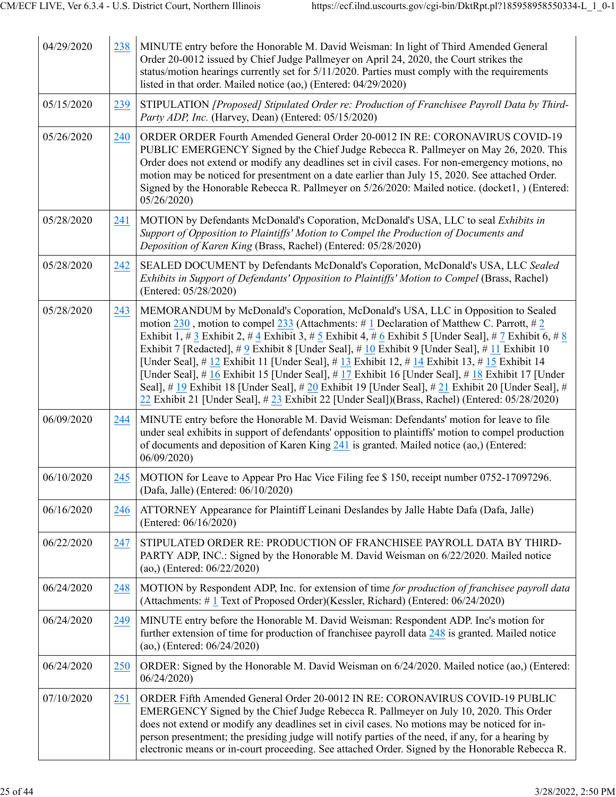| 04/29/2020 | 238 | MINUTE entry before the Honorable M. David Weisman: In light of Third Amended General<br>Order 20-0012 issued by Chief Judge Pallmeyer on April 24, 2020, the Court strikes the<br>status/motion hearings currently set for 5/11/2020. Parties must comply with the requirements<br>listed in that order. Mailed notice (ao,) (Entered: 04/29/2020)                                                                                                                                                                                                                                                                                                                                                                                                                                                               |
|------------|-----|-------------------------------------------------------------------------------------------------------------------------------------------------------------------------------------------------------------------------------------------------------------------------------------------------------------------------------------------------------------------------------------------------------------------------------------------------------------------------------------------------------------------------------------------------------------------------------------------------------------------------------------------------------------------------------------------------------------------------------------------------------------------------------------------------------------------|
| 05/15/2020 | 239 | STIPULATION [Proposed] Stipulated Order re: Production of Franchisee Payroll Data by Third-<br>Party ADP, Inc. (Harvey, Dean) (Entered: 05/15/2020)                                                                                                                                                                                                                                                                                                                                                                                                                                                                                                                                                                                                                                                               |
| 05/26/2020 | 240 | ORDER ORDER Fourth Amended General Order 20-0012 IN RE: CORONAVIRUS COVID-19<br>PUBLIC EMERGENCY Signed by the Chief Judge Rebecca R. Pallmeyer on May 26, 2020. This<br>Order does not extend or modify any deadlines set in civil cases. For non-emergency motions, no<br>motion may be noticed for presentment on a date earlier than July 15, 2020. See attached Order.<br>Signed by the Honorable Rebecca R. Pallmeyer on 5/26/2020: Mailed notice. (docket1, ) (Entered:<br>05/26/2020                                                                                                                                                                                                                                                                                                                      |
| 05/28/2020 | 241 | MOTION by Defendants McDonald's Coporation, McDonald's USA, LLC to seal Exhibits in<br>Support of Opposition to Plaintiffs' Motion to Compel the Production of Documents and<br>Deposition of Karen King (Brass, Rachel) (Entered: 05/28/2020)                                                                                                                                                                                                                                                                                                                                                                                                                                                                                                                                                                    |
| 05/28/2020 | 242 | SEALED DOCUMENT by Defendants McDonald's Coporation, McDonald's USA, LLC Sealed<br>Exhibits in Support of Defendants' Opposition to Plaintiffs' Motion to Compel (Brass, Rachel)<br>(Entered: 05/28/2020)                                                                                                                                                                                                                                                                                                                                                                                                                                                                                                                                                                                                         |
| 05/28/2020 | 243 | MEMORANDUM by McDonald's Coporation, McDonald's USA, LLC in Opposition to Sealed<br>motion $230$ , motion to compel $233$ (Attachments: #1 Declaration of Matthew C. Parrott, #2<br>Exhibit 1, # 3 Exhibit 2, # 4 Exhibit 3, # 5 Exhibit 4, # 6 Exhibit 5 [Under Seal], # 7 Exhibit 6, # 8<br>Exhibit 7 [Redacted], # 9 Exhibit 8 [Under Seal], # 10 Exhibit 9 [Under Seal], # 11 Exhibit 10<br>[Under Seal], # $12$ Exhibit 11 [Under Seal], # $13$ Exhibit 12, # $14$ Exhibit 13, # $15$ Exhibit 14<br>[Under Seal], # 16 Exhibit 15 [Under Seal], # 17 Exhibit 16 [Under Seal], # 18 Exhibit 17 [Under<br>Seal], # 19 Exhibit 18 [Under Seal], # 20 Exhibit 19 [Under Seal], # 21 Exhibit 20 [Under Seal], #<br>22 Exhibit 21 [Under Seal], # 23 Exhibit 22 [Under Seal])(Brass, Rachel) (Entered: 05/28/2020) |
| 06/09/2020 | 244 | MINUTE entry before the Honorable M. David Weisman: Defendants' motion for leave to file<br>under seal exhibits in support of defendants' opposition to plaintiffs' motion to compel production<br>of documents and deposition of Karen King 241 is granted. Mailed notice (ao,) (Entered:<br>06/09/2020                                                                                                                                                                                                                                                                                                                                                                                                                                                                                                          |
| 06/10/2020 | 245 | MOTION for Leave to Appear Pro Hac Vice Filing fee \$150, receipt number 0752-17097296.<br>(Dafa, Jalle) (Entered: 06/10/2020)                                                                                                                                                                                                                                                                                                                                                                                                                                                                                                                                                                                                                                                                                    |
| 06/16/2020 | 246 | ATTORNEY Appearance for Plaintiff Leinani Deslandes by Jalle Habte Dafa (Dafa, Jalle)<br>(Entered: 06/16/2020)                                                                                                                                                                                                                                                                                                                                                                                                                                                                                                                                                                                                                                                                                                    |
| 06/22/2020 | 247 | STIPULATED ORDER RE: PRODUCTION OF FRANCHISEE PAYROLL DATA BY THIRD-<br>PARTY ADP, INC.: Signed by the Honorable M. David Weisman on 6/22/2020. Mailed notice<br>(ao,) (Entered: $06/22/2020$ )                                                                                                                                                                                                                                                                                                                                                                                                                                                                                                                                                                                                                   |
| 06/24/2020 | 248 | MOTION by Respondent ADP, Inc. for extension of time for production of franchisee payroll data<br>(Attachments: #1 Text of Proposed Order)(Kessler, Richard) (Entered: 06/24/2020)                                                                                                                                                                                                                                                                                                                                                                                                                                                                                                                                                                                                                                |
| 06/24/2020 | 249 | MINUTE entry before the Honorable M. David Weisman: Respondent ADP. Inc's motion for<br>further extension of time for production of franchisee payroll data 248 is granted. Mailed notice<br>(ao,) (Entered: 06/24/2020)                                                                                                                                                                                                                                                                                                                                                                                                                                                                                                                                                                                          |
| 06/24/2020 | 250 | ORDER: Signed by the Honorable M. David Weisman on 6/24/2020. Mailed notice (ao,) (Entered:<br>06/24/2020                                                                                                                                                                                                                                                                                                                                                                                                                                                                                                                                                                                                                                                                                                         |
| 07/10/2020 | 251 | ORDER Fifth Amended General Order 20-0012 IN RE: CORONAVIRUS COVID-19 PUBLIC<br>EMERGENCY Signed by the Chief Judge Rebecca R. Pallmeyer on July 10, 2020. This Order<br>does not extend or modify any deadlines set in civil cases. No motions may be noticed for in-<br>person presentment; the presiding judge will notify parties of the need, if any, for a hearing by<br>electronic means or in-court proceeding. See attached Order. Signed by the Honorable Rebecca R.                                                                                                                                                                                                                                                                                                                                    |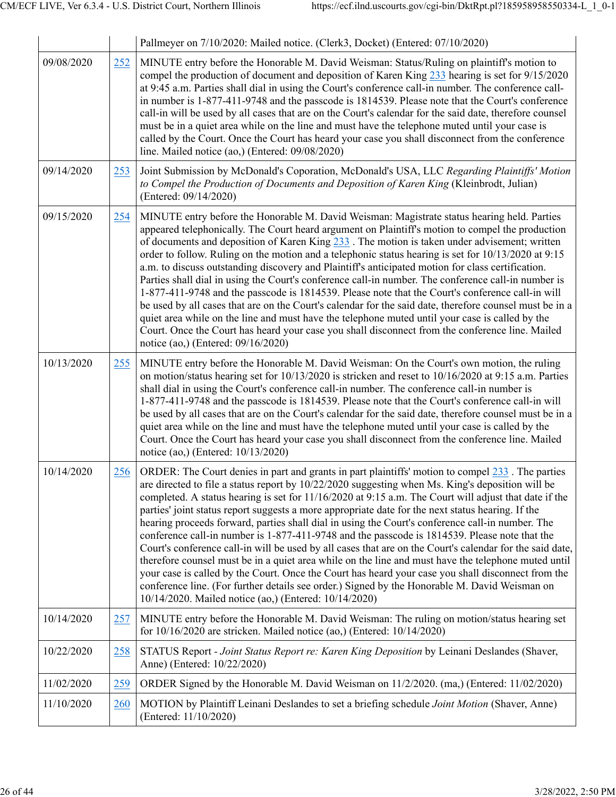|            |     | Pallmeyer on 7/10/2020: Mailed notice. (Clerk3, Docket) (Entered: 07/10/2020)                                                                                                                                                                                                                                                                                                                                                                                                                                                                                                                                                                                                                                                                                                                                                                                                                                                                                                                                                                                                                                |
|------------|-----|--------------------------------------------------------------------------------------------------------------------------------------------------------------------------------------------------------------------------------------------------------------------------------------------------------------------------------------------------------------------------------------------------------------------------------------------------------------------------------------------------------------------------------------------------------------------------------------------------------------------------------------------------------------------------------------------------------------------------------------------------------------------------------------------------------------------------------------------------------------------------------------------------------------------------------------------------------------------------------------------------------------------------------------------------------------------------------------------------------------|
| 09/08/2020 | 252 | MINUTE entry before the Honorable M. David Weisman: Status/Ruling on plaintiff's motion to<br>compel the production of document and deposition of Karen King 233 hearing is set for 9/15/2020<br>at 9:45 a.m. Parties shall dial in using the Court's conference call-in number. The conference call-<br>in number is 1-877-411-9748 and the passcode is 1814539. Please note that the Court's conference<br>call-in will be used by all cases that are on the Court's calendar for the said date, therefore counsel<br>must be in a quiet area while on the line and must have the telephone muted until your case is<br>called by the Court. Once the Court has heard your case you shall disconnect from the conference<br>line. Mailed notice (ao,) (Entered: 09/08/2020)                                                                                                                                                                                                                                                                                                                                |
| 09/14/2020 | 253 | Joint Submission by McDonald's Coporation, McDonald's USA, LLC Regarding Plaintiffs' Motion<br>to Compel the Production of Documents and Deposition of Karen King (Kleinbrodt, Julian)<br>(Entered: 09/14/2020)                                                                                                                                                                                                                                                                                                                                                                                                                                                                                                                                                                                                                                                                                                                                                                                                                                                                                              |
| 09/15/2020 | 254 | MINUTE entry before the Honorable M. David Weisman: Magistrate status hearing held. Parties<br>appeared telephonically. The Court heard argument on Plaintiff's motion to compel the production<br>of documents and deposition of Karen King $233$ . The motion is taken under advisement; written<br>order to follow. Ruling on the motion and a telephonic status hearing is set for 10/13/2020 at 9:15<br>a.m. to discuss outstanding discovery and Plaintiff's anticipated motion for class certification.<br>Parties shall dial in using the Court's conference call-in number. The conference call-in number is<br>1-877-411-9748 and the passcode is 1814539. Please note that the Court's conference call-in will<br>be used by all cases that are on the Court's calendar for the said date, therefore counsel must be in a<br>quiet area while on the line and must have the telephone muted until your case is called by the<br>Court. Once the Court has heard your case you shall disconnect from the conference line. Mailed<br>notice (ao,) (Entered: 09/16/2020)                             |
| 10/13/2020 | 255 | MINUTE entry before the Honorable M. David Weisman: On the Court's own motion, the ruling<br>on motion/status hearing set for $10/13/2020$ is stricken and reset to $10/16/2020$ at 9:15 a.m. Parties<br>shall dial in using the Court's conference call-in number. The conference call-in number is<br>1-877-411-9748 and the passcode is 1814539. Please note that the Court's conference call-in will<br>be used by all cases that are on the Court's calendar for the said date, therefore counsel must be in a<br>quiet area while on the line and must have the telephone muted until your case is called by the<br>Court. Once the Court has heard your case you shall disconnect from the conference line. Mailed<br>notice (ao,) (Entered: 10/13/2020)                                                                                                                                                                                                                                                                                                                                              |
| 10/14/2020 | 256 | ORDER: The Court denies in part and grants in part plaintiffs' motion to compel 233. The parties<br>are directed to file a status report by 10/22/2020 suggesting when Ms. King's deposition will be<br>completed. A status hearing is set for $11/16/2020$ at 9:15 a.m. The Court will adjust that date if the<br>parties' joint status report suggests a more appropriate date for the next status hearing. If the<br>hearing proceeds forward, parties shall dial in using the Court's conference call-in number. The<br>conference call-in number is 1-877-411-9748 and the passcode is 1814539. Please note that the<br>Court's conference call-in will be used by all cases that are on the Court's calendar for the said date,<br>therefore counsel must be in a quiet area while on the line and must have the telephone muted until<br>your case is called by the Court. Once the Court has heard your case you shall disconnect from the<br>conference line. (For further details see order.) Signed by the Honorable M. David Weisman on<br>10/14/2020. Mailed notice (ao,) (Entered: 10/14/2020) |
| 10/14/2020 | 257 | MINUTE entry before the Honorable M. David Weisman: The ruling on motion/status hearing set<br>for $10/16/2020$ are stricken. Mailed notice (ao,) (Entered: $10/14/2020$ )                                                                                                                                                                                                                                                                                                                                                                                                                                                                                                                                                                                                                                                                                                                                                                                                                                                                                                                                   |
| 10/22/2020 | 258 | STATUS Report - Joint Status Report re: Karen King Deposition by Leinani Deslandes (Shaver,<br>Anne) (Entered: 10/22/2020)                                                                                                                                                                                                                                                                                                                                                                                                                                                                                                                                                                                                                                                                                                                                                                                                                                                                                                                                                                                   |
| 11/02/2020 | 259 | ORDER Signed by the Honorable M. David Weisman on 11/2/2020. (ma,) (Entered: 11/02/2020)                                                                                                                                                                                                                                                                                                                                                                                                                                                                                                                                                                                                                                                                                                                                                                                                                                                                                                                                                                                                                     |
| 11/10/2020 | 260 | MOTION by Plaintiff Leinani Deslandes to set a briefing schedule Joint Motion (Shaver, Anne)<br>(Entered: 11/10/2020)                                                                                                                                                                                                                                                                                                                                                                                                                                                                                                                                                                                                                                                                                                                                                                                                                                                                                                                                                                                        |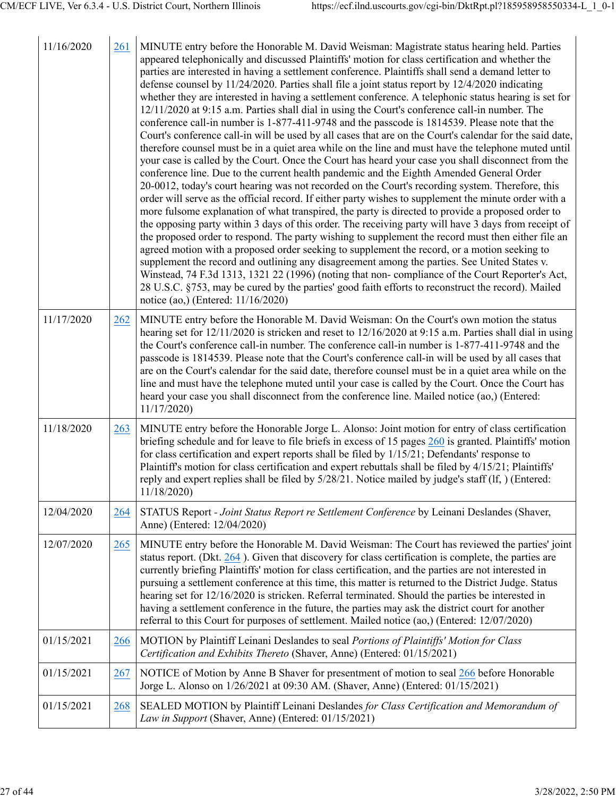| 11/16/2020 | 261 | MINUTE entry before the Honorable M. David Weisman: Magistrate status hearing held. Parties<br>appeared telephonically and discussed Plaintiffs' motion for class certification and whether the<br>parties are interested in having a settlement conference. Plaintiffs shall send a demand letter to<br>defense counsel by 11/24/2020. Parties shall file a joint status report by 12/4/2020 indicating<br>whether they are interested in having a settlement conference. A telephonic status hearing is set for<br>12/11/2020 at 9:15 a.m. Parties shall dial in using the Court's conference call-in number. The<br>conference call-in number is 1-877-411-9748 and the passcode is 1814539. Please note that the<br>Court's conference call-in will be used by all cases that are on the Court's calendar for the said date,<br>therefore counsel must be in a quiet area while on the line and must have the telephone muted until<br>your case is called by the Court. Once the Court has heard your case you shall disconnect from the<br>conference line. Due to the current health pandemic and the Eighth Amended General Order<br>20-0012, today's court hearing was not recorded on the Court's recording system. Therefore, this<br>order will serve as the official record. If either party wishes to supplement the minute order with a<br>more fulsome explanation of what transpired, the party is directed to provide a proposed order to<br>the opposing party within 3 days of this order. The receiving party will have 3 days from receipt of<br>the proposed order to respond. The party wishing to supplement the record must then either file an<br>agreed motion with a proposed order seeking to supplement the record, or a motion seeking to<br>supplement the record and outlining any disagreement among the parties. See United States v.<br>Winstead, 74 F.3d 1313, 1321 22 (1996) (noting that non-compliance of the Court Reporter's Act,<br>28 U.S.C. §753, may be cured by the parties' good faith efforts to reconstruct the record). Mailed<br>notice (ao,) (Entered: 11/16/2020) |
|------------|-----|--------------------------------------------------------------------------------------------------------------------------------------------------------------------------------------------------------------------------------------------------------------------------------------------------------------------------------------------------------------------------------------------------------------------------------------------------------------------------------------------------------------------------------------------------------------------------------------------------------------------------------------------------------------------------------------------------------------------------------------------------------------------------------------------------------------------------------------------------------------------------------------------------------------------------------------------------------------------------------------------------------------------------------------------------------------------------------------------------------------------------------------------------------------------------------------------------------------------------------------------------------------------------------------------------------------------------------------------------------------------------------------------------------------------------------------------------------------------------------------------------------------------------------------------------------------------------------------------------------------------------------------------------------------------------------------------------------------------------------------------------------------------------------------------------------------------------------------------------------------------------------------------------------------------------------------------------------------------------------------------------------------------------------------------------------------------------------------------------------------------------|
| 11/17/2020 | 262 | MINUTE entry before the Honorable M. David Weisman: On the Court's own motion the status<br>hearing set for 12/11/2020 is stricken and reset to 12/16/2020 at 9:15 a.m. Parties shall dial in using<br>the Court's conference call-in number. The conference call-in number is 1-877-411-9748 and the<br>passcode is 1814539. Please note that the Court's conference call-in will be used by all cases that<br>are on the Court's calendar for the said date, therefore counsel must be in a quiet area while on the<br>line and must have the telephone muted until your case is called by the Court. Once the Court has<br>heard your case you shall disconnect from the conference line. Mailed notice (ao,) (Entered:<br>11/17/2020)                                                                                                                                                                                                                                                                                                                                                                                                                                                                                                                                                                                                                                                                                                                                                                                                                                                                                                                                                                                                                                                                                                                                                                                                                                                                                                                                                                                |
| 11/18/2020 | 263 | MINUTE entry before the Honorable Jorge L. Alonso: Joint motion for entry of class certification<br>briefing schedule and for leave to file briefs in excess of 15 pages 260 is granted. Plaintiffs' motion<br>for class certification and expert reports shall be filed by $1/15/21$ ; Defendants' response to<br>Plaintiff's motion for class certification and expert rebuttals shall be filed by 4/15/21; Plaintiffs'<br>reply and expert replies shall be filed by $5/28/21$ . Notice mailed by judge's staff (If, ) (Entered:<br>11/18/2020)                                                                                                                                                                                                                                                                                                                                                                                                                                                                                                                                                                                                                                                                                                                                                                                                                                                                                                                                                                                                                                                                                                                                                                                                                                                                                                                                                                                                                                                                                                                                                                       |
| 12/04/2020 | 264 | STATUS Report - Joint Status Report re Settlement Conference by Leinani Deslandes (Shaver,<br>Anne) (Entered: 12/04/2020)                                                                                                                                                                                                                                                                                                                                                                                                                                                                                                                                                                                                                                                                                                                                                                                                                                                                                                                                                                                                                                                                                                                                                                                                                                                                                                                                                                                                                                                                                                                                                                                                                                                                                                                                                                                                                                                                                                                                                                                                |
| 12/07/2020 | 265 | MINUTE entry before the Honorable M. David Weisman: The Court has reviewed the parties' joint<br>status report. (Dkt. $264$ ). Given that discovery for class certification is complete, the parties are<br>currently briefing Plaintiffs' motion for class certification, and the parties are not interested in<br>pursuing a settlement conference at this time, this matter is returned to the District Judge. Status<br>hearing set for 12/16/2020 is stricken. Referral terminated. Should the parties be interested in<br>having a settlement conference in the future, the parties may ask the district court for another<br>referral to this Court for purposes of settlement. Mailed notice (ao,) (Entered: 12/07/2020)                                                                                                                                                                                                                                                                                                                                                                                                                                                                                                                                                                                                                                                                                                                                                                                                                                                                                                                                                                                                                                                                                                                                                                                                                                                                                                                                                                                         |
| 01/15/2021 | 266 | MOTION by Plaintiff Leinani Deslandes to seal Portions of Plaintiffs' Motion for Class<br>Certification and Exhibits Thereto (Shaver, Anne) (Entered: 01/15/2021)                                                                                                                                                                                                                                                                                                                                                                                                                                                                                                                                                                                                                                                                                                                                                                                                                                                                                                                                                                                                                                                                                                                                                                                                                                                                                                                                                                                                                                                                                                                                                                                                                                                                                                                                                                                                                                                                                                                                                        |
| 01/15/2021 | 267 | NOTICE of Motion by Anne B Shaver for presentment of motion to seal 266 before Honorable<br>Jorge L. Alonso on 1/26/2021 at 09:30 AM. (Shaver, Anne) (Entered: 01/15/2021)                                                                                                                                                                                                                                                                                                                                                                                                                                                                                                                                                                                                                                                                                                                                                                                                                                                                                                                                                                                                                                                                                                                                                                                                                                                                                                                                                                                                                                                                                                                                                                                                                                                                                                                                                                                                                                                                                                                                               |
| 01/15/2021 | 268 | SEALED MOTION by Plaintiff Leinani Deslandes for Class Certification and Memorandum of<br>Law in Support (Shaver, Anne) (Entered: 01/15/2021)                                                                                                                                                                                                                                                                                                                                                                                                                                                                                                                                                                                                                                                                                                                                                                                                                                                                                                                                                                                                                                                                                                                                                                                                                                                                                                                                                                                                                                                                                                                                                                                                                                                                                                                                                                                                                                                                                                                                                                            |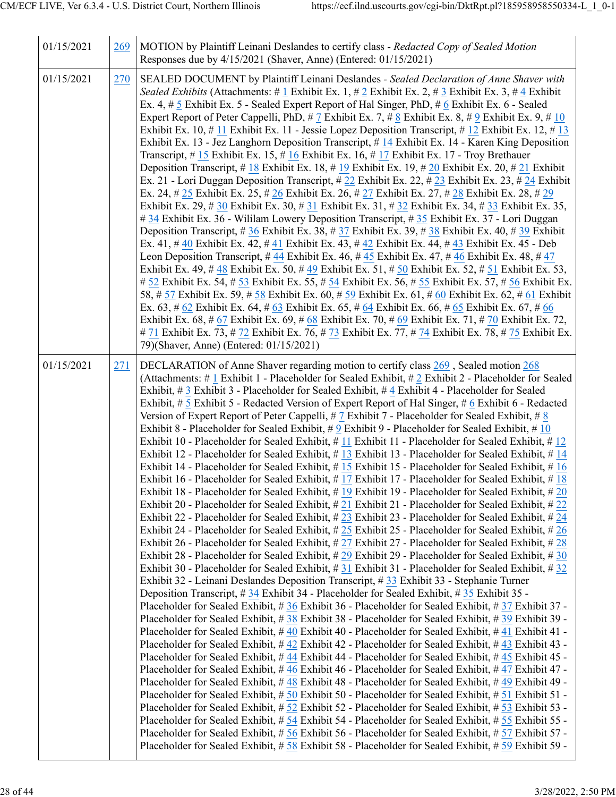| 01/15/2021 | 269 | MOTION by Plaintiff Leinani Deslandes to certify class - Redacted Copy of Sealed Motion<br>Responses due by 4/15/2021 (Shaver, Anne) (Entered: 01/15/2021)                                                                                                                                                                                                                                                                                                                                                                                                                                                                                                                                                                                                                                                                                                                                                                                                                                                                                                                                                                                                                                                                                                                                                                                                                                                                                                                                                                                                                                                                                                                                                                                                                                                                                                                                                                                                                                                                                                                                                                                                                                                                                                                                                                                                                                                                                                                                                                                                                                                                                                                                                                                                                                                                                                                                                                                                                                                                                                                                                                                                                                                                        |
|------------|-----|-----------------------------------------------------------------------------------------------------------------------------------------------------------------------------------------------------------------------------------------------------------------------------------------------------------------------------------------------------------------------------------------------------------------------------------------------------------------------------------------------------------------------------------------------------------------------------------------------------------------------------------------------------------------------------------------------------------------------------------------------------------------------------------------------------------------------------------------------------------------------------------------------------------------------------------------------------------------------------------------------------------------------------------------------------------------------------------------------------------------------------------------------------------------------------------------------------------------------------------------------------------------------------------------------------------------------------------------------------------------------------------------------------------------------------------------------------------------------------------------------------------------------------------------------------------------------------------------------------------------------------------------------------------------------------------------------------------------------------------------------------------------------------------------------------------------------------------------------------------------------------------------------------------------------------------------------------------------------------------------------------------------------------------------------------------------------------------------------------------------------------------------------------------------------------------------------------------------------------------------------------------------------------------------------------------------------------------------------------------------------------------------------------------------------------------------------------------------------------------------------------------------------------------------------------------------------------------------------------------------------------------------------------------------------------------------------------------------------------------------------------------------------------------------------------------------------------------------------------------------------------------------------------------------------------------------------------------------------------------------------------------------------------------------------------------------------------------------------------------------------------------------------------------------------------------------------------------------------------------|
| 01/15/2021 | 270 | SEALED DOCUMENT by Plaintiff Leinani Deslandes - Sealed Declaration of Anne Shaver with<br>Sealed Exhibits (Attachments: # 1 Exhibit Ex. 1, # 2 Exhibit Ex. 2, # 3 Exhibit Ex. 3, # 4 Exhibit<br>Ex. 4, # 5 Exhibit Ex. 5 - Sealed Expert Report of Hal Singer, PhD, # 6 Exhibit Ex. 6 - Sealed<br>Expert Report of Peter Cappelli, PhD, # 7 Exhibit Ex. 7, # 8 Exhibit Ex. 8, # 9 Exhibit Ex. 9, # 10<br>Exhibit Ex. 10, # 11 Exhibit Ex. 11 - Jessie Lopez Deposition Transcript, # 12 Exhibit Ex. 12, # 13<br>Exhibit Ex. 13 - Jez Langhorn Deposition Transcript, #14 Exhibit Ex. 14 - Karen King Deposition<br>Transcript, #15 Exhibit Ex. 15, #16 Exhibit Ex. 16, #17 Exhibit Ex. 17 - Troy Brethauer<br>Deposition Transcript, # 18 Exhibit Ex. 18, # 19 Exhibit Ex. 19, # 20 Exhibit Ex. 20, # 21 Exhibit<br>Ex. 21 - Lori Duggan Deposition Transcript, #22 Exhibit Ex. 22, #23 Exhibit Ex. 23, #24 Exhibit<br>Ex. 24, # 25 Exhibit Ex. 25, # 26 Exhibit Ex. 26, # 27 Exhibit Ex. 27, # 28 Exhibit Ex. 28, # 29<br>Exhibit Ex. 29, # 30 Exhibit Ex. 30, # 31 Exhibit Ex. 31, # 32 Exhibit Ex. 34, # 33 Exhibit Ex. 35,<br>#34 Exhibit Ex. 36 - Wililam Lowery Deposition Transcript, #35 Exhibit Ex. 37 - Lori Duggan<br>Deposition Transcript, #36 Exhibit Ex. 38, #37 Exhibit Ex. 39, #38 Exhibit Ex. 40, #39 Exhibit<br>Ex. 41, # 40 Exhibit Ex. 42, # 41 Exhibit Ex. 43, # 42 Exhibit Ex. 44, # 43 Exhibit Ex. 45 - Deb<br>Leon Deposition Transcript, #44 Exhibit Ex. 46, #45 Exhibit Ex. 47, #46 Exhibit Ex. 48, #47<br>Exhibit Ex. 49, #48 Exhibit Ex. 50, #49 Exhibit Ex. 51, #50 Exhibit Ex. 52, #51 Exhibit Ex. 53,<br># 52 Exhibit Ex. 54, # 53 Exhibit Ex. 55, # 54 Exhibit Ex. 56, # 55 Exhibit Ex. 57, # 56 Exhibit Ex.<br>58, # 57 Exhibit Ex. 59, # 58 Exhibit Ex. 60, # 59 Exhibit Ex. 61, # 60 Exhibit Ex. 62, # 61 Exhibit<br>Ex. 63, # 62 Exhibit Ex. 64, # 63 Exhibit Ex. 65, # 64 Exhibit Ex. 66, # 65 Exhibit Ex. 67, # 66<br>Exhibit Ex. 68, # 67 Exhibit Ex. 69, # 68 Exhibit Ex. 70, # 69 Exhibit Ex. 71, # 70 Exhibit Ex. 72,<br># 71 Exhibit Ex. 73, # 72 Exhibit Ex. 76, # 73 Exhibit Ex. 77, # 74 Exhibit Ex. 78, # 75 Exhibit Ex.<br>79)(Shaver, Anne) (Entered: 01/15/2021)                                                                                                                                                                                                                                                                                                                                                                                                                                                                                                                                                                                                                                                                                                                                                                                                                                                                                                                                                                                                              |
| 01/15/2021 | 271 | DECLARATION of Anne Shaver regarding motion to certify class 269, Sealed motion 268<br>(Attachments: #1 Exhibit 1 - Placeholder for Sealed Exhibit, #2 Exhibit 2 - Placeholder for Sealed<br>Exhibit, # 3 Exhibit 3 - Placeholder for Sealed Exhibit, # 4 Exhibit 4 - Placeholder for Sealed<br>Exhibit, # 5 Exhibit 5 - Redacted Version of Expert Report of Hal Singer, # 6 Exhibit 6 - Redacted<br>Version of Expert Report of Peter Cappelli, #7 Exhibit 7 - Placeholder for Sealed Exhibit, #8<br>Exhibit 8 - Placeholder for Sealed Exhibit, # 9 Exhibit 9 - Placeholder for Sealed Exhibit, # 10<br>Exhibit 10 - Placeholder for Sealed Exhibit, #11 Exhibit 11 - Placeholder for Sealed Exhibit, #12<br>Exhibit 12 - Placeholder for Sealed Exhibit, #13 Exhibit 13 - Placeholder for Sealed Exhibit, #14<br>Exhibit 14 - Placeholder for Sealed Exhibit, #15 Exhibit 15 - Placeholder for Sealed Exhibit, #16<br>Exhibit 16 - Placeholder for Sealed Exhibit, #17 Exhibit 17 - Placeholder for Sealed Exhibit, #18<br>Exhibit 18 - Placeholder for Sealed Exhibit, #19 Exhibit 19 - Placeholder for Sealed Exhibit, #20<br>Exhibit 20 - Placeholder for Sealed Exhibit, #21 Exhibit 21 - Placeholder for Sealed Exhibit, #22<br>Exhibit 22 - Placeholder for Sealed Exhibit, #23 Exhibit 23 - Placeholder for Sealed Exhibit, #24<br>Exhibit 24 - Placeholder for Sealed Exhibit, # 25 Exhibit 25 - Placeholder for Sealed Exhibit, # 26<br>Exhibit 26 - Placeholder for Sealed Exhibit, #27 Exhibit 27 - Placeholder for Sealed Exhibit, #28<br>Exhibit 28 - Placeholder for Sealed Exhibit, #29 Exhibit 29 - Placeholder for Sealed Exhibit, #30<br>Exhibit 30 - Placeholder for Sealed Exhibit, #31 Exhibit 31 - Placeholder for Sealed Exhibit, #32<br>Exhibit 32 - Leinani Deslandes Deposition Transcript, #33 Exhibit 33 - Stephanie Turner<br>Deposition Transcript, $\# 34$ Exhibit 34 - Placeholder for Sealed Exhibit, $\# 35$ Exhibit 35 -<br>Placeholder for Sealed Exhibit, #36 Exhibit 36 - Placeholder for Sealed Exhibit, #37 Exhibit 37 -<br>Placeholder for Sealed Exhibit, #38 Exhibit 38 - Placeholder for Sealed Exhibit, #39 Exhibit 39 -<br>Placeholder for Sealed Exhibit, #40 Exhibit 40 - Placeholder for Sealed Exhibit, #41 Exhibit 41 -<br>Placeholder for Sealed Exhibit, #42 Exhibit 42 - Placeholder for Sealed Exhibit, #43 Exhibit 43 -<br>Placeholder for Sealed Exhibit, #44 Exhibit 44 - Placeholder for Sealed Exhibit, #45 Exhibit 45 -<br>Placeholder for Sealed Exhibit, #46 Exhibit 46 - Placeholder for Sealed Exhibit, #47 Exhibit 47 -<br>Placeholder for Sealed Exhibit, #48 Exhibit 48 - Placeholder for Sealed Exhibit, #49 Exhibit 49 -<br>Placeholder for Sealed Exhibit, # 50 Exhibit 50 - Placeholder for Sealed Exhibit, # 51 Exhibit 51 -<br>Placeholder for Sealed Exhibit, # 52 Exhibit 52 - Placeholder for Sealed Exhibit, # 53 Exhibit 53 -<br>Placeholder for Sealed Exhibit, # 54 Exhibit 54 - Placeholder for Sealed Exhibit, # 55 Exhibit 55 -<br>Placeholder for Sealed Exhibit, #56 Exhibit 56 - Placeholder for Sealed Exhibit, #57 Exhibit 57 -<br>Placeholder for Sealed Exhibit, #58 Exhibit 58 - Placeholder for Sealed Exhibit, #59 Exhibit 59 - |

 $\overline{\phantom{a}}$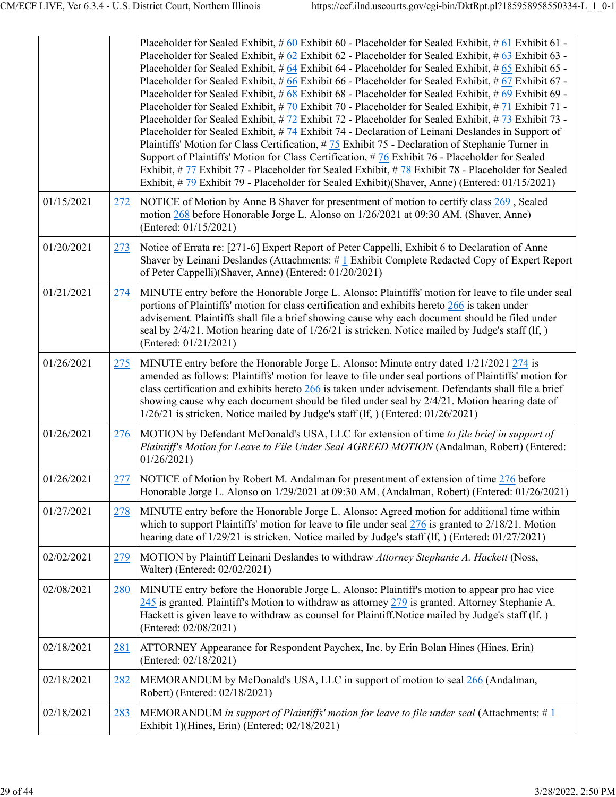|            |     | Placeholder for Sealed Exhibit, # 60 Exhibit 60 - Placeholder for Sealed Exhibit, # 61 Exhibit 61 -<br>Placeholder for Sealed Exhibit, # 62 Exhibit 62 - Placeholder for Sealed Exhibit, # 63 Exhibit 63 -<br>Placeholder for Sealed Exhibit, # 64 Exhibit 64 - Placeholder for Sealed Exhibit, # 65 Exhibit 65 -<br>Placeholder for Sealed Exhibit, # 66 Exhibit 66 - Placeholder for Sealed Exhibit, # 67 Exhibit 67 -<br>Placeholder for Sealed Exhibit, # 68 Exhibit 68 - Placeholder for Sealed Exhibit, # 69 Exhibit 69 -<br>Placeholder for Sealed Exhibit, # 70 Exhibit 70 - Placeholder for Sealed Exhibit, # 71 Exhibit 71 -<br>Placeholder for Sealed Exhibit, #72 Exhibit 72 - Placeholder for Sealed Exhibit, #73 Exhibit 73 -<br>Placeholder for Sealed Exhibit, # 74 Exhibit 74 - Declaration of Leinani Deslandes in Support of<br>Plaintiffs' Motion for Class Certification, # 75 Exhibit 75 - Declaration of Stephanie Turner in<br>Support of Plaintiffs' Motion for Class Certification, # 76 Exhibit 76 - Placeholder for Sealed<br>Exhibit, # 77 Exhibit 77 - Placeholder for Sealed Exhibit, # 78 Exhibit 78 - Placeholder for Sealed<br>Exhibit, #79 Exhibit 79 - Placeholder for Sealed Exhibit)(Shaver, Anne) (Entered: 01/15/2021) |
|------------|-----|----------------------------------------------------------------------------------------------------------------------------------------------------------------------------------------------------------------------------------------------------------------------------------------------------------------------------------------------------------------------------------------------------------------------------------------------------------------------------------------------------------------------------------------------------------------------------------------------------------------------------------------------------------------------------------------------------------------------------------------------------------------------------------------------------------------------------------------------------------------------------------------------------------------------------------------------------------------------------------------------------------------------------------------------------------------------------------------------------------------------------------------------------------------------------------------------------------------------------------------------------------------|
| 01/15/2021 | 272 | NOTICE of Motion by Anne B Shaver for presentment of motion to certify class 269, Sealed<br>motion 268 before Honorable Jorge L. Alonso on 1/26/2021 at 09:30 AM. (Shaver, Anne)<br>(Entered: 01/15/2021)                                                                                                                                                                                                                                                                                                                                                                                                                                                                                                                                                                                                                                                                                                                                                                                                                                                                                                                                                                                                                                                      |
| 01/20/2021 | 273 | Notice of Errata re: [271-6] Expert Report of Peter Cappelli, Exhibit 6 to Declaration of Anne<br>Shaver by Leinani Deslandes (Attachments: #1 Exhibit Complete Redacted Copy of Expert Report<br>of Peter Cappelli)(Shaver, Anne) (Entered: 01/20/2021)                                                                                                                                                                                                                                                                                                                                                                                                                                                                                                                                                                                                                                                                                                                                                                                                                                                                                                                                                                                                       |
| 01/21/2021 | 274 | MINUTE entry before the Honorable Jorge L. Alonso: Plaintiffs' motion for leave to file under seal<br>portions of Plaintiffs' motion for class certification and exhibits hereto 266 is taken under<br>advisement. Plaintiffs shall file a brief showing cause why each document should be filed under<br>seal by $2/4/21$ . Motion hearing date of $1/26/21$ is stricken. Notice mailed by Judge's staff (If, )<br>(Entered: 01/21/2021)                                                                                                                                                                                                                                                                                                                                                                                                                                                                                                                                                                                                                                                                                                                                                                                                                      |
| 01/26/2021 | 275 | MINUTE entry before the Honorable Jorge L. Alonso: Minute entry dated $1/21/2021$ $274$ is<br>amended as follows: Plaintiffs' motion for leave to file under seal portions of Plaintiffs' motion for<br>class certification and exhibits hereto $266$ is taken under advisement. Defendants shall file a brief<br>showing cause why each document should be filed under seal by 2/4/21. Motion hearing date of<br>1/26/21 is stricken. Notice mailed by Judge's staff (lf, ) (Entered: 01/26/2021)                                                                                                                                                                                                                                                                                                                                                                                                                                                                                                                                                                                                                                                                                                                                                             |
| 01/26/2021 | 276 | MOTION by Defendant McDonald's USA, LLC for extension of time to file brief in support of<br>Plaintiff's Motion for Leave to File Under Seal AGREED MOTION (Andalman, Robert) (Entered:<br>01/26/2021                                                                                                                                                                                                                                                                                                                                                                                                                                                                                                                                                                                                                                                                                                                                                                                                                                                                                                                                                                                                                                                          |
| 01/26/2021 | 277 | NOTICE of Motion by Robert M. Andalman for presentment of extension of time 276 before<br>Honorable Jorge L. Alonso on 1/29/2021 at 09:30 AM. (Andalman, Robert) (Entered: 01/26/2021)                                                                                                                                                                                                                                                                                                                                                                                                                                                                                                                                                                                                                                                                                                                                                                                                                                                                                                                                                                                                                                                                         |
| 01/27/2021 | 278 | MINUTE entry before the Honorable Jorge L. Alonso: Agreed motion for additional time within<br>which to support Plaintiffs' motion for leave to file under seal $276$ is granted to $2/18/21$ . Motion<br>hearing date of $1/29/21$ is stricken. Notice mailed by Judge's staff (If, ) (Entered: $01/27/2021$ )                                                                                                                                                                                                                                                                                                                                                                                                                                                                                                                                                                                                                                                                                                                                                                                                                                                                                                                                                |
| 02/02/2021 | 279 | MOTION by Plaintiff Leinani Deslandes to withdraw Attorney Stephanie A. Hackett (Noss,<br>Walter) (Entered: 02/02/2021)                                                                                                                                                                                                                                                                                                                                                                                                                                                                                                                                                                                                                                                                                                                                                                                                                                                                                                                                                                                                                                                                                                                                        |
| 02/08/2021 | 280 | MINUTE entry before the Honorable Jorge L. Alonso: Plaintiff's motion to appear pro hac vice<br>$245$ is granted. Plaintiff's Motion to withdraw as attorney $279$ is granted. Attorney Stephanie A.<br>Hackett is given leave to withdraw as counsel for Plaintiff. Notice mailed by Judge's staff (If, )<br>(Entered: 02/08/2021)                                                                                                                                                                                                                                                                                                                                                                                                                                                                                                                                                                                                                                                                                                                                                                                                                                                                                                                            |
| 02/18/2021 | 281 | ATTORNEY Appearance for Respondent Paychex, Inc. by Erin Bolan Hines (Hines, Erin)<br>(Entered: 02/18/2021)                                                                                                                                                                                                                                                                                                                                                                                                                                                                                                                                                                                                                                                                                                                                                                                                                                                                                                                                                                                                                                                                                                                                                    |
| 02/18/2021 | 282 | MEMORANDUM by McDonald's USA, LLC in support of motion to seal 266 (Andalman,<br>Robert) (Entered: 02/18/2021)                                                                                                                                                                                                                                                                                                                                                                                                                                                                                                                                                                                                                                                                                                                                                                                                                                                                                                                                                                                                                                                                                                                                                 |
| 02/18/2021 | 283 | MEMORANDUM in support of Plaintiffs' motion for leave to file under seal (Attachments: # $1$<br>Exhibit 1)(Hines, Erin) (Entered: 02/18/2021)                                                                                                                                                                                                                                                                                                                                                                                                                                                                                                                                                                                                                                                                                                                                                                                                                                                                                                                                                                                                                                                                                                                  |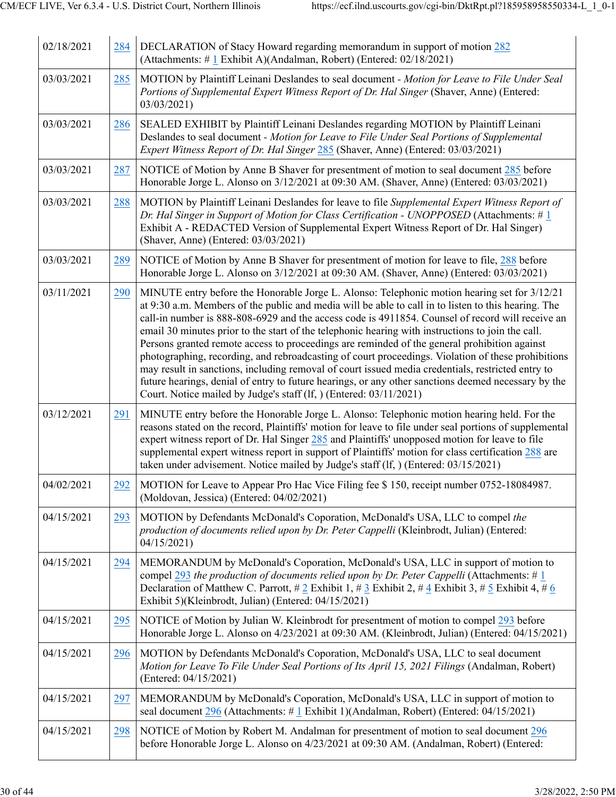| 02/18/2021 | 284 | DECLARATION of Stacy Howard regarding memorandum in support of motion 282<br>(Attachments: #1 Exhibit A)(Andalman, Robert) (Entered: 02/18/2021)                                                                                                                                                                                                                                                                                                                                                                                                                                                                                                                                                                                                                                                                                                                                                     |
|------------|-----|------------------------------------------------------------------------------------------------------------------------------------------------------------------------------------------------------------------------------------------------------------------------------------------------------------------------------------------------------------------------------------------------------------------------------------------------------------------------------------------------------------------------------------------------------------------------------------------------------------------------------------------------------------------------------------------------------------------------------------------------------------------------------------------------------------------------------------------------------------------------------------------------------|
| 03/03/2021 | 285 | MOTION by Plaintiff Leinani Deslandes to seal document - Motion for Leave to File Under Seal<br>Portions of Supplemental Expert Witness Report of Dr. Hal Singer (Shaver, Anne) (Entered:<br>03/03/2021)                                                                                                                                                                                                                                                                                                                                                                                                                                                                                                                                                                                                                                                                                             |
| 03/03/2021 | 286 | SEALED EXHIBIT by Plaintiff Leinani Deslandes regarding MOTION by Plaintiff Leinani<br>Deslandes to seal document - Motion for Leave to File Under Seal Portions of Supplemental<br><i>Expert Witness Report of Dr. Hal Singer 285</i> (Shaver, Anne) (Entered: 03/03/2021)                                                                                                                                                                                                                                                                                                                                                                                                                                                                                                                                                                                                                          |
| 03/03/2021 | 287 | NOTICE of Motion by Anne B Shaver for presentment of motion to seal document 285 before<br>Honorable Jorge L. Alonso on 3/12/2021 at 09:30 AM. (Shaver, Anne) (Entered: 03/03/2021)                                                                                                                                                                                                                                                                                                                                                                                                                                                                                                                                                                                                                                                                                                                  |
| 03/03/2021 | 288 | MOTION by Plaintiff Leinani Deslandes for leave to file Supplemental Expert Witness Report of<br>Dr. Hal Singer in Support of Motion for Class Certification - UNOPPOSED (Attachments: $\# 1$<br>Exhibit A - REDACTED Version of Supplemental Expert Witness Report of Dr. Hal Singer)<br>(Shaver, Anne) (Entered: 03/03/2021)                                                                                                                                                                                                                                                                                                                                                                                                                                                                                                                                                                       |
| 03/03/2021 | 289 | NOTICE of Motion by Anne B Shaver for presentment of motion for leave to file, 288 before<br>Honorable Jorge L. Alonso on 3/12/2021 at 09:30 AM. (Shaver, Anne) (Entered: 03/03/2021)                                                                                                                                                                                                                                                                                                                                                                                                                                                                                                                                                                                                                                                                                                                |
| 03/11/2021 | 290 | MINUTE entry before the Honorable Jorge L. Alonso: Telephonic motion hearing set for 3/12/21<br>at 9:30 a.m. Members of the public and media will be able to call in to listen to this hearing. The<br>call-in number is 888-808-6929 and the access code is 4911854. Counsel of record will receive an<br>email 30 minutes prior to the start of the telephonic hearing with instructions to join the call.<br>Persons granted remote access to proceedings are reminded of the general prohibition against<br>photographing, recording, and rebroadcasting of court proceedings. Violation of these prohibitions<br>may result in sanctions, including removal of court issued media credentials, restricted entry to<br>future hearings, denial of entry to future hearings, or any other sanctions deemed necessary by the<br>Court. Notice mailed by Judge's staff (lf, ) (Entered: 03/11/2021) |
| 03/12/2021 | 291 | MINUTE entry before the Honorable Jorge L. Alonso: Telephonic motion hearing held. For the<br>reasons stated on the record, Plaintiffs' motion for leave to file under seal portions of supplemental<br>expert witness report of Dr. Hal Singer 285 and Plaintiffs' unopposed motion for leave to file<br>supplemental expert witness report in support of Plaintiffs' motion for class certification 288 are<br>taken under advisement. Notice mailed by Judge's staff (If, ) (Entered: 03/15/2021)                                                                                                                                                                                                                                                                                                                                                                                                 |
| 04/02/2021 | 292 | MOTION for Leave to Appear Pro Hac Vice Filing fee \$150, receipt number 0752-18084987.<br>(Moldovan, Jessica) (Entered: 04/02/2021)                                                                                                                                                                                                                                                                                                                                                                                                                                                                                                                                                                                                                                                                                                                                                                 |
| 04/15/2021 | 293 | MOTION by Defendants McDonald's Coporation, McDonald's USA, LLC to compel the<br>production of documents relied upon by Dr. Peter Cappelli (Kleinbrodt, Julian) (Entered:<br>04/15/2021                                                                                                                                                                                                                                                                                                                                                                                                                                                                                                                                                                                                                                                                                                              |
| 04/15/2021 | 294 | MEMORANDUM by McDonald's Coporation, McDonald's USA, LLC in support of motion to<br>compel 293 the production of documents relied upon by Dr. Peter Cappelli (Attachments: # 1<br>Declaration of Matthew C. Parrott, # 2 Exhibit 1, # 3 Exhibit 2, # $\frac{4}{5}$ Exhibit 3, # $\frac{5}{5}$ Exhibit 4, # $\frac{6}{5}$<br>Exhibit 5)(Kleinbrodt, Julian) (Entered: 04/15/2021)                                                                                                                                                                                                                                                                                                                                                                                                                                                                                                                     |
| 04/15/2021 | 295 | NOTICE of Motion by Julian W. Kleinbrodt for presentment of motion to compel 293 before<br>Honorable Jorge L. Alonso on 4/23/2021 at 09:30 AM. (Kleinbrodt, Julian) (Entered: 04/15/2021)                                                                                                                                                                                                                                                                                                                                                                                                                                                                                                                                                                                                                                                                                                            |
| 04/15/2021 | 296 | MOTION by Defendants McDonald's Coporation, McDonald's USA, LLC to seal document<br>Motion for Leave To File Under Seal Portions of Its April 15, 2021 Filings (Andalman, Robert)<br>(Entered: 04/15/2021)                                                                                                                                                                                                                                                                                                                                                                                                                                                                                                                                                                                                                                                                                           |
| 04/15/2021 | 297 | MEMORANDUM by McDonald's Coporation, McDonald's USA, LLC in support of motion to<br>seal document 296 (Attachments: #1 Exhibit 1)(Andalman, Robert) (Entered: 04/15/2021)                                                                                                                                                                                                                                                                                                                                                                                                                                                                                                                                                                                                                                                                                                                            |
| 04/15/2021 | 298 | NOTICE of Motion by Robert M. Andalman for presentment of motion to seal document 296<br>before Honorable Jorge L. Alonso on 4/23/2021 at 09:30 AM. (Andalman, Robert) (Entered:                                                                                                                                                                                                                                                                                                                                                                                                                                                                                                                                                                                                                                                                                                                     |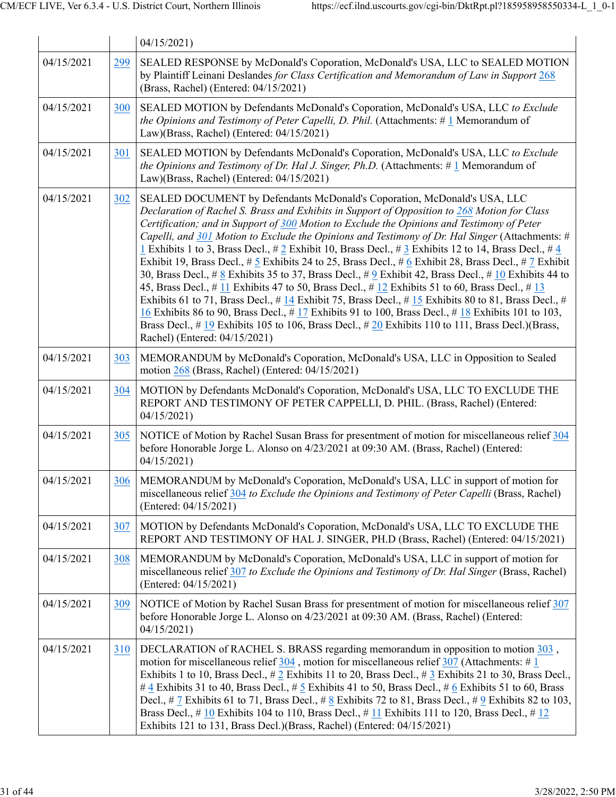|            |     | 04/15/2021                                                                                                                                                                                                                                                                                                                                                                                                                                                                                                                                                                                                                                                                                                                                                                                                                                                                                                                                                                                                                                                                                                                                                       |
|------------|-----|------------------------------------------------------------------------------------------------------------------------------------------------------------------------------------------------------------------------------------------------------------------------------------------------------------------------------------------------------------------------------------------------------------------------------------------------------------------------------------------------------------------------------------------------------------------------------------------------------------------------------------------------------------------------------------------------------------------------------------------------------------------------------------------------------------------------------------------------------------------------------------------------------------------------------------------------------------------------------------------------------------------------------------------------------------------------------------------------------------------------------------------------------------------|
| 04/15/2021 | 299 | SEALED RESPONSE by McDonald's Coporation, McDonald's USA, LLC to SEALED MOTION<br>by Plaintiff Leinani Deslandes for Class Certification and Memorandum of Law in Support 268<br>(Brass, Rachel) (Entered: 04/15/2021)                                                                                                                                                                                                                                                                                                                                                                                                                                                                                                                                                                                                                                                                                                                                                                                                                                                                                                                                           |
| 04/15/2021 | 300 | SEALED MOTION by Defendants McDonald's Coporation, McDonald's USA, LLC to Exclude<br>the Opinions and Testimony of Peter Capelli, D. Phil. (Attachments: $\#$ 1 Memorandum of<br>Law)(Brass, Rachel) (Entered: 04/15/2021)                                                                                                                                                                                                                                                                                                                                                                                                                                                                                                                                                                                                                                                                                                                                                                                                                                                                                                                                       |
| 04/15/2021 | 301 | SEALED MOTION by Defendants McDonald's Coporation, McDonald's USA, LLC to Exclude<br>the Opinions and Testimony of Dr. Hal J. Singer, Ph.D. (Attachments: $\#1$ Memorandum of<br>Law)(Brass, Rachel) (Entered: 04/15/2021)                                                                                                                                                                                                                                                                                                                                                                                                                                                                                                                                                                                                                                                                                                                                                                                                                                                                                                                                       |
| 04/15/2021 | 302 | SEALED DOCUMENT by Defendants McDonald's Coporation, McDonald's USA, LLC<br>Declaration of Rachel S. Brass and Exhibits in Support of Opposition to 268 Motion for Class<br>Certification; and in Support of 300 Motion to Exclude the Opinions and Testimony of Peter<br>Capelli, and 301 Motion to Exclude the Opinions and Testimony of Dr. Hal Singer (Attachments: #<br>1 Exhibits 1 to 3, Brass Decl., # 2 Exhibit 10, Brass Decl., # 3 Exhibits 12 to 14, Brass Decl., # 4<br>Exhibit 19, Brass Decl., # 5 Exhibits 24 to 25, Brass Decl., # 6 Exhibit 28, Brass Decl., # 7 Exhibit<br>30, Brass Decl., # $8$ Exhibits 35 to 37, Brass Decl., # $9$ Exhibit 42, Brass Decl., # 10 Exhibits 44 to<br>45, Brass Decl., # 11 Exhibits 47 to 50, Brass Decl., # 12 Exhibits 51 to 60, Brass Decl., # 13<br>Exhibits 61 to 71, Brass Decl., # 14 Exhibit 75, Brass Decl., # 15 Exhibits 80 to 81, Brass Decl., #<br>16 Exhibits 86 to 90, Brass Decl., #17 Exhibits 91 to 100, Brass Decl., #18 Exhibits 101 to 103,<br>Brass Decl., # $19$ Exhibits 105 to 106, Brass Decl., # $20$ Exhibits 110 to 111, Brass Decl.)(Brass,<br>Rachel) (Entered: 04/15/2021) |
| 04/15/2021 | 303 | MEMORANDUM by McDonald's Coporation, McDonald's USA, LLC in Opposition to Sealed<br>motion 268 (Brass, Rachel) (Entered: 04/15/2021)                                                                                                                                                                                                                                                                                                                                                                                                                                                                                                                                                                                                                                                                                                                                                                                                                                                                                                                                                                                                                             |
| 04/15/2021 | 304 | MOTION by Defendants McDonald's Coporation, McDonald's USA, LLC TO EXCLUDE THE<br>REPORT AND TESTIMONY OF PETER CAPPELLI, D. PHIL. (Brass, Rachel) (Entered:<br>04/15/2021                                                                                                                                                                                                                                                                                                                                                                                                                                                                                                                                                                                                                                                                                                                                                                                                                                                                                                                                                                                       |
| 04/15/2021 | 305 | NOTICE of Motion by Rachel Susan Brass for presentment of motion for miscellaneous relief 304<br>before Honorable Jorge L. Alonso on 4/23/2021 at 09:30 AM. (Brass, Rachel) (Entered:<br>04/15/2021                                                                                                                                                                                                                                                                                                                                                                                                                                                                                                                                                                                                                                                                                                                                                                                                                                                                                                                                                              |
| 04/15/2021 |     | 306   MEMORANDUM by McDonald's Coporation, McDonald's USA, LLC in support of motion for<br>miscellaneous relief 304 to Exclude the Opinions and Testimony of Peter Capelli (Brass, Rachel)<br>(Entered: 04/15/2021)                                                                                                                                                                                                                                                                                                                                                                                                                                                                                                                                                                                                                                                                                                                                                                                                                                                                                                                                              |
| 04/15/2021 | 307 | MOTION by Defendants McDonald's Coporation, McDonald's USA, LLC TO EXCLUDE THE<br>REPORT AND TESTIMONY OF HAL J. SINGER, PH.D (Brass, Rachel) (Entered: 04/15/2021)                                                                                                                                                                                                                                                                                                                                                                                                                                                                                                                                                                                                                                                                                                                                                                                                                                                                                                                                                                                              |
| 04/15/2021 | 308 | MEMORANDUM by McDonald's Coporation, McDonald's USA, LLC in support of motion for<br>miscellaneous relief $307$ to Exclude the Opinions and Testimony of Dr. Hal Singer (Brass, Rachel)<br>(Entered: 04/15/2021)                                                                                                                                                                                                                                                                                                                                                                                                                                                                                                                                                                                                                                                                                                                                                                                                                                                                                                                                                 |
| 04/15/2021 | 309 | NOTICE of Motion by Rachel Susan Brass for presentment of motion for miscellaneous relief 307<br>before Honorable Jorge L. Alonso on 4/23/2021 at 09:30 AM. (Brass, Rachel) (Entered:<br>04/15/2021                                                                                                                                                                                                                                                                                                                                                                                                                                                                                                                                                                                                                                                                                                                                                                                                                                                                                                                                                              |
| 04/15/2021 | 310 | DECLARATION of RACHEL S. BRASS regarding memorandum in opposition to motion 303,<br>motion for miscellaneous relief $304$ , motion for miscellaneous relief $307$ (Attachments: # 1)<br>Exhibits 1 to 10, Brass Decl., # 2 Exhibits 11 to 20, Brass Decl., # 3 Exhibits 21 to 30, Brass Decl.,<br># 4 Exhibits 31 to 40, Brass Decl., # 5 Exhibits 41 to 50, Brass Decl., # 6 Exhibits 51 to 60, Brass<br>Decl., # 7 Exhibits 61 to 71, Brass Decl., # 8 Exhibits 72 to 81, Brass Decl., # 9 Exhibits 82 to 103,<br>Brass Decl., #10 Exhibits 104 to 110, Brass Decl., #11 Exhibits 111 to 120, Brass Decl., #12<br>Exhibits 121 to 131, Brass Decl.)(Brass, Rachel) (Entered: 04/15/2021)                                                                                                                                                                                                                                                                                                                                                                                                                                                                       |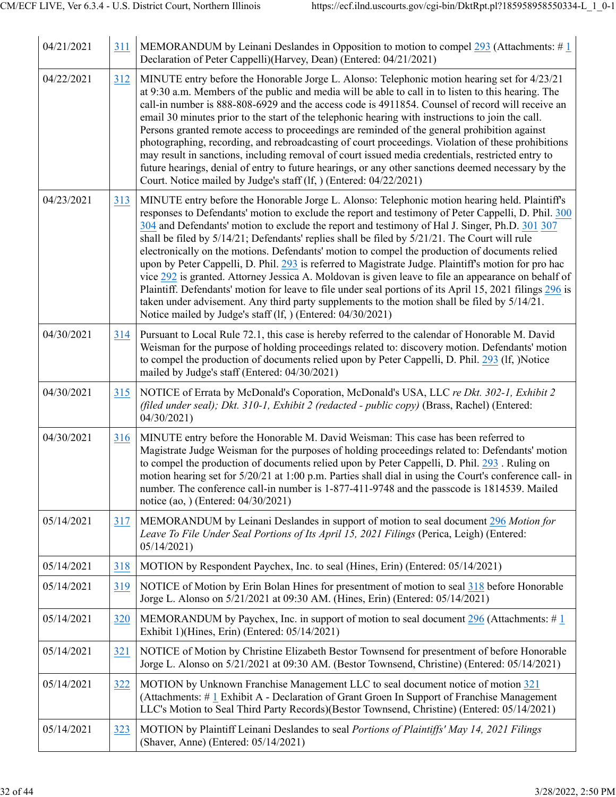| 04/21/2021 | 311 | MEMORANDUM by Leinani Deslandes in Opposition to motion to compel 293 (Attachments: $\#$ 1<br>Declaration of Peter Cappelli)(Harvey, Dean) (Entered: 04/21/2021)                                                                                                                                                                                                                                                                                                                                                                                                                                                                                                                                                                                                                                                                                                                                                                                                                                           |
|------------|-----|------------------------------------------------------------------------------------------------------------------------------------------------------------------------------------------------------------------------------------------------------------------------------------------------------------------------------------------------------------------------------------------------------------------------------------------------------------------------------------------------------------------------------------------------------------------------------------------------------------------------------------------------------------------------------------------------------------------------------------------------------------------------------------------------------------------------------------------------------------------------------------------------------------------------------------------------------------------------------------------------------------|
| 04/22/2021 | 312 | MINUTE entry before the Honorable Jorge L. Alonso: Telephonic motion hearing set for 4/23/21<br>at 9:30 a.m. Members of the public and media will be able to call in to listen to this hearing. The<br>call-in number is 888-808-6929 and the access code is 4911854. Counsel of record will receive an<br>email 30 minutes prior to the start of the telephonic hearing with instructions to join the call.<br>Persons granted remote access to proceedings are reminded of the general prohibition against<br>photographing, recording, and rebroadcasting of court proceedings. Violation of these prohibitions<br>may result in sanctions, including removal of court issued media credentials, restricted entry to<br>future hearings, denial of entry to future hearings, or any other sanctions deemed necessary by the<br>Court. Notice mailed by Judge's staff (lf, ) (Entered: 04/22/2021)                                                                                                       |
| 04/23/2021 | 313 | MINUTE entry before the Honorable Jorge L. Alonso: Telephonic motion hearing held. Plaintiff's<br>responses to Defendants' motion to exclude the report and testimony of Peter Cappelli, D. Phil. 300<br>304 and Defendants' motion to exclude the report and testimony of Hal J. Singer, Ph.D. 301 307<br>shall be filed by $5/14/21$ ; Defendants' replies shall be filed by $5/21/21$ . The Court will rule<br>electronically on the motions. Defendants' motion to compel the production of documents relied<br>upon by Peter Cappelli, D. Phil. 293 is referred to Magistrate Judge. Plaintiff's motion for pro hac<br>vice 292 is granted. Attorney Jessica A. Moldovan is given leave to file an appearance on behalf of<br>Plaintiff. Defendants' motion for leave to file under seal portions of its April 15, 2021 filings 296 is<br>taken under advisement. Any third party supplements to the motion shall be filed by 5/14/21.<br>Notice mailed by Judge's staff (lf, ) (Entered: 04/30/2021) |
| 04/30/2021 | 314 | Pursuant to Local Rule 72.1, this case is hereby referred to the calendar of Honorable M. David<br>Weisman for the purpose of holding proceedings related to: discovery motion. Defendants' motion<br>to compel the production of documents relied upon by Peter Cappelli, D. Phil. 293 (If, )Notice<br>mailed by Judge's staff (Entered: 04/30/2021)                                                                                                                                                                                                                                                                                                                                                                                                                                                                                                                                                                                                                                                      |
| 04/30/2021 | 315 | NOTICE of Errata by McDonald's Coporation, McDonald's USA, LLC re Dkt. 302-1, Exhibit 2<br>(filed under seal); Dkt. 310-1, Exhibit 2 (redacted - public copy) (Brass, Rachel) (Entered:<br>04/30/2021)                                                                                                                                                                                                                                                                                                                                                                                                                                                                                                                                                                                                                                                                                                                                                                                                     |
| 04/30/2021 | 316 | MINUTE entry before the Honorable M. David Weisman: This case has been referred to<br>Magistrate Judge Weisman for the purposes of holding proceedings related to: Defendants' motion<br>to compel the production of documents relied upon by Peter Cappelli, D. Phil. 293. Ruling on<br>motion hearing set for 5/20/21 at 1:00 p.m. Parties shall dial in using the Court's conference call- in<br>number. The conference call-in number is 1-877-411-9748 and the passcode is 1814539. Mailed<br>notice (ao, ) (Entered: 04/30/2021)                                                                                                                                                                                                                                                                                                                                                                                                                                                                     |
| 05/14/2021 | 317 | MEMORANDUM by Leinani Deslandes in support of motion to seal document 296 Motion for<br>Leave To File Under Seal Portions of Its April 15, 2021 Filings (Perica, Leigh) (Entered:<br>05/14/2021                                                                                                                                                                                                                                                                                                                                                                                                                                                                                                                                                                                                                                                                                                                                                                                                            |
| 05/14/2021 | 318 | MOTION by Respondent Paychex, Inc. to seal (Hines, Erin) (Entered: 05/14/2021)                                                                                                                                                                                                                                                                                                                                                                                                                                                                                                                                                                                                                                                                                                                                                                                                                                                                                                                             |
| 05/14/2021 | 319 | NOTICE of Motion by Erin Bolan Hines for presentment of motion to seal 318 before Honorable<br>Jorge L. Alonso on 5/21/2021 at 09:30 AM. (Hines, Erin) (Entered: 05/14/2021)                                                                                                                                                                                                                                                                                                                                                                                                                                                                                                                                                                                                                                                                                                                                                                                                                               |
| 05/14/2021 | 320 | MEMORANDUM by Paychex, Inc. in support of motion to seal document 296 (Attachments: $\#$ 1<br>Exhibit 1)(Hines, Erin) (Entered: 05/14/2021)                                                                                                                                                                                                                                                                                                                                                                                                                                                                                                                                                                                                                                                                                                                                                                                                                                                                |
| 05/14/2021 | 321 | NOTICE of Motion by Christine Elizabeth Bestor Townsend for presentment of before Honorable<br>Jorge L. Alonso on 5/21/2021 at 09:30 AM. (Bestor Townsend, Christine) (Entered: 05/14/2021)                                                                                                                                                                                                                                                                                                                                                                                                                                                                                                                                                                                                                                                                                                                                                                                                                |
| 05/14/2021 | 322 | MOTION by Unknown Franchise Management LLC to seal document notice of motion 321<br>(Attachments: #1 Exhibit A - Declaration of Grant Groen In Support of Franchise Management<br>LLC's Motion to Seal Third Party Records)(Bestor Townsend, Christine) (Entered: 05/14/2021)                                                                                                                                                                                                                                                                                                                                                                                                                                                                                                                                                                                                                                                                                                                              |
| 05/14/2021 | 323 | MOTION by Plaintiff Leinani Deslandes to seal Portions of Plaintiffs' May 14, 2021 Filings<br>(Shaver, Anne) (Entered: 05/14/2021)                                                                                                                                                                                                                                                                                                                                                                                                                                                                                                                                                                                                                                                                                                                                                                                                                                                                         |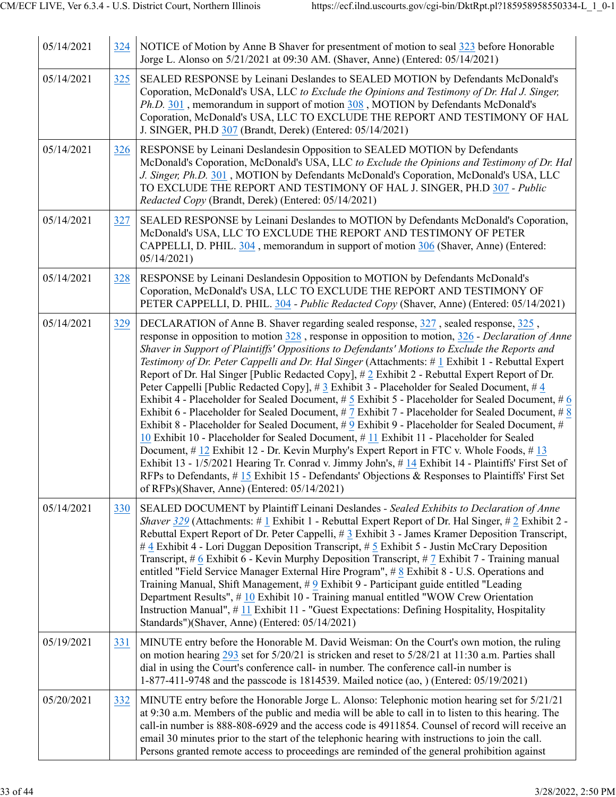| 05/14/2021 | 324 | NOTICE of Motion by Anne B Shaver for presentment of motion to seal 323 before Honorable<br>Jorge L. Alonso on 5/21/2021 at 09:30 AM. (Shaver, Anne) (Entered: 05/14/2021)                                                                                                                                                                                                                                                                                                                                                                                                                                                                                                                                                                                                                                                                                                                                                                                                                                                                                                                                                                                                                                                                                                                                                                                        |
|------------|-----|-------------------------------------------------------------------------------------------------------------------------------------------------------------------------------------------------------------------------------------------------------------------------------------------------------------------------------------------------------------------------------------------------------------------------------------------------------------------------------------------------------------------------------------------------------------------------------------------------------------------------------------------------------------------------------------------------------------------------------------------------------------------------------------------------------------------------------------------------------------------------------------------------------------------------------------------------------------------------------------------------------------------------------------------------------------------------------------------------------------------------------------------------------------------------------------------------------------------------------------------------------------------------------------------------------------------------------------------------------------------|
| 05/14/2021 | 325 | SEALED RESPONSE by Leinani Deslandes to SEALED MOTION by Defendants McDonald's<br>Coporation, McDonald's USA, LLC to Exclude the Opinions and Testimony of Dr. Hal J. Singer,<br>$Ph.D.$ 301, memorandum in support of motion 308, MOTION by Defendants McDonald's<br>Coporation, McDonald's USA, LLC TO EXCLUDE THE REPORT AND TESTIMONY OF HAL<br>J. SINGER, PH.D 307 (Brandt, Derek) (Entered: 05/14/2021)                                                                                                                                                                                                                                                                                                                                                                                                                                                                                                                                                                                                                                                                                                                                                                                                                                                                                                                                                     |
| 05/14/2021 | 326 | RESPONSE by Leinani Deslandesin Opposition to SEALED MOTION by Defendants<br>McDonald's Coporation, McDonald's USA, LLC to Exclude the Opinions and Testimony of Dr. Hal<br>J. Singer, Ph.D. 301, MOTION by Defendants McDonald's Coporation, McDonald's USA, LLC<br>TO EXCLUDE THE REPORT AND TESTIMONY OF HAL J. SINGER, PH.D 307 - Public<br>Redacted Copy (Brandt, Derek) (Entered: 05/14/2021)                                                                                                                                                                                                                                                                                                                                                                                                                                                                                                                                                                                                                                                                                                                                                                                                                                                                                                                                                               |
| 05/14/2021 | 327 | SEALED RESPONSE by Leinani Deslandes to MOTION by Defendants McDonald's Coporation,<br>McDonald's USA, LLC TO EXCLUDE THE REPORT AND TESTIMONY OF PETER<br>CAPPELLI, D. PHIL. 304, memorandum in support of motion 306 (Shaver, Anne) (Entered:<br>05/14/2021                                                                                                                                                                                                                                                                                                                                                                                                                                                                                                                                                                                                                                                                                                                                                                                                                                                                                                                                                                                                                                                                                                     |
| 05/14/2021 | 328 | RESPONSE by Leinani Deslandesin Opposition to MOTION by Defendants McDonald's<br>Coporation, McDonald's USA, LLC TO EXCLUDE THE REPORT AND TESTIMONY OF<br>PETER CAPPELLI, D. PHIL. 304 - Public Redacted Copy (Shaver, Anne) (Entered: 05/14/2021)                                                                                                                                                                                                                                                                                                                                                                                                                                                                                                                                                                                                                                                                                                                                                                                                                                                                                                                                                                                                                                                                                                               |
| 05/14/2021 | 329 | DECLARATION of Anne B. Shaver regarding sealed response, 327, sealed response, 325,<br>response in opposition to motion $328$ , response in opposition to motion, $326$ - Declaration of Anne<br>Shaver in Support of Plaintiffs' Oppositions to Defendants' Motions to Exclude the Reports and<br>Testimony of Dr. Peter Cappelli and Dr. Hal Singer (Attachments: # 1 Exhibit 1 - Rebuttal Expert<br>Report of Dr. Hal Singer [Public Redacted Copy], # 2 Exhibit 2 - Rebuttal Expert Report of Dr.<br>Peter Cappelli [Public Redacted Copy], # 3 Exhibit 3 - Placeholder for Sealed Document, # 4<br>Exhibit 4 - Placeholder for Sealed Document, # 5 Exhibit 5 - Placeholder for Sealed Document, # 6<br>Exhibit 6 - Placeholder for Sealed Document, # 7 Exhibit 7 - Placeholder for Sealed Document, # 8<br>Exhibit 8 - Placeholder for Sealed Document, #9 Exhibit 9 - Placeholder for Sealed Document, #<br>10 Exhibit 10 - Placeholder for Sealed Document, #11 Exhibit 11 - Placeholder for Sealed<br>Document, #12 Exhibit 12 - Dr. Kevin Murphy's Expert Report in FTC v. Whole Foods, #13<br>Exhibit 13 - 1/5/2021 Hearing Tr. Conrad v. Jimmy John's, #14 Exhibit 14 - Plaintiffs' First Set of<br>RFPs to Defendants, #15 Exhibit 15 - Defendants' Objections & Responses to Plaintiffs' First Set<br>of RFPs)(Shaver, Anne) (Entered: 05/14/2021) |
| 05/14/2021 | 330 | SEALED DOCUMENT by Plaintiff Leinani Deslandes - Sealed Exhibits to Declaration of Anne<br>Shaver 329 (Attachments: # 1 Exhibit 1 - Rebuttal Expert Report of Dr. Hal Singer, # 2 Exhibit 2 -<br>Rebuttal Expert Report of Dr. Peter Cappelli, # 3 Exhibit 3 - James Kramer Deposition Transcript,<br>#4 Exhibit 4 - Lori Duggan Deposition Transcript, #5 Exhibit 5 - Justin McCrary Deposition<br>Transcript, # 6 Exhibit 6 - Kevin Murphy Deposition Transcript, # 7 Exhibit 7 - Training manual<br>entitled "Field Service Manager External Hire Program", $\# 8$ Exhibit 8 - U.S. Operations and<br>Training Manual, Shift Management, #9 Exhibit 9 - Participant guide entitled "Leading<br>Department Results", #10 Exhibit 10 - Training manual entitled "WOW Crew Orientation<br>Instruction Manual", #11 Exhibit 11 - "Guest Expectations: Defining Hospitality, Hospitality<br>Standards")(Shaver, Anne) (Entered: 05/14/2021)                                                                                                                                                                                                                                                                                                                                                                                                                         |
| 05/19/2021 | 331 | MINUTE entry before the Honorable M. David Weisman: On the Court's own motion, the ruling<br>on motion hearing 293 set for 5/20/21 is stricken and reset to 5/28/21 at 11:30 a.m. Parties shall<br>dial in using the Court's conference call- in number. The conference call-in number is<br>1-877-411-9748 and the passcode is 1814539. Mailed notice (ao, ) (Entered: 05/19/2021)                                                                                                                                                                                                                                                                                                                                                                                                                                                                                                                                                                                                                                                                                                                                                                                                                                                                                                                                                                               |
| 05/20/2021 | 332 | MINUTE entry before the Honorable Jorge L. Alonso: Telephonic motion hearing set for 5/21/21<br>at 9:30 a.m. Members of the public and media will be able to call in to listen to this hearing. The<br>call-in number is 888-808-6929 and the access code is 4911854. Counsel of record will receive an<br>email 30 minutes prior to the start of the telephonic hearing with instructions to join the call.<br>Persons granted remote access to proceedings are reminded of the general prohibition against                                                                                                                                                                                                                                                                                                                                                                                                                                                                                                                                                                                                                                                                                                                                                                                                                                                      |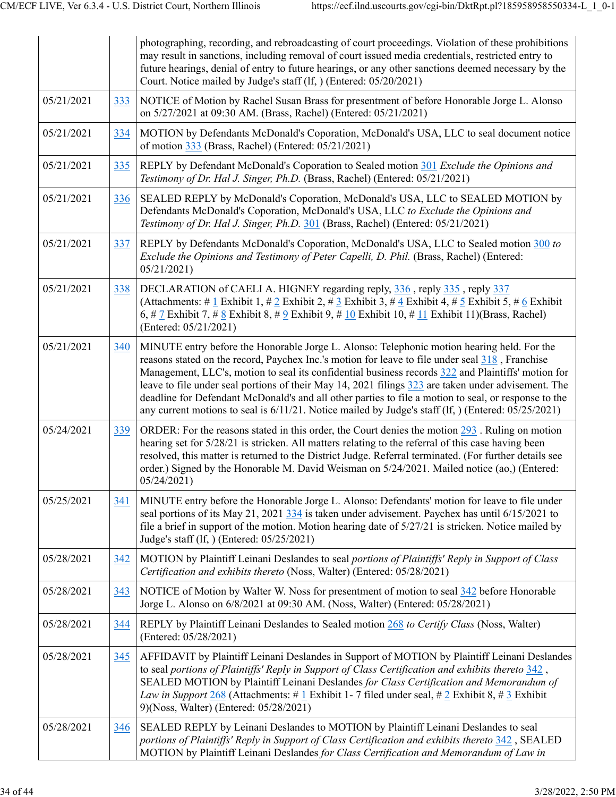|            |     | photographing, recording, and rebroadcasting of court proceedings. Violation of these prohibitions<br>may result in sanctions, including removal of court issued media credentials, restricted entry to<br>future hearings, denial of entry to future hearings, or any other sanctions deemed necessary by the<br>Court. Notice mailed by Judge's staff (lf, ) (Entered: 05/20/2021)                                                                                                                                                                                                                                            |
|------------|-----|---------------------------------------------------------------------------------------------------------------------------------------------------------------------------------------------------------------------------------------------------------------------------------------------------------------------------------------------------------------------------------------------------------------------------------------------------------------------------------------------------------------------------------------------------------------------------------------------------------------------------------|
| 05/21/2021 | 333 | NOTICE of Motion by Rachel Susan Brass for presentment of before Honorable Jorge L. Alonso<br>on 5/27/2021 at 09:30 AM. (Brass, Rachel) (Entered: 05/21/2021)                                                                                                                                                                                                                                                                                                                                                                                                                                                                   |
| 05/21/2021 | 334 | MOTION by Defendants McDonald's Coporation, McDonald's USA, LLC to seal document notice<br>of motion 333 (Brass, Rachel) (Entered: 05/21/2021)                                                                                                                                                                                                                                                                                                                                                                                                                                                                                  |
| 05/21/2021 | 335 | REPLY by Defendant McDonald's Coporation to Sealed motion 301 Exclude the Opinions and<br>Testimony of Dr. Hal J. Singer, Ph.D. (Brass, Rachel) (Entered: 05/21/2021)                                                                                                                                                                                                                                                                                                                                                                                                                                                           |
| 05/21/2021 | 336 | SEALED REPLY by McDonald's Coporation, McDonald's USA, LLC to SEALED MOTION by<br>Defendants McDonald's Coporation, McDonald's USA, LLC to Exclude the Opinions and<br>Testimony of Dr. Hal J. Singer, Ph.D. 301 (Brass, Rachel) (Entered: 05/21/2021)                                                                                                                                                                                                                                                                                                                                                                          |
| 05/21/2021 | 337 | REPLY by Defendants McDonald's Coporation, McDonald's USA, LLC to Sealed motion 300 to<br>Exclude the Opinions and Testimony of Peter Capelli, D. Phil. (Brass, Rachel) (Entered:<br>05/21/2021                                                                                                                                                                                                                                                                                                                                                                                                                                 |
| 05/21/2021 | 338 | DECLARATION of CAELI A. HIGNEY regarding reply, 336, reply 335, reply 337<br>(Attachments: # $1$ Exhibit 1, # $2$ Exhibit 2, # $3$ Exhibit 3, # $4$ Exhibit 4, # $5$ Exhibit 5, # $6$ Exhibit<br>6, # 7 Exhibit 7, # 8 Exhibit 8, # 9 Exhibit 9, # $10$ Exhibit 10, # $11$ Exhibit 11)(Brass, Rachel)<br>(Entered: 05/21/2021)                                                                                                                                                                                                                                                                                                  |
| 05/21/2021 | 340 | MINUTE entry before the Honorable Jorge L. Alonso: Telephonic motion hearing held. For the<br>reasons stated on the record, Paychex Inc.'s motion for leave to file under seal 318, Franchise<br>Management, LLC's, motion to seal its confidential business records 322 and Plaintiffs' motion for<br>leave to file under seal portions of their May 14, 2021 filings 323 are taken under advisement. The<br>deadline for Defendant McDonald's and all other parties to file a motion to seal, or response to the<br>any current motions to seal is $6/11/21$ . Notice mailed by Judge's staff (If, ) (Entered: $05/25/2021$ ) |
| 05/24/2021 | 339 | ORDER: For the reasons stated in this order, the Court denies the motion 293. Ruling on motion<br>hearing set for 5/28/21 is stricken. All matters relating to the referral of this case having been<br>resolved, this matter is returned to the District Judge. Referral terminated. (For further details see<br>order.) Signed by the Honorable M. David Weisman on 5/24/2021. Mailed notice (ao,) (Entered:<br>05/24/2021                                                                                                                                                                                                    |
| 05/25/2021 | 341 | MINUTE entry before the Honorable Jorge L. Alonso: Defendants' motion for leave to file under<br>seal portions of its May 21, 2021 334 is taken under advisement. Paychex has until 6/15/2021 to<br>file a brief in support of the motion. Motion hearing date of 5/27/21 is stricken. Notice mailed by<br>Judge's staff (lf, ) (Entered: 05/25/2021)                                                                                                                                                                                                                                                                           |
| 05/28/2021 | 342 | MOTION by Plaintiff Leinani Deslandes to seal portions of Plaintiffs' Reply in Support of Class<br>Certification and exhibits thereto (Noss, Walter) (Entered: 05/28/2021)                                                                                                                                                                                                                                                                                                                                                                                                                                                      |
| 05/28/2021 | 343 | NOTICE of Motion by Walter W. Noss for presentment of motion to seal 342 before Honorable<br>Jorge L. Alonso on 6/8/2021 at 09:30 AM. (Noss, Walter) (Entered: 05/28/2021)                                                                                                                                                                                                                                                                                                                                                                                                                                                      |
| 05/28/2021 | 344 | REPLY by Plaintiff Leinani Deslandes to Sealed motion 268 to Certify Class (Noss, Walter)<br>(Entered: 05/28/2021)                                                                                                                                                                                                                                                                                                                                                                                                                                                                                                              |
| 05/28/2021 | 345 | AFFIDAVIT by Plaintiff Leinani Deslandes in Support of MOTION by Plaintiff Leinani Deslandes<br>to seal portions of Plaintiffs' Reply in Support of Class Certification and exhibits thereto $342$ ,<br>SEALED MOTION by Plaintiff Leinani Deslandes for Class Certification and Memorandum of<br>Law in Support 268 (Attachments: # 1 Exhibit 1-7 filed under seal, # 2 Exhibit 8, # 3 Exhibit<br>9)(Noss, Walter) (Entered: 05/28/2021)                                                                                                                                                                                       |
| 05/28/2021 | 346 | SEALED REPLY by Leinani Deslandes to MOTION by Plaintiff Leinani Deslandes to seal<br>portions of Plaintiffs' Reply in Support of Class Certification and exhibits thereto 342, SEALED<br>MOTION by Plaintiff Leinani Deslandes for Class Certification and Memorandum of Law in                                                                                                                                                                                                                                                                                                                                                |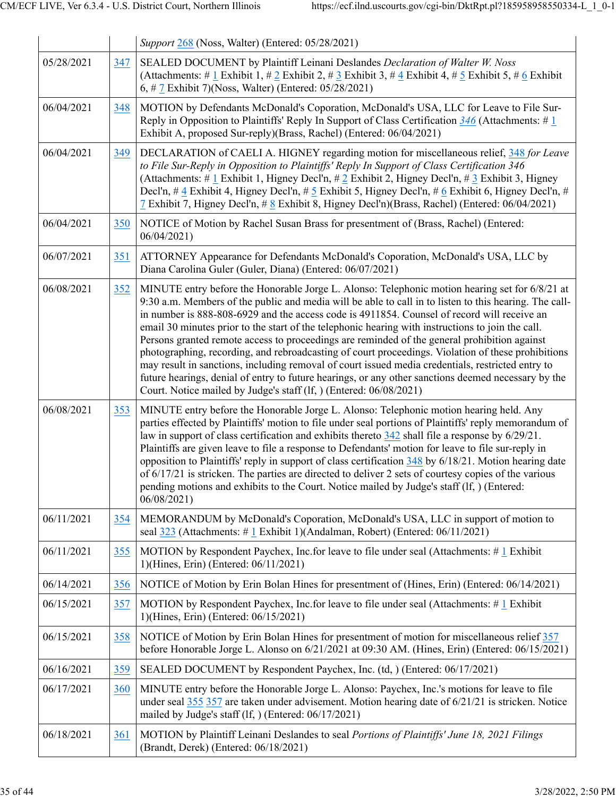|            |     | Support 268 (Noss, Walter) (Entered: 05/28/2021)                                                                                                                                                                                                                                                                                                                                                                                                                                                                                                                                                                                                                                                                                                                                                                                                                                                     |
|------------|-----|------------------------------------------------------------------------------------------------------------------------------------------------------------------------------------------------------------------------------------------------------------------------------------------------------------------------------------------------------------------------------------------------------------------------------------------------------------------------------------------------------------------------------------------------------------------------------------------------------------------------------------------------------------------------------------------------------------------------------------------------------------------------------------------------------------------------------------------------------------------------------------------------------|
| 05/28/2021 | 347 | SEALED DOCUMENT by Plaintiff Leinani Deslandes Declaration of Walter W. Noss<br>(Attachments: # 1 Exhibit 1, # 2 Exhibit 2, # 3 Exhibit 3, # 4 Exhibit 4, # 5 Exhibit 5, # 6 Exhibit<br>6, # 7 Exhibit 7)(Noss, Walter) (Entered: 05/28/2021)                                                                                                                                                                                                                                                                                                                                                                                                                                                                                                                                                                                                                                                        |
| 06/04/2021 | 348 | MOTION by Defendants McDonald's Coporation, McDonald's USA, LLC for Leave to File Sur-<br>Reply in Opposition to Plaintiffs' Reply In Support of Class Certification $\frac{346}{1}$ (Attachments: # 1<br>Exhibit A, proposed Sur-reply)(Brass, Rachel) (Entered: 06/04/2021)                                                                                                                                                                                                                                                                                                                                                                                                                                                                                                                                                                                                                        |
| 06/04/2021 | 349 | DECLARATION of CAELI A. HIGNEY regarding motion for miscellaneous relief, 348 for Leave<br>to File Sur-Reply in Opposition to Plaintiffs' Reply In Support of Class Certification 346<br>(Attachments: # 1 Exhibit 1, Higney Decl'n, # 2 Exhibit 2, Higney Decl'n, # 3 Exhibit 3, Higney<br>Decl'n, # 4 Exhibit 4, Higney Decl'n, # 5 Exhibit 5, Higney Decl'n, # 6 Exhibit 6, Higney Decl'n, #<br>7 Exhibit 7, Higney Decl'n, $\# 8$ Exhibit 8, Higney Decl'n)(Brass, Rachel) (Entered: 06/04/2021)                                                                                                                                                                                                                                                                                                                                                                                                 |
| 06/04/2021 | 350 | NOTICE of Motion by Rachel Susan Brass for presentment of (Brass, Rachel) (Entered:<br>06/04/2021                                                                                                                                                                                                                                                                                                                                                                                                                                                                                                                                                                                                                                                                                                                                                                                                    |
| 06/07/2021 | 351 | ATTORNEY Appearance for Defendants McDonald's Coporation, McDonald's USA, LLC by<br>Diana Carolina Guler (Guler, Diana) (Entered: 06/07/2021)                                                                                                                                                                                                                                                                                                                                                                                                                                                                                                                                                                                                                                                                                                                                                        |
| 06/08/2021 | 352 | MINUTE entry before the Honorable Jorge L. Alonso: Telephonic motion hearing set for 6/8/21 at<br>9:30 a.m. Members of the public and media will be able to call in to listen to this hearing. The call-<br>in number is 888-808-6929 and the access code is 4911854. Counsel of record will receive an<br>email 30 minutes prior to the start of the telephonic hearing with instructions to join the call.<br>Persons granted remote access to proceedings are reminded of the general prohibition against<br>photographing, recording, and rebroadcasting of court proceedings. Violation of these prohibitions<br>may result in sanctions, including removal of court issued media credentials, restricted entry to<br>future hearings, denial of entry to future hearings, or any other sanctions deemed necessary by the<br>Court. Notice mailed by Judge's staff (lf, ) (Entered: 06/08/2021) |
| 06/08/2021 | 353 | MINUTE entry before the Honorable Jorge L. Alonso: Telephonic motion hearing held. Any<br>parties effected by Plaintiffs' motion to file under seal portions of Plaintiffs' reply memorandum of<br>law in support of class certification and exhibits thereto $342$ shall file a response by $6/29/21$ .<br>Plaintiffs are given leave to file a response to Defendants' motion for leave to file sur-reply in<br>opposition to Plaintiffs' reply in support of class certification 348 by 6/18/21. Motion hearing date<br>of $6/17/21$ is stricken. The parties are directed to deliver 2 sets of courtesy copies of the various<br>pending motions and exhibits to the Court. Notice mailed by Judge's staff (If, ) (Entered:<br>06/08/2021                                                                                                                                                        |
| 06/11/2021 | 354 | MEMORANDUM by McDonald's Coporation, McDonald's USA, LLC in support of motion to<br>seal 323 (Attachments: #1 Exhibit 1)(Andalman, Robert) (Entered: 06/11/2021)                                                                                                                                                                                                                                                                                                                                                                                                                                                                                                                                                                                                                                                                                                                                     |
| 06/11/2021 | 355 | MOTION by Respondent Paychex, Inc.for leave to file under seal (Attachments: #1 Exhibit<br>1)(Hines, Erin) (Entered: 06/11/2021)                                                                                                                                                                                                                                                                                                                                                                                                                                                                                                                                                                                                                                                                                                                                                                     |
| 06/14/2021 | 356 | NOTICE of Motion by Erin Bolan Hines for presentment of (Hines, Erin) (Entered: 06/14/2021)                                                                                                                                                                                                                                                                                                                                                                                                                                                                                                                                                                                                                                                                                                                                                                                                          |
| 06/15/2021 | 357 | MOTION by Respondent Paychex, Inc.for leave to file under seal (Attachments: #1 Exhibit<br>1)(Hines, Erin) (Entered: 06/15/2021)                                                                                                                                                                                                                                                                                                                                                                                                                                                                                                                                                                                                                                                                                                                                                                     |
| 06/15/2021 | 358 | NOTICE of Motion by Erin Bolan Hines for presentment of motion for miscellaneous relief 357<br>before Honorable Jorge L. Alonso on 6/21/2021 at 09:30 AM. (Hines, Erin) (Entered: 06/15/2021)                                                                                                                                                                                                                                                                                                                                                                                                                                                                                                                                                                                                                                                                                                        |
| 06/16/2021 | 359 | SEALED DOCUMENT by Respondent Paychex, Inc. (td, ) (Entered: 06/17/2021)                                                                                                                                                                                                                                                                                                                                                                                                                                                                                                                                                                                                                                                                                                                                                                                                                             |
| 06/17/2021 | 360 | MINUTE entry before the Honorable Jorge L. Alonso: Paychex, Inc.'s motions for leave to file<br>under seal $355$ $357$ are taken under advisement. Motion hearing date of $6/21/21$ is stricken. Notice<br>mailed by Judge's staff (1f, ) (Entered: 06/17/2021)                                                                                                                                                                                                                                                                                                                                                                                                                                                                                                                                                                                                                                      |
| 06/18/2021 | 361 | MOTION by Plaintiff Leinani Deslandes to seal Portions of Plaintiffs' June 18, 2021 Filings<br>(Brandt, Derek) (Entered: 06/18/2021)                                                                                                                                                                                                                                                                                                                                                                                                                                                                                                                                                                                                                                                                                                                                                                 |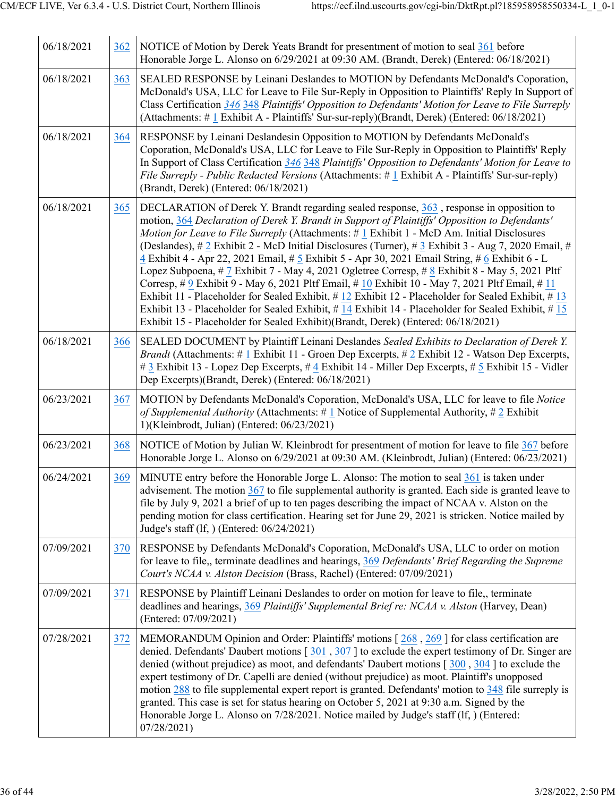| 06/18/2021 | 362 | NOTICE of Motion by Derek Yeats Brandt for presentment of motion to seal 361 before<br>Honorable Jorge L. Alonso on 6/29/2021 at 09:30 AM. (Brandt, Derek) (Entered: 06/18/2021)                                                                                                                                                                                                                                                                                                                                                                                                                                                                                                                                                                                                                                                                                                                                                                                                                                |
|------------|-----|-----------------------------------------------------------------------------------------------------------------------------------------------------------------------------------------------------------------------------------------------------------------------------------------------------------------------------------------------------------------------------------------------------------------------------------------------------------------------------------------------------------------------------------------------------------------------------------------------------------------------------------------------------------------------------------------------------------------------------------------------------------------------------------------------------------------------------------------------------------------------------------------------------------------------------------------------------------------------------------------------------------------|
| 06/18/2021 | 363 | SEALED RESPONSE by Leinani Deslandes to MOTION by Defendants McDonald's Coporation,<br>McDonald's USA, LLC for Leave to File Sur-Reply in Opposition to Plaintiffs' Reply In Support of<br>Class Certification 346 348 Plaintiffs' Opposition to Defendants' Motion for Leave to File Surreply<br>(Attachments: # 1 Exhibit A - Plaintiffs' Sur-sur-reply)(Brandt, Derek) (Entered: 06/18/2021)                                                                                                                                                                                                                                                                                                                                                                                                                                                                                                                                                                                                                 |
| 06/18/2021 | 364 | RESPONSE by Leinani Deslandesin Opposition to MOTION by Defendants McDonald's<br>Coporation, McDonald's USA, LLC for Leave to File Sur-Reply in Opposition to Plaintiffs' Reply<br>In Support of Class Certification 346 348 Plaintiffs' Opposition to Defendants' Motion for Leave to<br>File Surreply - Public Redacted Versions (Attachments: #1 Exhibit A - Plaintiffs' Sur-sur-reply)<br>(Brandt, Derek) (Entered: 06/18/2021)                                                                                                                                                                                                                                                                                                                                                                                                                                                                                                                                                                             |
| 06/18/2021 | 365 | DECLARATION of Derek Y. Brandt regarding sealed response, 363, response in opposition to<br>motion, 364 Declaration of Derek Y. Brandt in Support of Plaintiffs' Opposition to Defendants'<br>Motion for Leave to File Surreply (Attachments: # 1 Exhibit 1 - McD Am. Initial Disclosures<br>(Deslandes), $\# 2$ Exhibit 2 - McD Initial Disclosures (Turner), $\# 3$ Exhibit 3 - Aug 7, 2020 Email, $\#$<br>4 Exhibit 4 - Apr 22, 2021 Email, # 5 Exhibit 5 - Apr 30, 2021 Email String, # 6 Exhibit 6 - L<br>Lopez Subpoena, # 7 Exhibit 7 - May 4, 2021 Ogletree Corresp, # 8 Exhibit 8 - May 5, 2021 Pltf<br>Corresp, # 9 Exhibit 9 - May 6, 2021 Pltf Email, # 10 Exhibit 10 - May 7, 2021 Pltf Email, # 11<br>Exhibit 11 - Placeholder for Sealed Exhibit, #12 Exhibit 12 - Placeholder for Sealed Exhibit, #13<br>Exhibit 13 - Placeholder for Sealed Exhibit, #14 Exhibit 14 - Placeholder for Sealed Exhibit, #15<br>Exhibit 15 - Placeholder for Sealed Exhibit)(Brandt, Derek) (Entered: 06/18/2021) |
| 06/18/2021 | 366 | SEALED DOCUMENT by Plaintiff Leinani Deslandes Sealed Exhibits to Declaration of Derek Y.<br><i>Brandt</i> (Attachments: #1 Exhibit 11 - Groen Dep Excerpts, #2 Exhibit 12 - Watson Dep Excerpts,<br># 3 Exhibit 13 - Lopez Dep Excerpts, # 4 Exhibit 14 - Miller Dep Excerpts, # 5 Exhibit 15 - Vidler<br>Dep Excerpts)(Brandt, Derek) (Entered: 06/18/2021)                                                                                                                                                                                                                                                                                                                                                                                                                                                                                                                                                                                                                                                   |
| 06/23/2021 | 367 | MOTION by Defendants McDonald's Coporation, McDonald's USA, LLC for leave to file Notice<br>of Supplemental Authority (Attachments: # $\underline{1}$ Notice of Supplemental Authority, # $\underline{2}$ Exhibit<br>1)(Kleinbrodt, Julian) (Entered: 06/23/2021)                                                                                                                                                                                                                                                                                                                                                                                                                                                                                                                                                                                                                                                                                                                                               |
| 06/23/2021 | 368 | NOTICE of Motion by Julian W. Kleinbrodt for presentment of motion for leave to file 367 before<br>Honorable Jorge L. Alonso on 6/29/2021 at 09:30 AM. (Kleinbrodt, Julian) (Entered: 06/23/2021)                                                                                                                                                                                                                                                                                                                                                                                                                                                                                                                                                                                                                                                                                                                                                                                                               |
| 06/24/2021 | 369 | MINUTE entry before the Honorable Jorge L. Alonso: The motion to seal 361 is taken under<br>advisement. The motion $367$ to file supplemental authority is granted. Each side is granted leave to<br>file by July 9, 2021 a brief of up to ten pages describing the impact of NCAA v. Alston on the<br>pending motion for class certification. Hearing set for June 29, 2021 is stricken. Notice mailed by<br>Judge's staff (lf, ) (Entered: 06/24/2021)                                                                                                                                                                                                                                                                                                                                                                                                                                                                                                                                                        |
| 07/09/2021 | 370 | RESPONSE by Defendants McDonald's Coporation, McDonald's USA, LLC to order on motion<br>for leave to file,, terminate deadlines and hearings, 369 Defendants' Brief Regarding the Supreme<br>Court's NCAA v. Alston Decision (Brass, Rachel) (Entered: 07/09/2021)                                                                                                                                                                                                                                                                                                                                                                                                                                                                                                                                                                                                                                                                                                                                              |
| 07/09/2021 | 371 | RESPONSE by Plaintiff Leinani Deslandes to order on motion for leave to file,, terminate<br>deadlines and hearings, 369 Plaintiffs' Supplemental Brief re: NCAA v. Alston (Harvey, Dean)<br>(Entered: 07/09/2021)                                                                                                                                                                                                                                                                                                                                                                                                                                                                                                                                                                                                                                                                                                                                                                                               |
| 07/28/2021 | 372 | MEMORANDUM Opinion and Order: Plaintiffs' motions $[268, 269]$ for class certification are<br>denied. Defendants' Daubert motions $\lceil 301, 307 \rceil$ to exclude the expert testimony of Dr. Singer are<br>denied (without prejudice) as moot, and defendants' Daubert motions $\lceil 300, 304 \rceil$ to exclude the<br>expert testimony of Dr. Capelli are denied (without prejudice) as moot. Plaintiff's unopposed<br>motion 288 to file supplemental expert report is granted. Defendants' motion to 348 file surreply is<br>granted. This case is set for status hearing on October 5, 2021 at 9:30 a.m. Signed by the<br>Honorable Jorge L. Alonso on 7/28/2021. Notice mailed by Judge's staff (If, ) (Entered:<br>07/28/2021)                                                                                                                                                                                                                                                                    |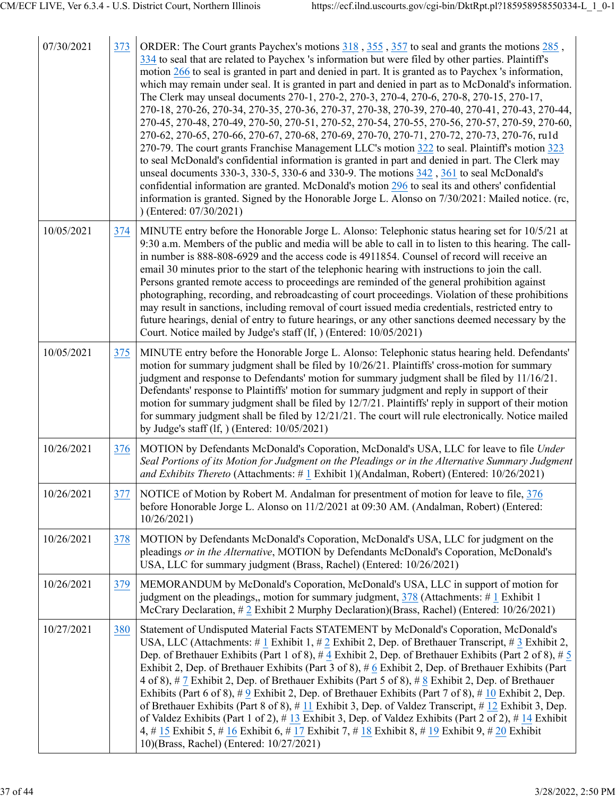| 07/30/2021 | 373 | ORDER: The Court grants Paychex's motions 318, 355, 357 to seal and grants the motions 285,<br>334 to seal that are related to Paychex 's information but were filed by other parties. Plaintiff's<br>motion 266 to seal is granted in part and denied in part. It is granted as to Paychex 's information,<br>which may remain under seal. It is granted in part and denied in part as to McDonald's information.<br>The Clerk may unseal documents 270-1, 270-2, 270-3, 270-4, 270-6, 270-8, 270-15, 270-17,<br>270-18, 270-26, 270-34, 270-35, 270-36, 270-37, 270-38, 270-39, 270-40, 270-41, 270-43, 270-44,<br>270-45, 270-48, 270-49, 270-50, 270-51, 270-52, 270-54, 270-55, 270-56, 270-57, 270-59, 270-60,<br>270-62, 270-65, 270-66, 270-67, 270-68, 270-69, 270-70, 270-71, 270-72, 270-73, 270-76, ruld<br>270-79. The court grants Franchise Management LLC's motion 322 to seal. Plaintiff's motion 323<br>to seal McDonald's confidential information is granted in part and denied in part. The Clerk may<br>unseal documents 330-3, 330-5, 330-6 and 330-9. The motions 342, 361 to seal McDonald's<br>confidential information are granted. McDonald's motion 296 to seal its and others' confidential<br>information is granted. Signed by the Honorable Jorge L. Alonso on 7/30/2021: Mailed notice. (rc,<br>) (Entered: 07/30/2021) |
|------------|-----|-----------------------------------------------------------------------------------------------------------------------------------------------------------------------------------------------------------------------------------------------------------------------------------------------------------------------------------------------------------------------------------------------------------------------------------------------------------------------------------------------------------------------------------------------------------------------------------------------------------------------------------------------------------------------------------------------------------------------------------------------------------------------------------------------------------------------------------------------------------------------------------------------------------------------------------------------------------------------------------------------------------------------------------------------------------------------------------------------------------------------------------------------------------------------------------------------------------------------------------------------------------------------------------------------------------------------------------------------------------|
| 10/05/2021 | 374 | MINUTE entry before the Honorable Jorge L. Alonso: Telephonic status hearing set for 10/5/21 at<br>9:30 a.m. Members of the public and media will be able to call in to listen to this hearing. The call-<br>in number is 888-808-6929 and the access code is 4911854. Counsel of record will receive an<br>email 30 minutes prior to the start of the telephonic hearing with instructions to join the call.<br>Persons granted remote access to proceedings are reminded of the general prohibition against<br>photographing, recording, and rebroadcasting of court proceedings. Violation of these prohibitions<br>may result in sanctions, including removal of court issued media credentials, restricted entry to<br>future hearings, denial of entry to future hearings, or any other sanctions deemed necessary by the<br>Court. Notice mailed by Judge's staff (lf, ) (Entered: 10/05/2021)                                                                                                                                                                                                                                                                                                                                                                                                                                                     |
| 10/05/2021 | 375 | MINUTE entry before the Honorable Jorge L. Alonso: Telephonic status hearing held. Defendants'<br>motion for summary judgment shall be filed by 10/26/21. Plaintiffs' cross-motion for summary<br>judgment and response to Defendants' motion for summary judgment shall be filed by 11/16/21.<br>Defendants' response to Plaintiffs' motion for summary judgment and reply in support of their<br>motion for summary judgment shall be filed by 12/7/21. Plaintiffs' reply in support of their motion<br>for summary judgment shall be filed by 12/21/21. The court will rule electronically. Notice mailed<br>by Judge's staff $(1f, )$ (Entered: $10/05/2021$ )                                                                                                                                                                                                                                                                                                                                                                                                                                                                                                                                                                                                                                                                                        |
| 10/26/2021 | 376 | MOTION by Defendants McDonald's Coporation, McDonald's USA, LLC for leave to file Under<br>Seal Portions of its Motion for Judgment on the Pleadings or in the Alternative Summary Judgment<br>and Exhibits Thereto (Attachments: #1 Exhibit 1)(Andalman, Robert) (Entered: 10/26/2021)                                                                                                                                                                                                                                                                                                                                                                                                                                                                                                                                                                                                                                                                                                                                                                                                                                                                                                                                                                                                                                                                   |
| 10/26/2021 | 377 | NOTICE of Motion by Robert M. Andalman for presentment of motion for leave to file, 376<br>before Honorable Jorge L. Alonso on 11/2/2021 at 09:30 AM. (Andalman, Robert) (Entered:<br>10/26/2021                                                                                                                                                                                                                                                                                                                                                                                                                                                                                                                                                                                                                                                                                                                                                                                                                                                                                                                                                                                                                                                                                                                                                          |
| 10/26/2021 | 378 | MOTION by Defendants McDonald's Coporation, McDonald's USA, LLC for judgment on the<br>pleadings or in the Alternative, MOTION by Defendants McDonald's Coporation, McDonald's<br>USA, LLC for summary judgment (Brass, Rachel) (Entered: 10/26/2021)                                                                                                                                                                                                                                                                                                                                                                                                                                                                                                                                                                                                                                                                                                                                                                                                                                                                                                                                                                                                                                                                                                     |
| 10/26/2021 | 379 | MEMORANDUM by McDonald's Coporation, McDonald's USA, LLC in support of motion for<br>judgment on the pleadings,, motion for summary judgment, $378$ (Attachments: #1 Exhibit 1)<br>McCrary Declaration, #2 Exhibit 2 Murphy Declaration)(Brass, Rachel) (Entered: 10/26/2021)                                                                                                                                                                                                                                                                                                                                                                                                                                                                                                                                                                                                                                                                                                                                                                                                                                                                                                                                                                                                                                                                             |
| 10/27/2021 | 380 | Statement of Undisputed Material Facts STATEMENT by McDonald's Coporation, McDonald's<br>USA, LLC (Attachments: # 1 Exhibit 1, # 2 Exhibit 2, Dep. of Brethauer Transcript, # 3 Exhibit 2,<br>Dep. of Brethauer Exhibits (Part 1 of 8), #4 Exhibit 2, Dep. of Brethauer Exhibits (Part 2 of 8), #5<br>Exhibit 2, Dep. of Brethauer Exhibits (Part 3 of 8), # 6 Exhibit 2, Dep. of Brethauer Exhibits (Part<br>4 of 8), # 7 Exhibit 2, Dep. of Brethauer Exhibits (Part 5 of 8), # 8 Exhibit 2, Dep. of Brethauer<br>Exhibits (Part 6 of 8), $\#$ 9 Exhibit 2, Dep. of Brethauer Exhibits (Part 7 of 8), $\#$ 10 Exhibit 2, Dep.<br>of Brethauer Exhibits (Part 8 of 8), $\#$ 11 Exhibit 3, Dep. of Valdez Transcript, $\#$ 12 Exhibit 3, Dep.<br>of Valdez Exhibits (Part 1 of 2), #13 Exhibit 3, Dep. of Valdez Exhibits (Part 2 of 2), #14 Exhibit<br>4, # 15 Exhibit 5, # 16 Exhibit 6, # 17 Exhibit 7, # 18 Exhibit 8, # 19 Exhibit 9, # 20 Exhibit<br>10)(Brass, Rachel) (Entered: 10/27/2021)                                                                                                                                                                                                                                                                                                                                                       |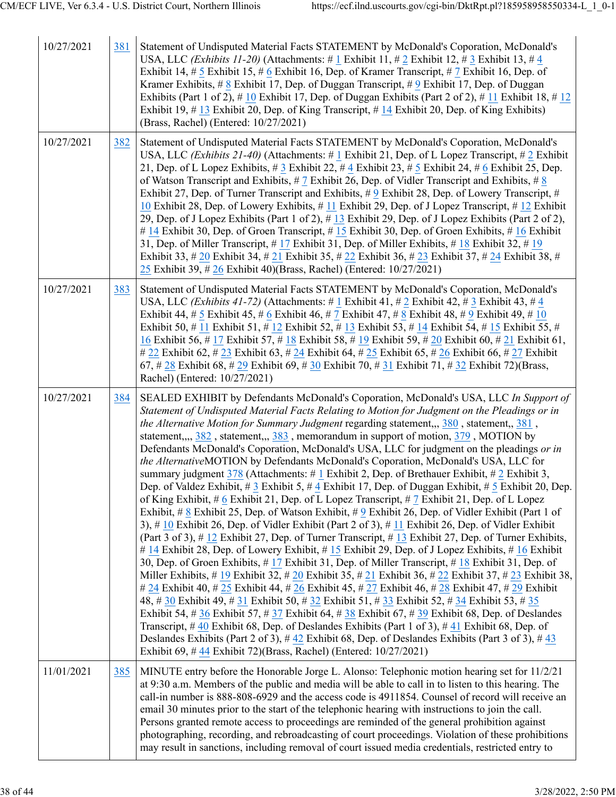| 10/27/2021 | 381 | Statement of Undisputed Material Facts STATEMENT by McDonald's Coporation, McDonald's<br>USA, LLC (Exhibits 11-20) (Attachments: # 1 Exhibit 11, # 2 Exhibit 12, # 3 Exhibit 13, # 4<br>Exhibit 14, # 5 Exhibit 15, # 6 Exhibit 16, Dep. of Kramer Transcript, # 7 Exhibit 16, Dep. of<br>Kramer Exhibits, $\# 8$ Exhibit 17, Dep. of Duggan Transcript, $\# 9$ Exhibit 17, Dep. of Duggan<br>Exhibits (Part 1 of 2), #10 Exhibit 17, Dep. of Duggan Exhibits (Part 2 of 2), #11 Exhibit 18, #12<br>Exhibit 19, $\#$ 13 Exhibit 20, Dep. of King Transcript, $\#$ 14 Exhibit 20, Dep. of King Exhibits)<br>(Brass, Rachel) (Entered: 10/27/2021)                                                                                                                                                                                                                                                                                                                                                                                                                                                                                                                                                                                                                                                                                                                                                                                                                                                                                                                                                                                                                                                                                                                                                                                                                                                                                                                                                                                                                                                                                     |
|------------|-----|--------------------------------------------------------------------------------------------------------------------------------------------------------------------------------------------------------------------------------------------------------------------------------------------------------------------------------------------------------------------------------------------------------------------------------------------------------------------------------------------------------------------------------------------------------------------------------------------------------------------------------------------------------------------------------------------------------------------------------------------------------------------------------------------------------------------------------------------------------------------------------------------------------------------------------------------------------------------------------------------------------------------------------------------------------------------------------------------------------------------------------------------------------------------------------------------------------------------------------------------------------------------------------------------------------------------------------------------------------------------------------------------------------------------------------------------------------------------------------------------------------------------------------------------------------------------------------------------------------------------------------------------------------------------------------------------------------------------------------------------------------------------------------------------------------------------------------------------------------------------------------------------------------------------------------------------------------------------------------------------------------------------------------------------------------------------------------------------------------------------------------------|
| 10/27/2021 | 382 | Statement of Undisputed Material Facts STATEMENT by McDonald's Coporation, McDonald's<br>USA, LLC (Exhibits 21-40) (Attachments: $\# 1$ Exhibit 21, Dep. of L Lopez Transcript, $\# 2$ Exhibit<br>21, Dep. of L Lopez Exhibits, $\#$ 3 Exhibit 22, $\#$ 4 Exhibit 23, $\#$ 5 Exhibit 24, $\#$ 6 Exhibit 25, Dep.<br>of Watson Transcript and Exhibits, #7 Exhibit 26, Dep. of Vidler Transcript and Exhibits, #8<br>Exhibit 27, Dep. of Turner Transcript and Exhibits, $\#9$ Exhibit 28, Dep. of Lowery Transcript, $\#$<br>10 Exhibit 28, Dep. of Lowery Exhibits, #11 Exhibit 29, Dep. of J Lopez Transcript, #12 Exhibit<br>29, Dep. of J Lopez Exhibits (Part 1 of 2), #13 Exhibit 29, Dep. of J Lopez Exhibits (Part 2 of 2),<br># 14 Exhibit 30, Dep. of Groen Transcript, # 15 Exhibit 30, Dep. of Groen Exhibits, # 16 Exhibit<br>31, Dep. of Miller Transcript, #17 Exhibit 31, Dep. of Miller Exhibits, #18 Exhibit 32, #19<br>Exhibit 33, # 20 Exhibit 34, # 21 Exhibit 35, # 22 Exhibit 36, # 23 Exhibit 37, # 24 Exhibit 38, #<br>25 Exhibit 39, # 26 Exhibit 40)(Brass, Rachel) (Entered: $10/27/2021$ )                                                                                                                                                                                                                                                                                                                                                                                                                                                                                                                                                                                                                                                                                                                                                                                                                                                                                                                                                                                                              |
| 10/27/2021 | 383 | Statement of Undisputed Material Facts STATEMENT by McDonald's Coporation, McDonald's<br>USA, LLC (Exhibits 41-72) (Attachments: # 1 Exhibit 41, # 2 Exhibit 42, # 3 Exhibit 43, # 4<br>Exhibit 44, # 5 Exhibit 45, # 6 Exhibit 46, # 7 Exhibit 47, # 8 Exhibit 48, # 9 Exhibit 49, # $10$<br>Exhibit 50, # 11 Exhibit 51, # 12 Exhibit 52, # 13 Exhibit 53, # 14 Exhibit 54, # 15 Exhibit 55, #<br>16 Exhibit 56, # 17 Exhibit 57, # 18 Exhibit 58, # 19 Exhibit 59, # 20 Exhibit 60, # 21 Exhibit 61,<br># 22 Exhibit 62, # 23 Exhibit 63, # 24 Exhibit 64, # 25 Exhibit 65, # 26 Exhibit 66, # 27 Exhibit<br>67, # 28 Exhibit 68, # 29 Exhibit 69, # 30 Exhibit 70, # 31 Exhibit 71, # 32 Exhibit 72)(Brass,<br>Rachel) (Entered: 10/27/2021)                                                                                                                                                                                                                                                                                                                                                                                                                                                                                                                                                                                                                                                                                                                                                                                                                                                                                                                                                                                                                                                                                                                                                                                                                                                                                                                                                                                     |
| 10/27/2021 | 384 | SEALED EXHIBIT by Defendants McDonald's Coporation, McDonald's USA, LLC In Support of<br>Statement of Undisputed Material Facts Relating to Motion for Judgment on the Pleadings or in<br>the Alternative Motion for Summary Judgment regarding statement,,, 380, statement,, 381,<br>statement, $,$ , $382$ , statement, $,$ $383$ , memorandum in support of motion, $379$ , MOTION by<br>Defendants McDonald's Coporation, McDonald's USA, LLC for judgment on the pleadings or in<br>the AlternativeMOTION by Defendants McDonald's Coporation, McDonald's USA, LLC for<br>summary judgment 378 (Attachments: #1 Exhibit 2, Dep. of Brethauer Exhibit, #2 Exhibit 3,<br>Dep. of Valdez Exhibit, $\# 3$ Exhibit 5, $\# 4$ Exhibit 17, Dep. of Duggan Exhibit, $\# 5$ Exhibit 20, Dep.<br>of King Exhibit, # 6 Exhibit 21, Dep. of L Lopez Transcript, # 7 Exhibit 21, Dep. of L Lopez<br>Exhibit, # 8 Exhibit 25, Dep. of Watson Exhibit, # 9 Exhibit 26, Dep. of Vidler Exhibit (Part 1 of<br>3), $\#$ 10 Exhibit 26, Dep. of Vidler Exhibit (Part 2 of 3), $\#$ 11 Exhibit 26, Dep. of Vidler Exhibit<br>(Part 3 of 3), # 12 Exhibit 27, Dep. of Turner Transcript, # 13 Exhibit 27, Dep. of Turner Exhibits,<br># 14 Exhibit 28, Dep. of Lowery Exhibit, # 15 Exhibit 29, Dep. of J Lopez Exhibits, # 16 Exhibit<br>30, Dep. of Groen Exhibits, #17 Exhibit 31, Dep. of Miller Transcript, #18 Exhibit 31, Dep. of<br>Miller Exhibits, # 19 Exhibit 32, # 20 Exhibit 35, # 21 Exhibit 36, # 22 Exhibit 37, # 23 Exhibit 38,<br># 24 Exhibit 40, # 25 Exhibit 44, # 26 Exhibit 45, # 27 Exhibit 46, # 28 Exhibit 47, # 29 Exhibit<br>48, # 30 Exhibit 49, # 31 Exhibit 50, # 32 Exhibit 51, # 33 Exhibit 52, # 34 Exhibit 53, # 35<br>Exhibit 54, # $36$ Exhibit 57, # $37$ Exhibit 64, # $38$ Exhibit 67, # $39$ Exhibit 68, Dep. of Deslandes<br>Transcript, $\#$ 40 Exhibit 68, Dep. of Deslandes Exhibits (Part 1 of 3), $\#$ 41 Exhibit 68, Dep. of<br>Deslandes Exhibits (Part 2 of 3), #42 Exhibit 68, Dep. of Deslandes Exhibits (Part 3 of 3), #43<br>Exhibit 69, #44 Exhibit 72)(Brass, Rachel) (Entered: 10/27/2021) |
| 11/01/2021 | 385 | MINUTE entry before the Honorable Jorge L. Alonso: Telephonic motion hearing set for $11/2/21$<br>at 9:30 a.m. Members of the public and media will be able to call in to listen to this hearing. The<br>call-in number is 888-808-6929 and the access code is 4911854. Counsel of record will receive an<br>email 30 minutes prior to the start of the telephonic hearing with instructions to join the call.<br>Persons granted remote access to proceedings are reminded of the general prohibition against<br>photographing, recording, and rebroadcasting of court proceedings. Violation of these prohibitions<br>may result in sanctions, including removal of court issued media credentials, restricted entry to                                                                                                                                                                                                                                                                                                                                                                                                                                                                                                                                                                                                                                                                                                                                                                                                                                                                                                                                                                                                                                                                                                                                                                                                                                                                                                                                                                                                            |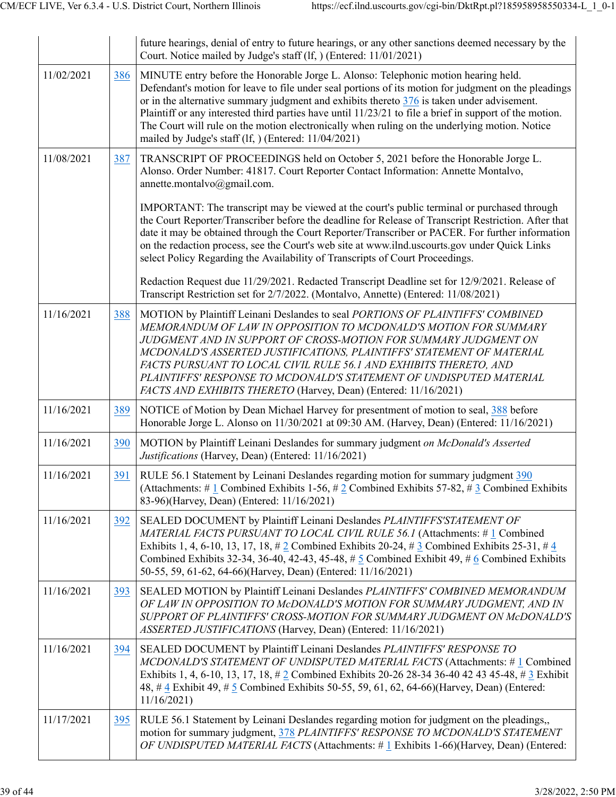|            |     | future hearings, denial of entry to future hearings, or any other sanctions deemed necessary by the<br>Court. Notice mailed by Judge's staff (lf, ) (Entered: 11/01/2021)                                                                                                                                                                                                                                                                                                                                                                                      |
|------------|-----|----------------------------------------------------------------------------------------------------------------------------------------------------------------------------------------------------------------------------------------------------------------------------------------------------------------------------------------------------------------------------------------------------------------------------------------------------------------------------------------------------------------------------------------------------------------|
| 11/02/2021 | 386 | MINUTE entry before the Honorable Jorge L. Alonso: Telephonic motion hearing held.<br>Defendant's motion for leave to file under seal portions of its motion for judgment on the pleadings<br>or in the alternative summary judgment and exhibits thereto $376$ is taken under advisement.<br>Plaintiff or any interested third parties have until 11/23/21 to file a brief in support of the motion.<br>The Court will rule on the motion electronically when ruling on the underlying motion. Notice<br>mailed by Judge's staff (lf, ) (Entered: 11/04/2021) |
| 11/08/2021 | 387 | TRANSCRIPT OF PROCEEDINGS held on October 5, 2021 before the Honorable Jorge L.<br>Alonso. Order Number: 41817. Court Reporter Contact Information: Annette Montalvo,<br>annette.montalvo@gmail.com.                                                                                                                                                                                                                                                                                                                                                           |
|            |     | IMPORTANT: The transcript may be viewed at the court's public terminal or purchased through<br>the Court Reporter/Transcriber before the deadline for Release of Transcript Restriction. After that<br>date it may be obtained through the Court Reporter/Transcriber or PACER. For further information<br>on the redaction process, see the Court's web site at www.ilnd.uscourts.gov under Quick Links<br>select Policy Regarding the Availability of Transcripts of Court Proceedings.                                                                      |
|            |     | Redaction Request due 11/29/2021. Redacted Transcript Deadline set for 12/9/2021. Release of<br>Transcript Restriction set for 2/7/2022. (Montalvo, Annette) (Entered: 11/08/2021)                                                                                                                                                                                                                                                                                                                                                                             |
| 11/16/2021 | 388 | MOTION by Plaintiff Leinani Deslandes to seal PORTIONS OF PLAINTIFFS' COMBINED<br>MEMORANDUM OF LAW IN OPPOSITION TO MCDONALD'S MOTION FOR SUMMARY<br>JUDGMENT AND IN SUPPORT OF CROSS-MOTION FOR SUMMARY JUDGMENT ON<br>MCDONALD'S ASSERTED JUSTIFICATIONS, PLAINTIFFS' STATEMENT OF MATERIAL<br>FACTS PURSUANT TO LOCAL CIVIL RULE 56.1 AND EXHIBITS THERETO, AND<br>PLAINTIFFS' RESPONSE TO MCDONALD'S STATEMENT OF UNDISPUTED MATERIAL<br>FACTS AND EXHIBITS THERETO (Harvey, Dean) (Entered: 11/16/2021)                                                  |
| 11/16/2021 | 389 | NOTICE of Motion by Dean Michael Harvey for presentment of motion to seal, 388 before<br>Honorable Jorge L. Alonso on 11/30/2021 at 09:30 AM. (Harvey, Dean) (Entered: 11/16/2021)                                                                                                                                                                                                                                                                                                                                                                             |
| 11/16/2021 | 390 | MOTION by Plaintiff Leinani Deslandes for summary judgment on McDonald's Asserted<br>Justifications (Harvey, Dean) (Entered: 11/16/2021)                                                                                                                                                                                                                                                                                                                                                                                                                       |
| 11/16/2021 | 391 | RULE 56.1 Statement by Leinani Deslandes regarding motion for summary judgment 390<br>(Attachments: #1 Combined Exhibits 1-56, #2 Combined Exhibits 57-82, #3 Combined Exhibits<br>83-96)(Harvey, Dean) (Entered: 11/16/2021)                                                                                                                                                                                                                                                                                                                                  |
| 11/16/2021 | 392 | SEALED DOCUMENT by Plaintiff Leinani Deslandes PLAINTIFFS'STATEMENT OF<br>MATERIAL FACTS PURSUANT TO LOCAL CIVIL RULE 56.1 (Attachments: #1 Combined<br>Exhibits 1, 4, 6-10, 13, 17, 18, $\# 2$ Combined Exhibits 20-24, $\# 3$ Combined Exhibits 25-31, $\# 4$<br>Combined Exhibits 32-34, 36-40, 42-43, 45-48, # 5 Combined Exhibit 49, # 6 Combined Exhibits<br>50-55, 59, 61-62, 64-66)(Harvey, Dean) (Entered: 11/16/2021)                                                                                                                                |
| 11/16/2021 | 393 | SEALED MOTION by Plaintiff Leinani Deslandes PLAINTIFFS' COMBINED MEMORANDUM<br>OF LAW IN OPPOSITION TO McDONALD'S MOTION FOR SUMMARY JUDGMENT, AND IN<br>SUPPORT OF PLAINTIFFS' CROSS-MOTION FOR SUMMARY JUDGMENT ON McDONALD'S<br>ASSERTED JUSTIFICATIONS (Harvey, Dean) (Entered: 11/16/2021)                                                                                                                                                                                                                                                               |
| 11/16/2021 | 394 | SEALED DOCUMENT by Plaintiff Leinani Deslandes PLAINTIFFS' RESPONSE TO<br>MCDONALD'S STATEMENT OF UNDISPUTED MATERIAL FACTS (Attachments: #1 Combined<br>Exhibits 1, 4, 6-10, 13, 17, 18, # 2 Combined Exhibits 20-26 28-34 36-40 42 43 45-48, # 3 Exhibit<br>48, #4 Exhibit 49, #5 Combined Exhibits 50-55, 59, 61, 62, 64-66)(Harvey, Dean) (Entered:<br>11/16/2021                                                                                                                                                                                          |
| 11/17/2021 | 395 | RULE 56.1 Statement by Leinani Deslandes regarding motion for judgment on the pleadings,,<br>motion for summary judgment, 378 PLAINTIFFS' RESPONSE TO MCDONALD'S STATEMENT<br>OF UNDISPUTED MATERIAL FACTS (Attachments: $\#$ 1 Exhibits 1-66)(Harvey, Dean) (Entered:                                                                                                                                                                                                                                                                                         |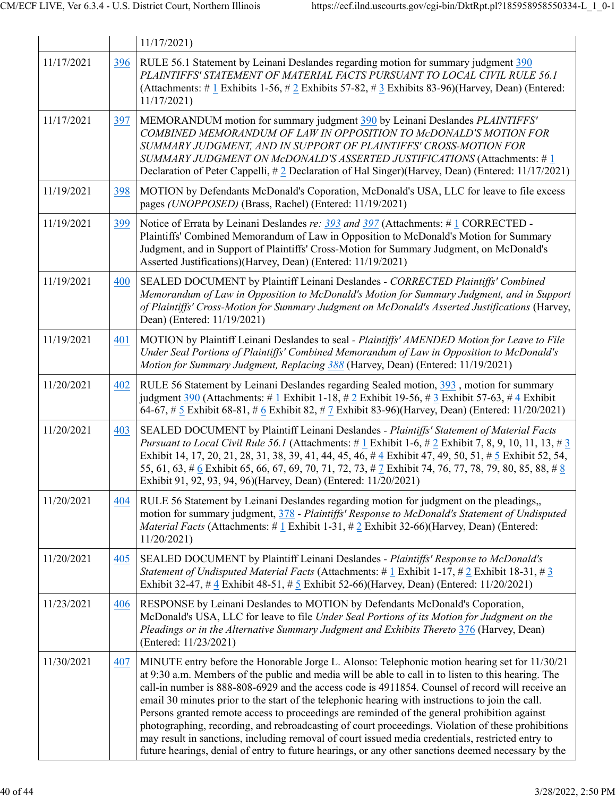|            |     | 11/17/2021                                                                                                                                                                                                                                                                                                                                                                                                                                                                                                                                                                                                                                                                                                                                                                                                                      |
|------------|-----|---------------------------------------------------------------------------------------------------------------------------------------------------------------------------------------------------------------------------------------------------------------------------------------------------------------------------------------------------------------------------------------------------------------------------------------------------------------------------------------------------------------------------------------------------------------------------------------------------------------------------------------------------------------------------------------------------------------------------------------------------------------------------------------------------------------------------------|
| 11/17/2021 | 396 | RULE 56.1 Statement by Leinani Deslandes regarding motion for summary judgment 390<br>PLAINTIFFS' STATEMENT OF MATERIAL FACTS PURSUANT TO LOCAL CIVIL RULE 56.1<br>(Attachments: # 1 Exhibits 1-56, # 2 Exhibits 57-82, # 3 Exhibits 83-96)(Harvey, Dean) (Entered:<br>11/17/2021                                                                                                                                                                                                                                                                                                                                                                                                                                                                                                                                               |
| 11/17/2021 | 397 | MEMORANDUM motion for summary judgment 390 by Leinani Deslandes PLAINTIFFS'<br>COMBINED MEMORANDUM OF LAW IN OPPOSITION TO McDONALD'S MOTION FOR<br>SUMMARY JUDGMENT, AND IN SUPPORT OF PLAINTIFFS' CROSS-MOTION FOR<br>SUMMARY JUDGMENT ON McDONALD'S ASSERTED JUSTIFICATIONS (Attachments: #1<br>Declaration of Peter Cappelli, #2 Declaration of Hal Singer)(Harvey, Dean) (Entered: 11/17/2021)                                                                                                                                                                                                                                                                                                                                                                                                                             |
| 11/19/2021 | 398 | MOTION by Defendants McDonald's Coporation, McDonald's USA, LLC for leave to file excess<br>pages (UNOPPOSED) (Brass, Rachel) (Entered: 11/19/2021)                                                                                                                                                                                                                                                                                                                                                                                                                                                                                                                                                                                                                                                                             |
| 11/19/2021 | 399 | Notice of Errata by Leinani Deslandes re: $393$ and $397$ (Attachments: # 1 CORRECTED -<br>Plaintiffs' Combined Memorandum of Law in Opposition to McDonald's Motion for Summary<br>Judgment, and in Support of Plaintiffs' Cross-Motion for Summary Judgment, on McDonald's<br>Asserted Justifications)(Harvey, Dean) (Entered: 11/19/2021)                                                                                                                                                                                                                                                                                                                                                                                                                                                                                    |
| 11/19/2021 | 400 | SEALED DOCUMENT by Plaintiff Leinani Deslandes - CORRECTED Plaintiffs' Combined<br>Memorandum of Law in Opposition to McDonald's Motion for Summary Judgment, and in Support<br>of Plaintiffs' Cross-Motion for Summary Judgment on McDonald's Asserted Justifications (Harvey,<br>Dean) (Entered: 11/19/2021)                                                                                                                                                                                                                                                                                                                                                                                                                                                                                                                  |
| 11/19/2021 | 401 | MOTION by Plaintiff Leinani Deslandes to seal - Plaintiffs' AMENDED Motion for Leave to File<br>Under Seal Portions of Plaintiffs' Combined Memorandum of Law in Opposition to McDonald's<br>Motion for Summary Judgment, Replacing 388 (Harvey, Dean) (Entered: 11/19/2021)                                                                                                                                                                                                                                                                                                                                                                                                                                                                                                                                                    |
| 11/20/2021 | 402 | RULE 56 Statement by Leinani Deslandes regarding Sealed motion, 393, motion for summary<br>judgment 390 (Attachments: # 1 Exhibit 1-18, # 2 Exhibit 19-56, # 3 Exhibit 57-63, # 4 Exhibit<br>64-67, # 5 Exhibit 68-81, # 6 Exhibit 82, # 7 Exhibit 83-96)(Harvey, Dean) (Entered: $11/20/2021$ )                                                                                                                                                                                                                                                                                                                                                                                                                                                                                                                                |
| 11/20/2021 | 403 | SEALED DOCUMENT by Plaintiff Leinani Deslandes - Plaintiffs' Statement of Material Facts<br><i>Pursuant to Local Civil Rule 56.1</i> (Attachments: #1 Exhibit 1-6, #2 Exhibit 7, 8, 9, 10, 11, 13, #3<br>Exhibit 14, 17, 20, 21, 28, 31, 38, 39, 41, 44, 45, 46, #4 Exhibit 47, 49, 50, 51, #5 Exhibit 52, 54,<br>55, 61, 63, # 6 Exhibit 65, 66, 67, 69, 70, 71, 72, 73, # 7 Exhibit 74, 76, 77, 78, 79, 80, 85, 88, # 8<br>Exhibit 91, 92, 93, 94, 96)(Harvey, Dean) (Entered: 11/20/2021)                                                                                                                                                                                                                                                                                                                                    |
| 11/20/2021 | 404 | RULE 56 Statement by Leinani Deslandes regarding motion for judgment on the pleadings,,<br>motion for summary judgment, 378 - Plaintiffs' Response to McDonald's Statement of Undisputed<br><i>Material Facts</i> (Attachments: #1 Exhibit 1-31, #2 Exhibit 32-66)(Harvey, Dean) (Entered:<br>11/20/2021                                                                                                                                                                                                                                                                                                                                                                                                                                                                                                                        |
| 11/20/2021 | 405 | SEALED DOCUMENT by Plaintiff Leinani Deslandes - Plaintiffs' Response to McDonald's<br><i>Statement of Undisputed Material Facts</i> (Attachments: #1 Exhibit 1-17, #2 Exhibit 18-31, #3<br>Exhibit 32-47, # 4 Exhibit 48-51, # 5 Exhibit 52-66)(Harvey, Dean) (Entered: 11/20/2021)                                                                                                                                                                                                                                                                                                                                                                                                                                                                                                                                            |
| 11/23/2021 | 406 | RESPONSE by Leinani Deslandes to MOTION by Defendants McDonald's Coporation,<br>McDonald's USA, LLC for leave to file Under Seal Portions of its Motion for Judgment on the<br>Pleadings or in the Alternative Summary Judgment and Exhibits Thereto 376 (Harvey, Dean)<br>(Entered: 11/23/2021)                                                                                                                                                                                                                                                                                                                                                                                                                                                                                                                                |
| 11/30/2021 | 407 | MINUTE entry before the Honorable Jorge L. Alonso: Telephonic motion hearing set for 11/30/21<br>at 9:30 a.m. Members of the public and media will be able to call in to listen to this hearing. The<br>call-in number is 888-808-6929 and the access code is 4911854. Counsel of record will receive an<br>email 30 minutes prior to the start of the telephonic hearing with instructions to join the call.<br>Persons granted remote access to proceedings are reminded of the general prohibition against<br>photographing, recording, and rebroadcasting of court proceedings. Violation of these prohibitions<br>may result in sanctions, including removal of court issued media credentials, restricted entry to<br>future hearings, denial of entry to future hearings, or any other sanctions deemed necessary by the |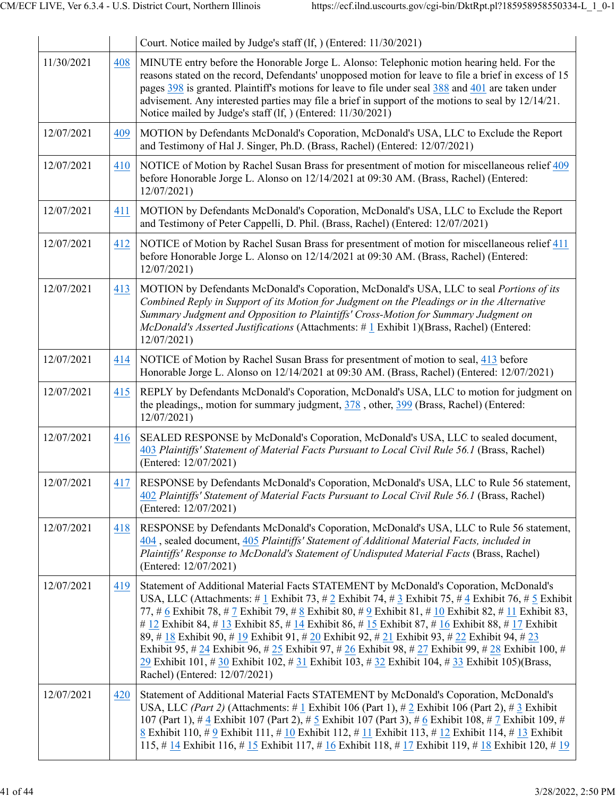|            |     | Court. Notice mailed by Judge's staff (lf, ) (Entered: 11/30/2021)                                                                                                                                                                                                                                                                                                                                                                                                                                                                                                                                                                                                                                                                                   |
|------------|-----|------------------------------------------------------------------------------------------------------------------------------------------------------------------------------------------------------------------------------------------------------------------------------------------------------------------------------------------------------------------------------------------------------------------------------------------------------------------------------------------------------------------------------------------------------------------------------------------------------------------------------------------------------------------------------------------------------------------------------------------------------|
| 11/30/2021 | 408 | MINUTE entry before the Honorable Jorge L. Alonso: Telephonic motion hearing held. For the<br>reasons stated on the record, Defendants' unopposed motion for leave to file a brief in excess of 15<br>pages 398 is granted. Plaintiff's motions for leave to file under seal 388 and 401 are taken under<br>advisement. Any interested parties may file a brief in support of the motions to seal by 12/14/21.<br>Notice mailed by Judge's staff (lf, ) (Entered: 11/30/2021)                                                                                                                                                                                                                                                                        |
| 12/07/2021 | 409 | MOTION by Defendants McDonald's Coporation, McDonald's USA, LLC to Exclude the Report<br>and Testimony of Hal J. Singer, Ph.D. (Brass, Rachel) (Entered: 12/07/2021)                                                                                                                                                                                                                                                                                                                                                                                                                                                                                                                                                                                 |
| 12/07/2021 | 410 | NOTICE of Motion by Rachel Susan Brass for presentment of motion for miscellaneous relief 409<br>before Honorable Jorge L. Alonso on 12/14/2021 at 09:30 AM. (Brass, Rachel) (Entered:<br>12/07/2021                                                                                                                                                                                                                                                                                                                                                                                                                                                                                                                                                 |
| 12/07/2021 | 411 | MOTION by Defendants McDonald's Coporation, McDonald's USA, LLC to Exclude the Report<br>and Testimony of Peter Cappelli, D. Phil. (Brass, Rachel) (Entered: 12/07/2021)                                                                                                                                                                                                                                                                                                                                                                                                                                                                                                                                                                             |
| 12/07/2021 | 412 | NOTICE of Motion by Rachel Susan Brass for presentment of motion for miscellaneous relief 411<br>before Honorable Jorge L. Alonso on 12/14/2021 at 09:30 AM. (Brass, Rachel) (Entered:<br>12/07/2021                                                                                                                                                                                                                                                                                                                                                                                                                                                                                                                                                 |
| 12/07/2021 | 413 | MOTION by Defendants McDonald's Coporation, McDonald's USA, LLC to seal Portions of its<br>Combined Reply in Support of its Motion for Judgment on the Pleadings or in the Alternative<br>Summary Judgment and Opposition to Plaintiffs' Cross-Motion for Summary Judgment on<br>McDonald's Asserted Justifications (Attachments: # 1 Exhibit 1)(Brass, Rachel) (Entered:<br>12/07/2021)                                                                                                                                                                                                                                                                                                                                                             |
| 12/07/2021 | 414 | NOTICE of Motion by Rachel Susan Brass for presentment of motion to seal, 413 before<br>Honorable Jorge L. Alonso on 12/14/2021 at 09:30 AM. (Brass, Rachel) (Entered: 12/07/2021)                                                                                                                                                                                                                                                                                                                                                                                                                                                                                                                                                                   |
| 12/07/2021 | 415 | REPLY by Defendants McDonald's Coporation, McDonald's USA, LLC to motion for judgment on<br>the pleadings,, motion for summary judgment, 378, other, 399 (Brass, Rachel) (Entered:<br>12/07/2021)                                                                                                                                                                                                                                                                                                                                                                                                                                                                                                                                                    |
| 12/07/2021 | 416 | SEALED RESPONSE by McDonald's Coporation, McDonald's USA, LLC to sealed document,<br>403 Plaintiffs' Statement of Material Facts Pursuant to Local Civil Rule 56.1 (Brass, Rachel)<br>(Entered: 12/07/2021)                                                                                                                                                                                                                                                                                                                                                                                                                                                                                                                                          |
| 12/07/2021 | 417 | RESPONSE by Defendants McDonald's Coporation, McDonald's USA, LLC to Rule 56 statement,<br>402 Plaintiffs' Statement of Material Facts Pursuant to Local Civil Rule 56.1 (Brass, Rachel)<br>(Entered: 12/07/2021)                                                                                                                                                                                                                                                                                                                                                                                                                                                                                                                                    |
| 12/07/2021 | 418 | RESPONSE by Defendants McDonald's Coporation, McDonald's USA, LLC to Rule 56 statement,<br>404, sealed document, 405 Plaintiffs' Statement of Additional Material Facts, included in<br>Plaintiffs' Response to McDonald's Statement of Undisputed Material Facts (Brass, Rachel)<br>(Entered: 12/07/2021)                                                                                                                                                                                                                                                                                                                                                                                                                                           |
| 12/07/2021 | 419 | Statement of Additional Material Facts STATEMENT by McDonald's Coporation, McDonald's<br>USA, LLC (Attachments: # 1 Exhibit 73, # 2 Exhibit 74, # 3 Exhibit 75, # 4 Exhibit 76, # 5 Exhibit<br>77, # 6 Exhibit 78, # 7 Exhibit 79, # 8 Exhibit 80, # 9 Exhibit 81, # 10 Exhibit 82, # 11 Exhibit 83,<br># 12 Exhibit 84, # 13 Exhibit 85, # 14 Exhibit 86, # 15 Exhibit 87, # 16 Exhibit 88, # 17 Exhibit<br>89, # 18 Exhibit 90, # 19 Exhibit 91, # 20 Exhibit 92, # 21 Exhibit 93, # 22 Exhibit 94, # 23<br>Exhibit 95, # 24 Exhibit 96, # 25 Exhibit 97, # 26 Exhibit 98, # 27 Exhibit 99, # 28 Exhibit 100, #<br>29 Exhibit 101, # 30 Exhibit 102, # 31 Exhibit 103, # 32 Exhibit 104, # 33 Exhibit 105)(Brass,<br>Rachel) (Entered: 12/07/2021) |
| 12/07/2021 | 420 | Statement of Additional Material Facts STATEMENT by McDonald's Coporation, McDonald's<br>USA, LLC (Part 2) (Attachments: # 1 Exhibit 106 (Part 1), # 2 Exhibit 106 (Part 2), # 3 Exhibit<br>107 (Part 1), # $4 \text{ Exhibit } 107$ (Part 2), # $5 \text{ Exhibit } 107$ (Part 3), # $6 \text{ Exhibit } 108$ , # $7 \text{ Exhibit } 109$ , #<br>8 Exhibit 110, # 9 Exhibit 111, # 10 Exhibit 112, # 11 Exhibit 113, # 12 Exhibit 114, # 13 Exhibit<br>115, # $14$ Exhibit 116, # $15$ Exhibit 117, # $16$ Exhibit 118, # $17$ Exhibit 119, # $18$ Exhibit 120, # $19$                                                                                                                                                                             |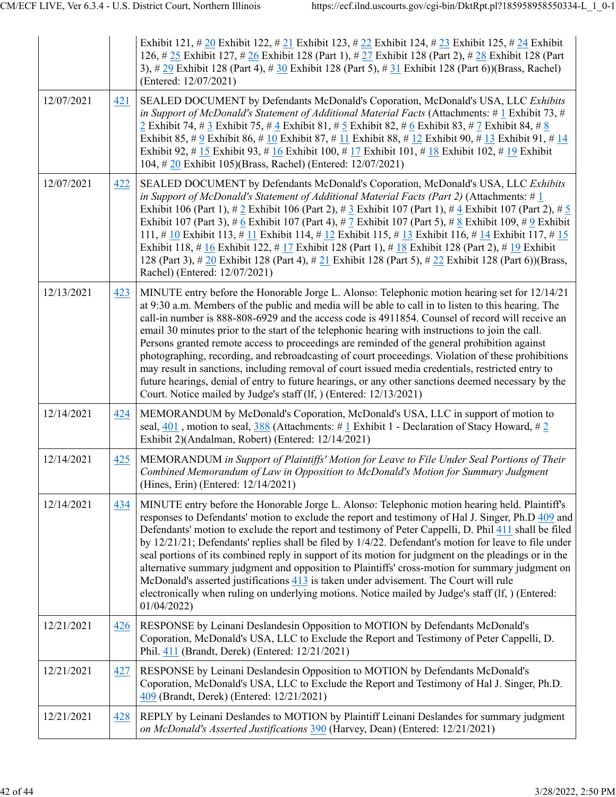|            |     | Exhibit 121, # 20 Exhibit 122, # 21 Exhibit 123, # 22 Exhibit 124, # 23 Exhibit 125, # 24 Exhibit<br>126, #25 Exhibit 127, #26 Exhibit 128 (Part 1), #27 Exhibit 128 (Part 2), #28 Exhibit 128 (Part<br>3), # 29 Exhibit 128 (Part 4), # 30 Exhibit 128 (Part 5), # 31 Exhibit 128 (Part 6))(Brass, Rachel)<br>(Entered: 12/07/2021)                                                                                                                                                                                                                                                                                                                                                                                                                                                                                                                                                                  |
|------------|-----|-------------------------------------------------------------------------------------------------------------------------------------------------------------------------------------------------------------------------------------------------------------------------------------------------------------------------------------------------------------------------------------------------------------------------------------------------------------------------------------------------------------------------------------------------------------------------------------------------------------------------------------------------------------------------------------------------------------------------------------------------------------------------------------------------------------------------------------------------------------------------------------------------------|
| 12/07/2021 | 421 | SEALED DOCUMENT by Defendants McDonald's Coporation, McDonald's USA, LLC Exhibits<br>in Support of McDonald's Statement of Additional Material Facts (Attachments: $\#$ 1 Exhibit 73, $\#$<br>2 Exhibit 74, # 3 Exhibit 75, # 4 Exhibit 81, # 5 Exhibit 82, # 6 Exhibit 83, # 7 Exhibit 84, # 8<br>Exhibit 85, # 9 Exhibit 86, # 10 Exhibit 87, # 11 Exhibit 88, # 12 Exhibit 90, # 13 Exhibit 91, # 14<br>Exhibit 92, # 15 Exhibit 93, # 16 Exhibit 100, # 17 Exhibit 101, # 18 Exhibit 102, # 19 Exhibit<br>104, #20 Exhibit 105)(Brass, Rachel) (Entered: 12/07/2021)                                                                                                                                                                                                                                                                                                                              |
| 12/07/2021 | 422 | SEALED DOCUMENT by Defendants McDonald's Coporation, McDonald's USA, LLC Exhibits<br>in Support of McDonald's Statement of Additional Material Facts (Part 2) (Attachments: # 1<br>Exhibit 106 (Part 1), # 2 Exhibit 106 (Part 2), # 3 Exhibit 107 (Part 1), # 4 Exhibit 107 (Part 2), # $\frac{5}{9}$<br>Exhibit 107 (Part 3), # 6 Exhibit 107 (Part 4), # 7 Exhibit 107 (Part 5), # 8 Exhibit 109, # 9 Exhibit<br>111, # 10 Exhibit 113, # 11 Exhibit 114, # 12 Exhibit 115, # 13 Exhibit 116, # 14 Exhibit 117, # 15<br>Exhibit 118, # 16 Exhibit 122, # 17 Exhibit 128 (Part 1), # 18 Exhibit 128 (Part 2), # 19 Exhibit<br>128 (Part 3), # 20 Exhibit 128 (Part 4), # 21 Exhibit 128 (Part 5), # 22 Exhibit 128 (Part 6))(Brass,<br>Rachel) (Entered: 12/07/2021)                                                                                                                                |
| 12/13/2021 | 423 | MINUTE entry before the Honorable Jorge L. Alonso: Telephonic motion hearing set for 12/14/21<br>at 9:30 a.m. Members of the public and media will be able to call in to listen to this hearing. The<br>call-in number is 888-808-6929 and the access code is 4911854. Counsel of record will receive an<br>email 30 minutes prior to the start of the telephonic hearing with instructions to join the call.<br>Persons granted remote access to proceedings are reminded of the general prohibition against<br>photographing, recording, and rebroadcasting of court proceedings. Violation of these prohibitions<br>may result in sanctions, including removal of court issued media credentials, restricted entry to<br>future hearings, denial of entry to future hearings, or any other sanctions deemed necessary by the<br>Court. Notice mailed by Judge's staff (lf, ) (Entered: 12/13/2021) |
| 12/14/2021 | 424 | MEMORANDUM by McDonald's Coporation, McDonald's USA, LLC in support of motion to<br>seal, 401, motion to seal, $388$ (Attachments: #1 Exhibit 1 - Declaration of Stacy Howard, #2<br>Exhibit 2)(Andalman, Robert) (Entered: 12/14/2021)                                                                                                                                                                                                                                                                                                                                                                                                                                                                                                                                                                                                                                                               |
| 12/14/2021 | 425 | MEMORANDUM in Support of Plaintiffs' Motion for Leave to File Under Seal Portions of Their<br>Combined Memorandum of Law in Opposition to McDonald's Motion for Summary Judgment<br>(Hines, Erin) (Entered: 12/14/2021)                                                                                                                                                                                                                                                                                                                                                                                                                                                                                                                                                                                                                                                                               |
| 12/14/2021 | 434 | MINUTE entry before the Honorable Jorge L. Alonso: Telephonic motion hearing held. Plaintiff's<br>responses to Defendants' motion to exclude the report and testimony of Hal J. Singer, Ph.D 409 and<br>Defendants' motion to exclude the report and testimony of Peter Cappelli, D. Phil 411 shall be filed<br>by $12/21/21$ ; Defendants' replies shall be filed by $1/4/22$ . Defendant's motion for leave to file under<br>seal portions of its combined reply in support of its motion for judgment on the pleadings or in the<br>alternative summary judgment and opposition to Plaintiffs' cross-motion for summary judgment on<br>McDonald's asserted justifications 413 is taken under advisement. The Court will rule<br>electronically when ruling on underlying motions. Notice mailed by Judge's staff (If, ) (Entered:<br>01/04/2022                                                    |
| 12/21/2021 | 426 | RESPONSE by Leinani Deslandesin Opposition to MOTION by Defendants McDonald's<br>Coporation, McDonald's USA, LLC to Exclude the Report and Testimony of Peter Cappelli, D.<br>Phil. 411 (Brandt, Derek) (Entered: 12/21/2021)                                                                                                                                                                                                                                                                                                                                                                                                                                                                                                                                                                                                                                                                         |
| 12/21/2021 | 427 | RESPONSE by Leinani Deslandesin Opposition to MOTION by Defendants McDonald's<br>Coporation, McDonald's USA, LLC to Exclude the Report and Testimony of Hal J. Singer, Ph.D.<br>409 (Brandt, Derek) (Entered: 12/21/2021)                                                                                                                                                                                                                                                                                                                                                                                                                                                                                                                                                                                                                                                                             |
| 12/21/2021 | 428 | REPLY by Leinani Deslandes to MOTION by Plaintiff Leinani Deslandes for summary judgment<br>on McDonald's Asserted Justifications 390 (Harvey, Dean) (Entered: 12/21/2021)                                                                                                                                                                                                                                                                                                                                                                                                                                                                                                                                                                                                                                                                                                                            |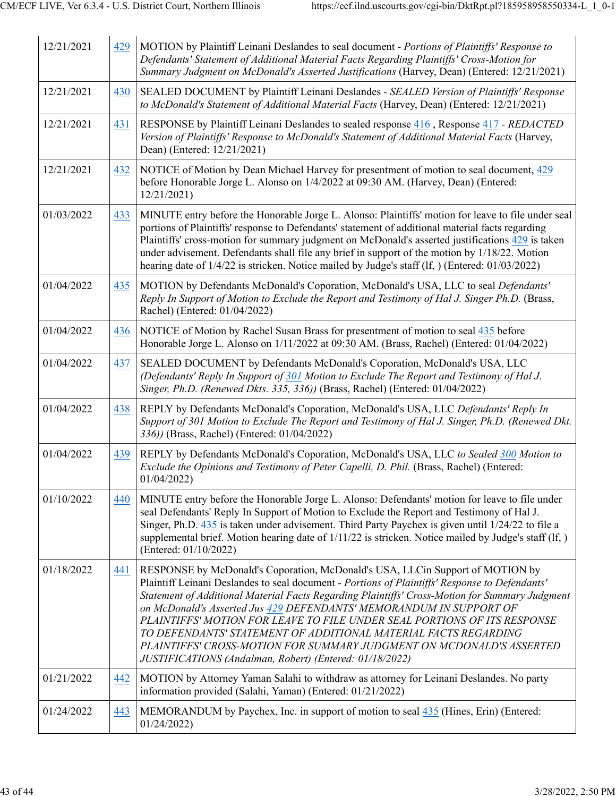| 12/21/2021 | 429 | MOTION by Plaintiff Leinani Deslandes to seal document - Portions of Plaintiffs' Response to<br>Defendants' Statement of Additional Material Facts Regarding Plaintiffs' Cross-Motion for<br>Summary Judgment on McDonald's Asserted Justifications (Harvey, Dean) (Entered: 12/21/2021)                                                                                                                                                                                                                                                                                                                                                   |
|------------|-----|--------------------------------------------------------------------------------------------------------------------------------------------------------------------------------------------------------------------------------------------------------------------------------------------------------------------------------------------------------------------------------------------------------------------------------------------------------------------------------------------------------------------------------------------------------------------------------------------------------------------------------------------|
| 12/21/2021 | 430 | SEALED DOCUMENT by Plaintiff Leinani Deslandes - SEALED Version of Plaintiffs' Response<br>to McDonald's Statement of Additional Material Facts (Harvey, Dean) (Entered: 12/21/2021)                                                                                                                                                                                                                                                                                                                                                                                                                                                       |
| 12/21/2021 | 431 | RESPONSE by Plaintiff Leinani Deslandes to sealed response 416, Response 417 - REDACTED<br>Version of Plaintiffs' Response to McDonald's Statement of Additional Material Facts (Harvey,<br>Dean) (Entered: 12/21/2021)                                                                                                                                                                                                                                                                                                                                                                                                                    |
| 12/21/2021 | 432 | NOTICE of Motion by Dean Michael Harvey for presentment of motion to seal document, 429<br>before Honorable Jorge L. Alonso on 1/4/2022 at 09:30 AM. (Harvey, Dean) (Entered:<br>12/21/2021                                                                                                                                                                                                                                                                                                                                                                                                                                                |
| 01/03/2022 | 433 | MINUTE entry before the Honorable Jorge L. Alonso: Plaintiffs' motion for leave to file under seal<br>portions of Plaintiffs' response to Defendants' statement of additional material facts regarding<br>Plaintiffs' cross-motion for summary judgment on McDonald's asserted justifications 429 is taken<br>under advisement. Defendants shall file any brief in support of the motion by 1/18/22. Motion<br>hearing date of $1/4/22$ is stricken. Notice mailed by Judge's staff (If, ) (Entered: $01/03/2022$ )                                                                                                                        |
| 01/04/2022 | 435 | MOTION by Defendants McDonald's Coporation, McDonald's USA, LLC to seal Defendants'<br>Reply In Support of Motion to Exclude the Report and Testimony of Hal J. Singer Ph.D. (Brass,<br>Rachel) (Entered: 01/04/2022)                                                                                                                                                                                                                                                                                                                                                                                                                      |
| 01/04/2022 | 436 | NOTICE of Motion by Rachel Susan Brass for presentment of motion to seal 435 before<br>Honorable Jorge L. Alonso on 1/11/2022 at 09:30 AM. (Brass, Rachel) (Entered: 01/04/2022)                                                                                                                                                                                                                                                                                                                                                                                                                                                           |
| 01/04/2022 | 437 | SEALED DOCUMENT by Defendants McDonald's Coporation, McDonald's USA, LLC<br>(Defendants' Reply In Support of 301 Motion to Exclude The Report and Testimony of Hal J.<br>Singer, Ph.D. (Renewed Dkts. 335, 336)) (Brass, Rachel) (Entered: 01/04/2022)                                                                                                                                                                                                                                                                                                                                                                                     |
| 01/04/2022 | 438 | REPLY by Defendants McDonald's Coporation, McDonald's USA, LLC Defendants' Reply In<br>Support of 301 Motion to Exclude The Report and Testimony of Hal J. Singer, Ph.D. (Renewed Dkt.<br>336)) (Brass, Rachel) (Entered: 01/04/2022)                                                                                                                                                                                                                                                                                                                                                                                                      |
| 01/04/2022 | 439 | REPLY by Defendants McDonald's Coporation, McDonald's USA, LLC to Sealed 300 Motion to<br>Exclude the Opinions and Testimony of Peter Capelli, D. Phil. (Brass, Rachel) (Entered:<br>01/04/2022                                                                                                                                                                                                                                                                                                                                                                                                                                            |
| 01/10/2022 | 440 | MINUTE entry before the Honorable Jorge L. Alonso: Defendants' motion for leave to file under<br>seal Defendants' Reply In Support of Motion to Exclude the Report and Testimony of Hal J.<br>Singer, Ph.D. $435$ is taken under advisement. Third Party Paychex is given until $1/24/22$ to file a<br>supplemental brief. Motion hearing date of 1/11/22 is stricken. Notice mailed by Judge's staff (If, )<br>(Entered: 01/10/2022)                                                                                                                                                                                                      |
| 01/18/2022 | 441 | RESPONSE by McDonald's Coporation, McDonald's USA, LLCin Support of MOTION by<br>Plaintiff Leinani Deslandes to seal document - Portions of Plaintiffs' Response to Defendants'<br>Statement of Additional Material Facts Regarding Plaintiffs' Cross-Motion for Summary Judgment<br>on McDonald's Asserted Jus 429 DEFENDANTS' MEMORANDUM IN SUPPORT OF<br>PLAINTIFFS' MOTION FOR LEAVE TO FILE UNDER SEAL PORTIONS OF ITS RESPONSE<br>TO DEFENDANTS' STATEMENT OF ADDITIONAL MATERIAL FACTS REGARDING<br>PLAINTIFFS' CROSS-MOTION FOR SUMMARY JUDGMENT ON MCDONALD'S ASSERTED<br>JUSTIFICATIONS (Andalman, Robert) (Entered: 01/18/2022) |
| 01/21/2022 | 442 | MOTION by Attorney Yaman Salahi to withdraw as attorney for Leinani Deslandes. No party<br>information provided (Salahi, Yaman) (Entered: 01/21/2022)                                                                                                                                                                                                                                                                                                                                                                                                                                                                                      |
| 01/24/2022 | 443 | MEMORANDUM by Paychex, Inc. in support of motion to seal 435 (Hines, Erin) (Entered:<br>01/24/2022                                                                                                                                                                                                                                                                                                                                                                                                                                                                                                                                         |